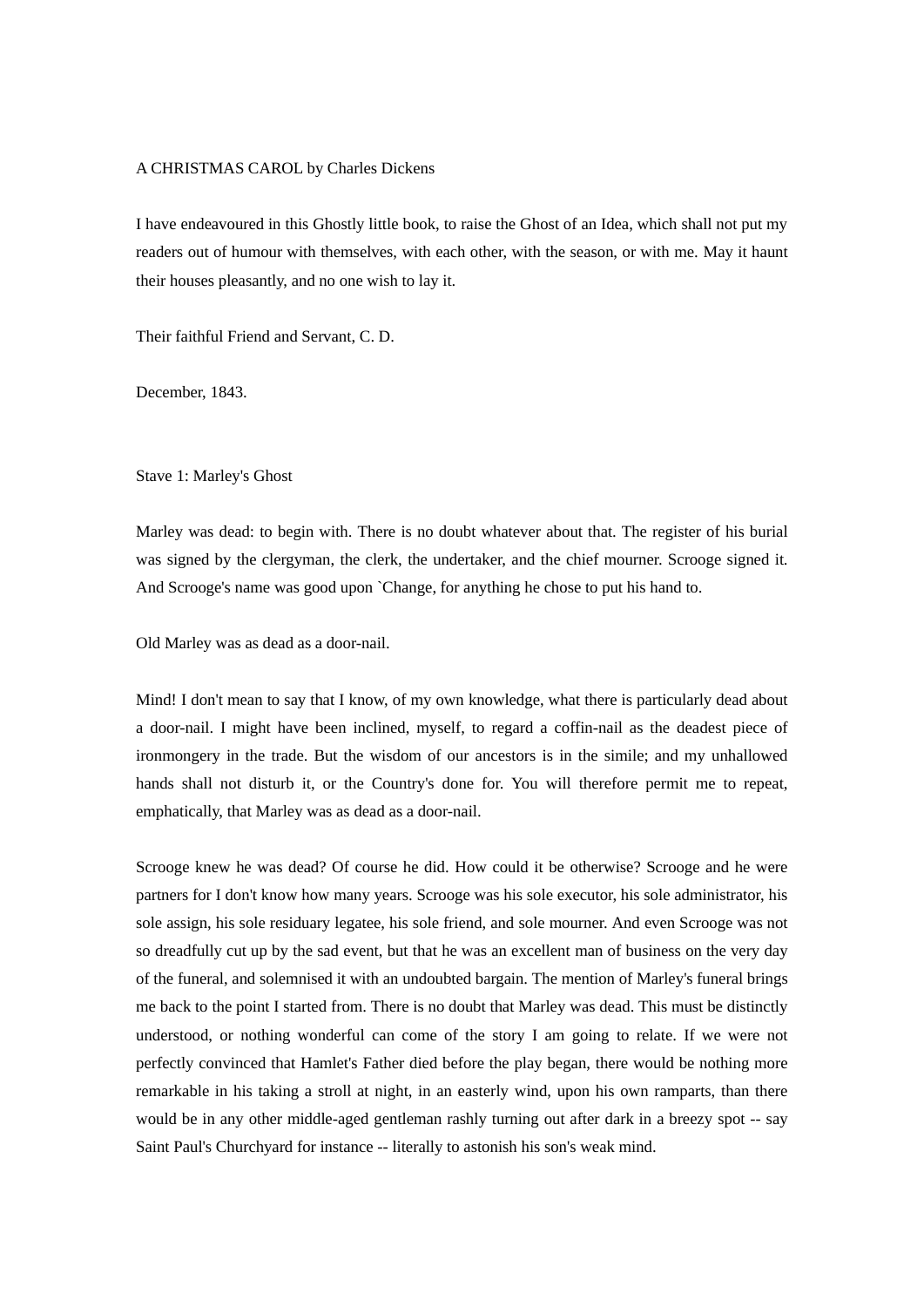## A CHRISTMAS CAROL by Charles Dickens

I have endeavoured in this Ghostly little book, to raise the Ghost of an Idea, which shall not put my readers out of humour with themselves, with each other, with the season, or with me. May it haunt their houses pleasantly, and no one wish to lay it.

Their faithful Friend and Servant, C. D.

December, 1843.

Stave 1: Marley's Ghost

Marley was dead: to begin with. There is no doubt whatever about that. The register of his burial was signed by the clergyman, the clerk, the undertaker, and the chief mourner. Scrooge signed it. And Scrooge's name was good upon `Change, for anything he chose to put his hand to.

Old Marley was as dead as a door-nail.

Mind! I don't mean to say that I know, of my own knowledge, what there is particularly dead about a door-nail. I might have been inclined, myself, to regard a coffin-nail as the deadest piece of ironmongery in the trade. But the wisdom of our ancestors is in the simile; and my unhallowed hands shall not disturb it, or the Country's done for. You will therefore permit me to repeat, emphatically, that Marley was as dead as a door-nail.

Scrooge knew he was dead? Of course he did. How could it be otherwise? Scrooge and he were partners for I don't know how many years. Scrooge was his sole executor, his sole administrator, his sole assign, his sole residuary legatee, his sole friend, and sole mourner. And even Scrooge was not so dreadfully cut up by the sad event, but that he was an excellent man of business on the very day of the funeral, and solemnised it with an undoubted bargain. The mention of Marley's funeral brings me back to the point I started from. There is no doubt that Marley was dead. This must be distinctly understood, or nothing wonderful can come of the story I am going to relate. If we were not perfectly convinced that Hamlet's Father died before the play began, there would be nothing more remarkable in his taking a stroll at night, in an easterly wind, upon his own ramparts, than there would be in any other middle-aged gentleman rashly turning out after dark in a breezy spot -- say Saint Paul's Churchyard for instance -- literally to astonish his son's weak mind.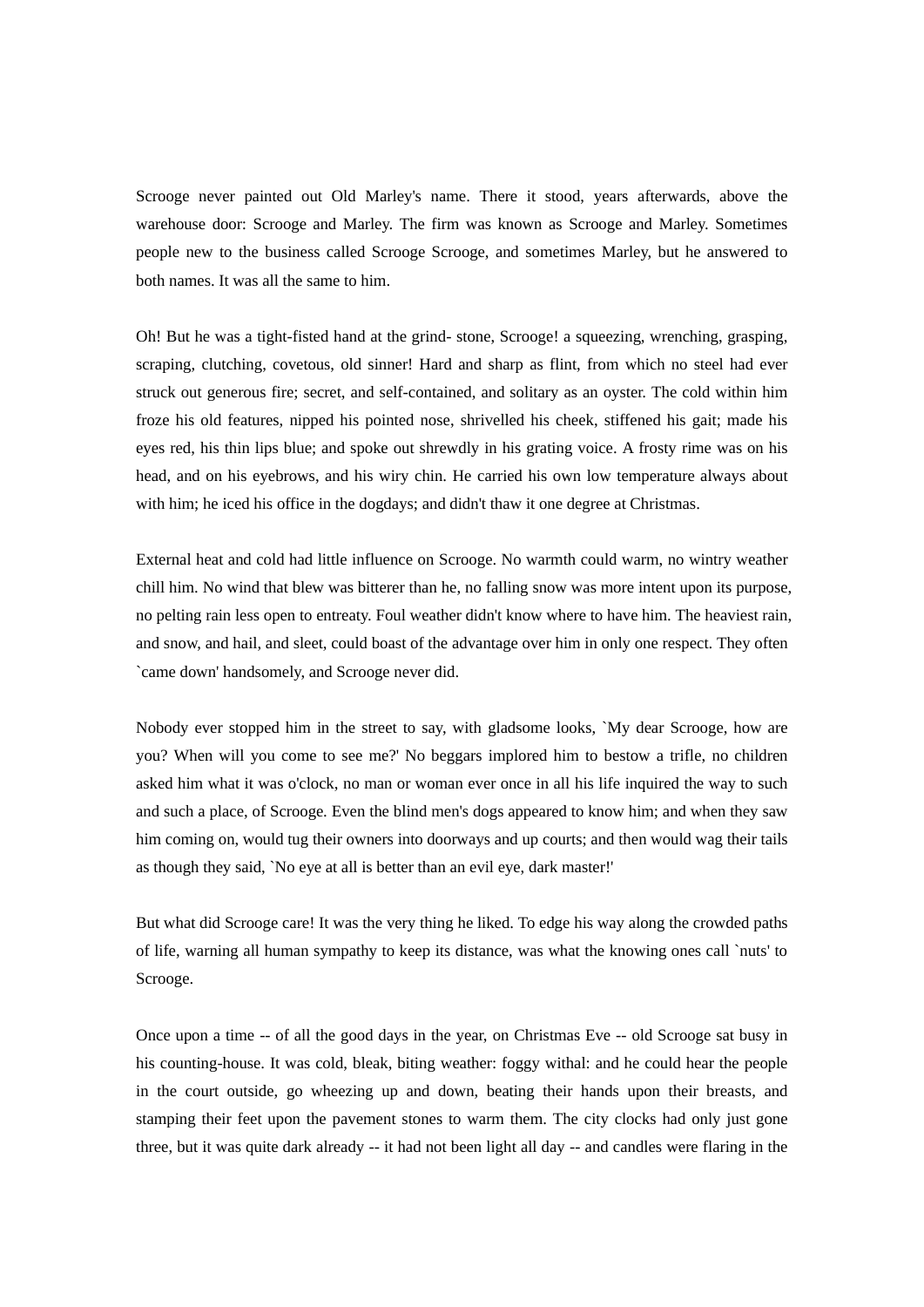Scrooge never painted out Old Marley's name. There it stood, years afterwards, above the warehouse door: Scrooge and Marley. The firm was known as Scrooge and Marley. Sometimes people new to the business called Scrooge Scrooge, and sometimes Marley, but he answered to both names. It was all the same to him.

Oh! But he was a tight-fisted hand at the grind- stone, Scrooge! a squeezing, wrenching, grasping, scraping, clutching, covetous, old sinner! Hard and sharp as flint, from which no steel had ever struck out generous fire; secret, and self-contained, and solitary as an oyster. The cold within him froze his old features, nipped his pointed nose, shrivelled his cheek, stiffened his gait; made his eyes red, his thin lips blue; and spoke out shrewdly in his grating voice. A frosty rime was on his head, and on his eyebrows, and his wiry chin. He carried his own low temperature always about with him; he iced his office in the dogdays; and didn't thaw it one degree at Christmas.

External heat and cold had little influence on Scrooge. No warmth could warm, no wintry weather chill him. No wind that blew was bitterer than he, no falling snow was more intent upon its purpose, no pelting rain less open to entreaty. Foul weather didn't know where to have him. The heaviest rain, and snow, and hail, and sleet, could boast of the advantage over him in only one respect. They often `came down' handsomely, and Scrooge never did.

Nobody ever stopped him in the street to say, with gladsome looks, `My dear Scrooge, how are you? When will you come to see me?' No beggars implored him to bestow a trifle, no children asked him what it was o'clock, no man or woman ever once in all his life inquired the way to such and such a place, of Scrooge. Even the blind men's dogs appeared to know him; and when they saw him coming on, would tug their owners into doorways and up courts; and then would wag their tails as though they said, `No eye at all is better than an evil eye, dark master!'

But what did Scrooge care! It was the very thing he liked. To edge his way along the crowded paths of life, warning all human sympathy to keep its distance, was what the knowing ones call `nuts' to Scrooge.

Once upon a time -- of all the good days in the year, on Christmas Eve -- old Scrooge sat busy in his counting-house. It was cold, bleak, biting weather: foggy withal: and he could hear the people in the court outside, go wheezing up and down, beating their hands upon their breasts, and stamping their feet upon the pavement stones to warm them. The city clocks had only just gone three, but it was quite dark already -- it had not been light all day -- and candles were flaring in the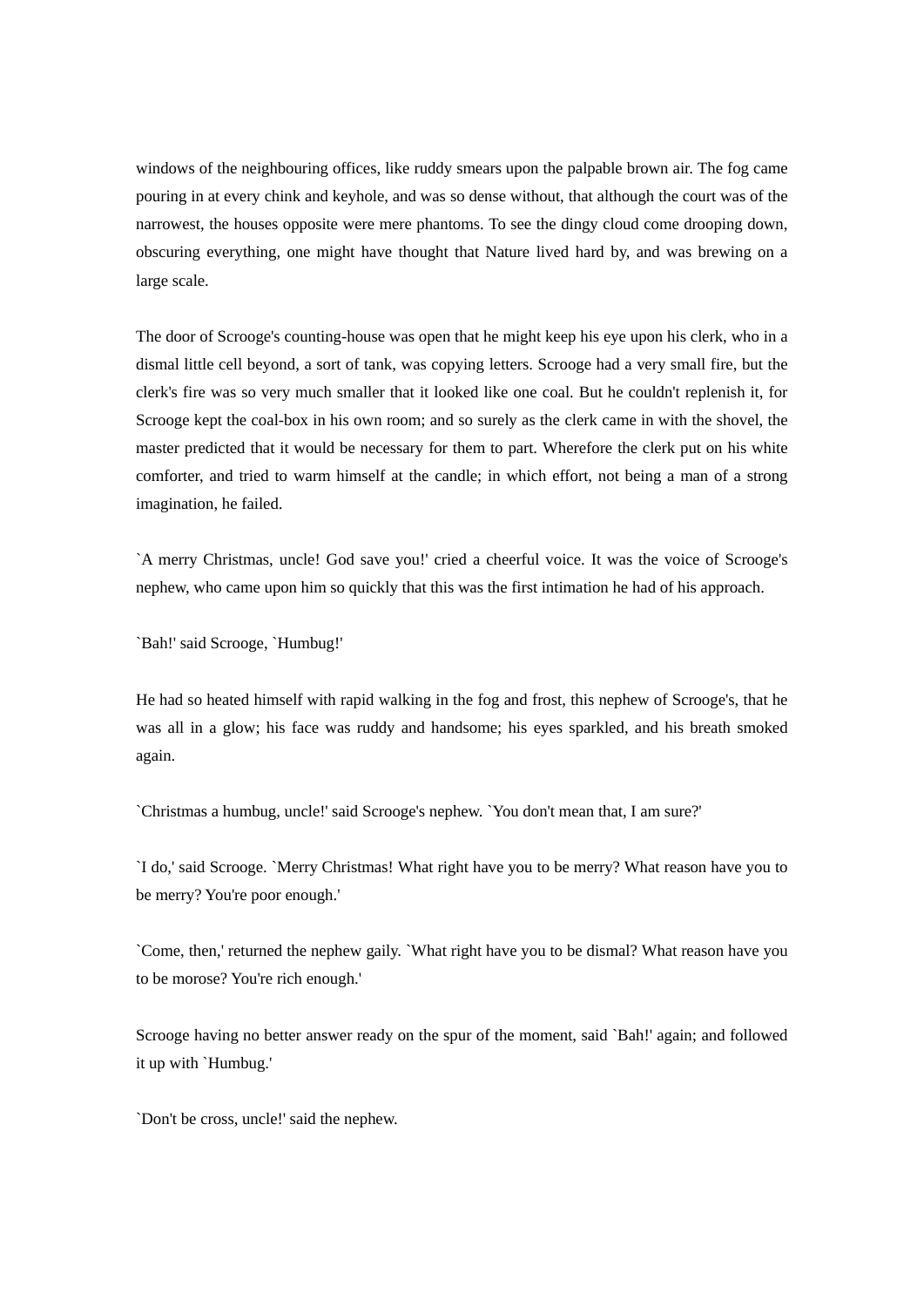windows of the neighbouring offices, like ruddy smears upon the palpable brown air. The fog came pouring in at every chink and keyhole, and was so dense without, that although the court was of the narrowest, the houses opposite were mere phantoms. To see the dingy cloud come drooping down, obscuring everything, one might have thought that Nature lived hard by, and was brewing on a large scale.

The door of Scrooge's counting-house was open that he might keep his eye upon his clerk, who in a dismal little cell beyond, a sort of tank, was copying letters. Scrooge had a very small fire, but the clerk's fire was so very much smaller that it looked like one coal. But he couldn't replenish it, for Scrooge kept the coal-box in his own room; and so surely as the clerk came in with the shovel, the master predicted that it would be necessary for them to part. Wherefore the clerk put on his white comforter, and tried to warm himself at the candle; in which effort, not being a man of a strong imagination, he failed.

`A merry Christmas, uncle! God save you!' cried a cheerful voice. It was the voice of Scrooge's nephew, who came upon him so quickly that this was the first intimation he had of his approach.

`Bah!' said Scrooge, `Humbug!'

He had so heated himself with rapid walking in the fog and frost, this nephew of Scrooge's, that he was all in a glow; his face was ruddy and handsome; his eyes sparkled, and his breath smoked again.

`Christmas a humbug, uncle!' said Scrooge's nephew. `You don't mean that, I am sure?'

`I do,' said Scrooge. `Merry Christmas! What right have you to be merry? What reason have you to be merry? You're poor enough.'

`Come, then,' returned the nephew gaily. `What right have you to be dismal? What reason have you to be morose? You're rich enough.'

Scrooge having no better answer ready on the spur of the moment, said `Bah!' again; and followed it up with `Humbug.'

`Don't be cross, uncle!' said the nephew.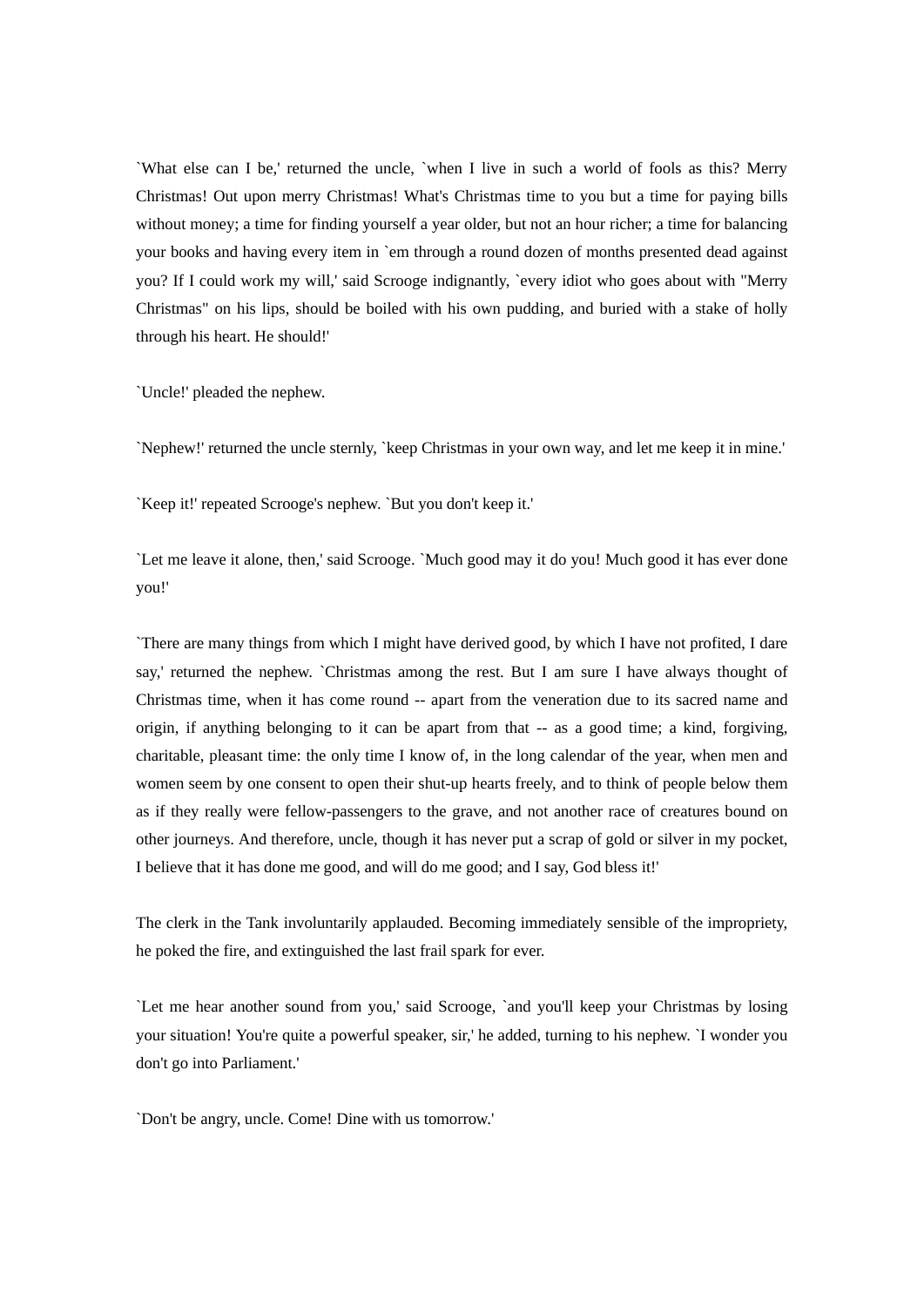`What else can I be,' returned the uncle, `when I live in such a world of fools as this? Merry Christmas! Out upon merry Christmas! What's Christmas time to you but a time for paying bills without money; a time for finding yourself a year older, but not an hour richer; a time for balancing your books and having every item in `em through a round dozen of months presented dead against you? If I could work my will,' said Scrooge indignantly, `every idiot who goes about with "Merry Christmas" on his lips, should be boiled with his own pudding, and buried with a stake of holly through his heart. He should!'

`Uncle!' pleaded the nephew.

`Nephew!' returned the uncle sternly, `keep Christmas in your own way, and let me keep it in mine.'

`Keep it!' repeated Scrooge's nephew. `But you don't keep it.'

`Let me leave it alone, then,' said Scrooge. `Much good may it do you! Much good it has ever done you!'

`There are many things from which I might have derived good, by which I have not profited, I dare say,' returned the nephew. `Christmas among the rest. But I am sure I have always thought of Christmas time, when it has come round -- apart from the veneration due to its sacred name and origin, if anything belonging to it can be apart from that -- as a good time; a kind, forgiving, charitable, pleasant time: the only time I know of, in the long calendar of the year, when men and women seem by one consent to open their shut-up hearts freely, and to think of people below them as if they really were fellow-passengers to the grave, and not another race of creatures bound on other journeys. And therefore, uncle, though it has never put a scrap of gold or silver in my pocket, I believe that it has done me good, and will do me good; and I say, God bless it!'

The clerk in the Tank involuntarily applauded. Becoming immediately sensible of the impropriety, he poked the fire, and extinguished the last frail spark for ever.

`Let me hear another sound from you,' said Scrooge, `and you'll keep your Christmas by losing your situation! You're quite a powerful speaker, sir,' he added, turning to his nephew. `I wonder you don't go into Parliament.'

`Don't be angry, uncle. Come! Dine with us tomorrow.'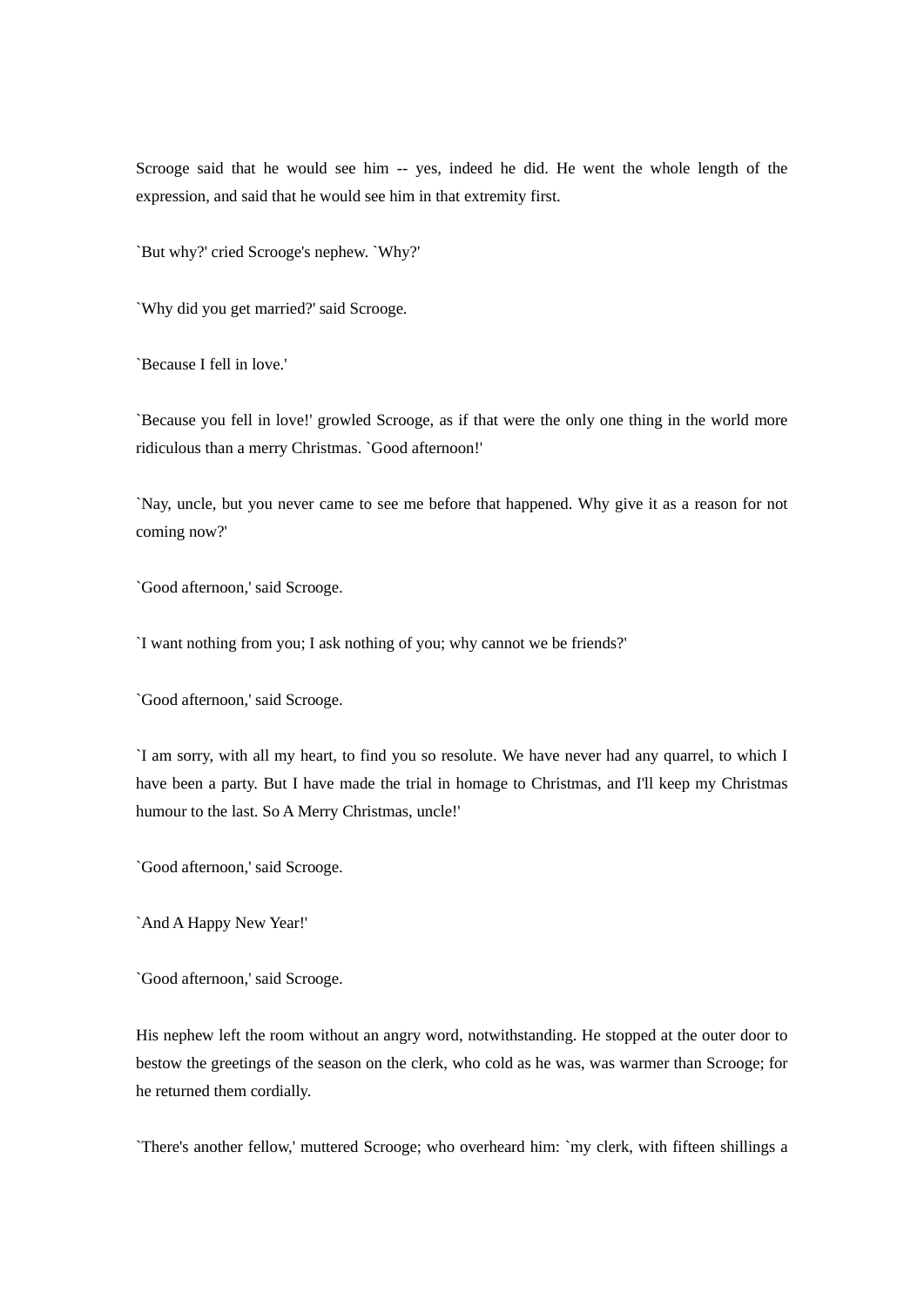Scrooge said that he would see him -- yes, indeed he did. He went the whole length of the expression, and said that he would see him in that extremity first.

`But why?' cried Scrooge's nephew. `Why?'

`Why did you get married?' said Scrooge.

`Because I fell in love.'

`Because you fell in love!' growled Scrooge, as if that were the only one thing in the world more ridiculous than a merry Christmas. `Good afternoon!'

`Nay, uncle, but you never came to see me before that happened. Why give it as a reason for not coming now?'

`Good afternoon,' said Scrooge.

`I want nothing from you; I ask nothing of you; why cannot we be friends?'

`Good afternoon,' said Scrooge.

`I am sorry, with all my heart, to find you so resolute. We have never had any quarrel, to which I have been a party. But I have made the trial in homage to Christmas, and I'll keep my Christmas humour to the last. So A Merry Christmas, uncle!'

`Good afternoon,' said Scrooge.

`And A Happy New Year!'

`Good afternoon,' said Scrooge.

His nephew left the room without an angry word, notwithstanding. He stopped at the outer door to bestow the greetings of the season on the clerk, who cold as he was, was warmer than Scrooge; for he returned them cordially.

`There's another fellow,' muttered Scrooge; who overheard him: `my clerk, with fifteen shillings a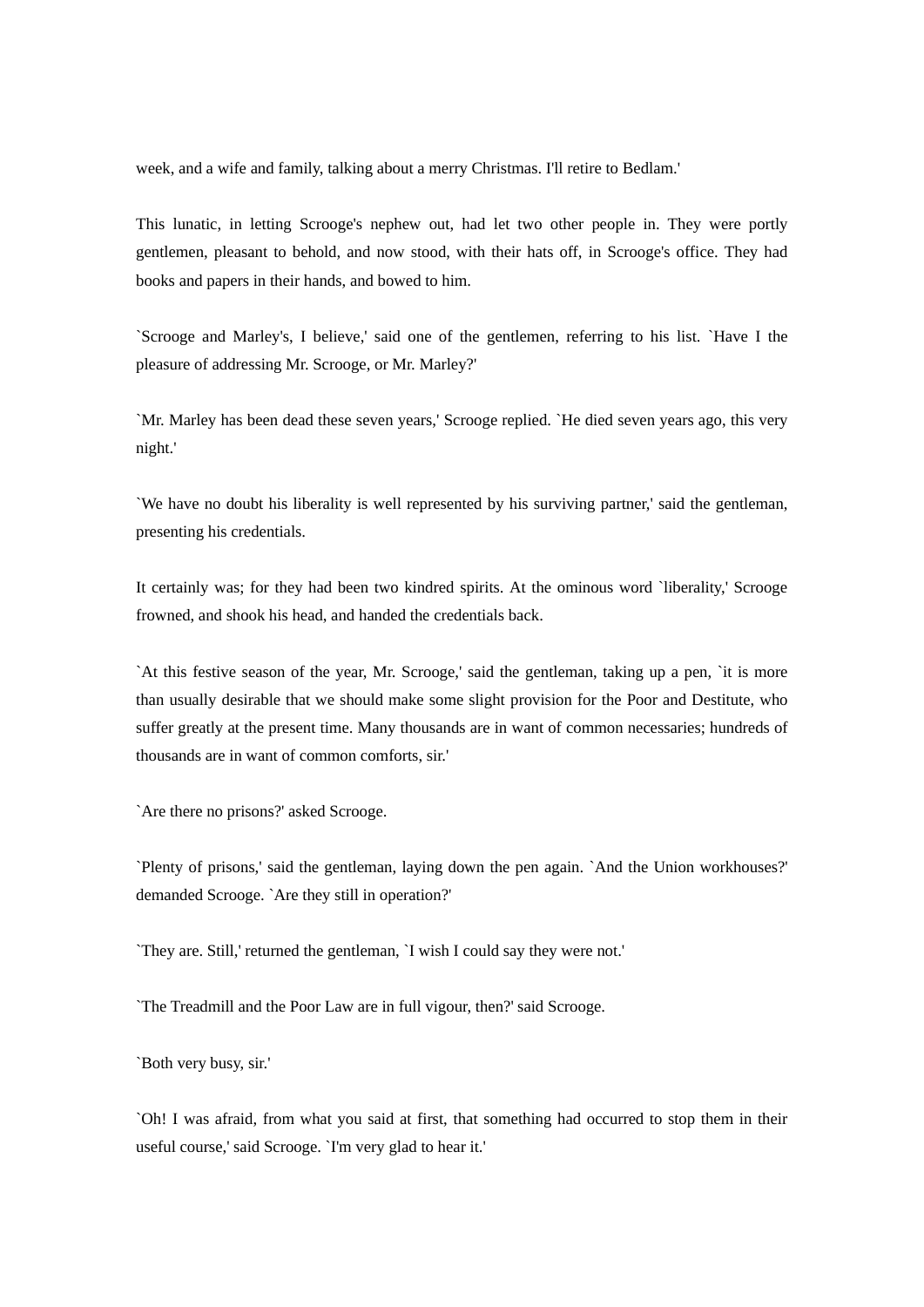week, and a wife and family, talking about a merry Christmas. I'll retire to Bedlam.'

This lunatic, in letting Scrooge's nephew out, had let two other people in. They were portly gentlemen, pleasant to behold, and now stood, with their hats off, in Scrooge's office. They had books and papers in their hands, and bowed to him.

`Scrooge and Marley's, I believe,' said one of the gentlemen, referring to his list. `Have I the pleasure of addressing Mr. Scrooge, or Mr. Marley?'

`Mr. Marley has been dead these seven years,' Scrooge replied. `He died seven years ago, this very night.'

`We have no doubt his liberality is well represented by his surviving partner,' said the gentleman, presenting his credentials.

It certainly was; for they had been two kindred spirits. At the ominous word `liberality,' Scrooge frowned, and shook his head, and handed the credentials back.

`At this festive season of the year, Mr. Scrooge,' said the gentleman, taking up a pen, `it is more than usually desirable that we should make some slight provision for the Poor and Destitute, who suffer greatly at the present time. Many thousands are in want of common necessaries; hundreds of thousands are in want of common comforts, sir.'

`Are there no prisons?' asked Scrooge.

`Plenty of prisons,' said the gentleman, laying down the pen again. `And the Union workhouses?' demanded Scrooge. `Are they still in operation?'

`They are. Still,' returned the gentleman, `I wish I could say they were not.'

`The Treadmill and the Poor Law are in full vigour, then?' said Scrooge.

`Both very busy, sir.'

`Oh! I was afraid, from what you said at first, that something had occurred to stop them in their useful course,' said Scrooge. `I'm very glad to hear it.'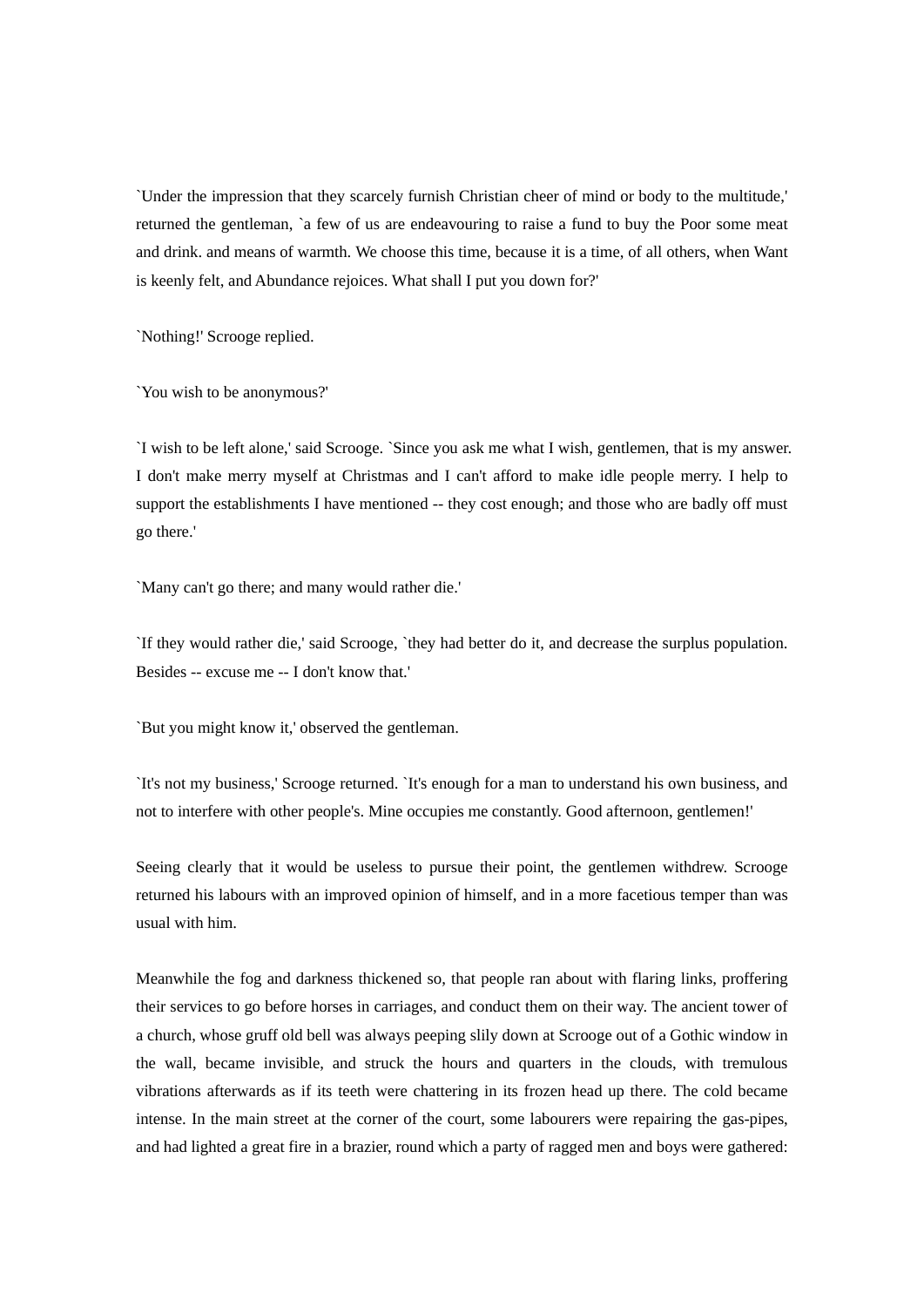`Under the impression that they scarcely furnish Christian cheer of mind or body to the multitude,' returned the gentleman, `a few of us are endeavouring to raise a fund to buy the Poor some meat and drink. and means of warmth. We choose this time, because it is a time, of all others, when Want is keenly felt, and Abundance rejoices. What shall I put you down for?'

`Nothing!' Scrooge replied.

`You wish to be anonymous?'

`I wish to be left alone,' said Scrooge. `Since you ask me what I wish, gentlemen, that is my answer. I don't make merry myself at Christmas and I can't afford to make idle people merry. I help to support the establishments I have mentioned -- they cost enough; and those who are badly off must go there.'

`Many can't go there; and many would rather die.'

`If they would rather die,' said Scrooge, `they had better do it, and decrease the surplus population. Besides -- excuse me -- I don't know that.'

`But you might know it,' observed the gentleman.

`It's not my business,' Scrooge returned. `It's enough for a man to understand his own business, and not to interfere with other people's. Mine occupies me constantly. Good afternoon, gentlemen!'

Seeing clearly that it would be useless to pursue their point, the gentlemen withdrew. Scrooge returned his labours with an improved opinion of himself, and in a more facetious temper than was usual with him.

Meanwhile the fog and darkness thickened so, that people ran about with flaring links, proffering their services to go before horses in carriages, and conduct them on their way. The ancient tower of a church, whose gruff old bell was always peeping slily down at Scrooge out of a Gothic window in the wall, became invisible, and struck the hours and quarters in the clouds, with tremulous vibrations afterwards as if its teeth were chattering in its frozen head up there. The cold became intense. In the main street at the corner of the court, some labourers were repairing the gas-pipes, and had lighted a great fire in a brazier, round which a party of ragged men and boys were gathered: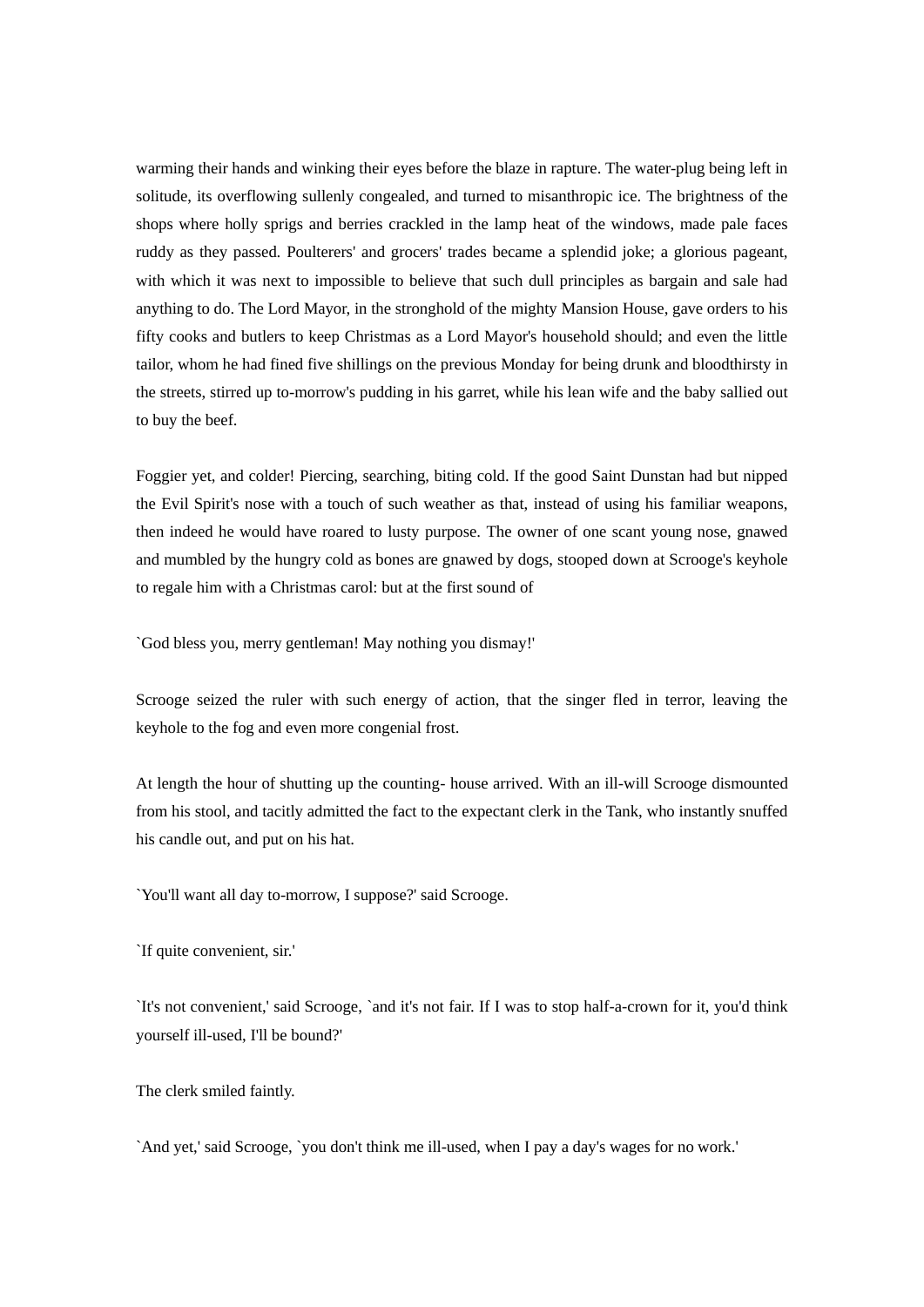warming their hands and winking their eyes before the blaze in rapture. The water-plug being left in solitude, its overflowing sullenly congealed, and turned to misanthropic ice. The brightness of the shops where holly sprigs and berries crackled in the lamp heat of the windows, made pale faces ruddy as they passed. Poulterers' and grocers' trades became a splendid joke; a glorious pageant, with which it was next to impossible to believe that such dull principles as bargain and sale had anything to do. The Lord Mayor, in the stronghold of the mighty Mansion House, gave orders to his fifty cooks and butlers to keep Christmas as a Lord Mayor's household should; and even the little tailor, whom he had fined five shillings on the previous Monday for being drunk and bloodthirsty in the streets, stirred up to-morrow's pudding in his garret, while his lean wife and the baby sallied out to buy the beef.

Foggier yet, and colder! Piercing, searching, biting cold. If the good Saint Dunstan had but nipped the Evil Spirit's nose with a touch of such weather as that, instead of using his familiar weapons, then indeed he would have roared to lusty purpose. The owner of one scant young nose, gnawed and mumbled by the hungry cold as bones are gnawed by dogs, stooped down at Scrooge's keyhole to regale him with a Christmas carol: but at the first sound of

`God bless you, merry gentleman! May nothing you dismay!'

Scrooge seized the ruler with such energy of action, that the singer fled in terror, leaving the keyhole to the fog and even more congenial frost.

At length the hour of shutting up the counting- house arrived. With an ill-will Scrooge dismounted from his stool, and tacitly admitted the fact to the expectant clerk in the Tank, who instantly snuffed his candle out, and put on his hat.

`You'll want all day to-morrow, I suppose?' said Scrooge.

`If quite convenient, sir.'

`It's not convenient,' said Scrooge, `and it's not fair. If I was to stop half-a-crown for it, you'd think yourself ill-used, I'll be bound?'

The clerk smiled faintly.

`And yet,' said Scrooge, `you don't think me ill-used, when I pay a day's wages for no work.'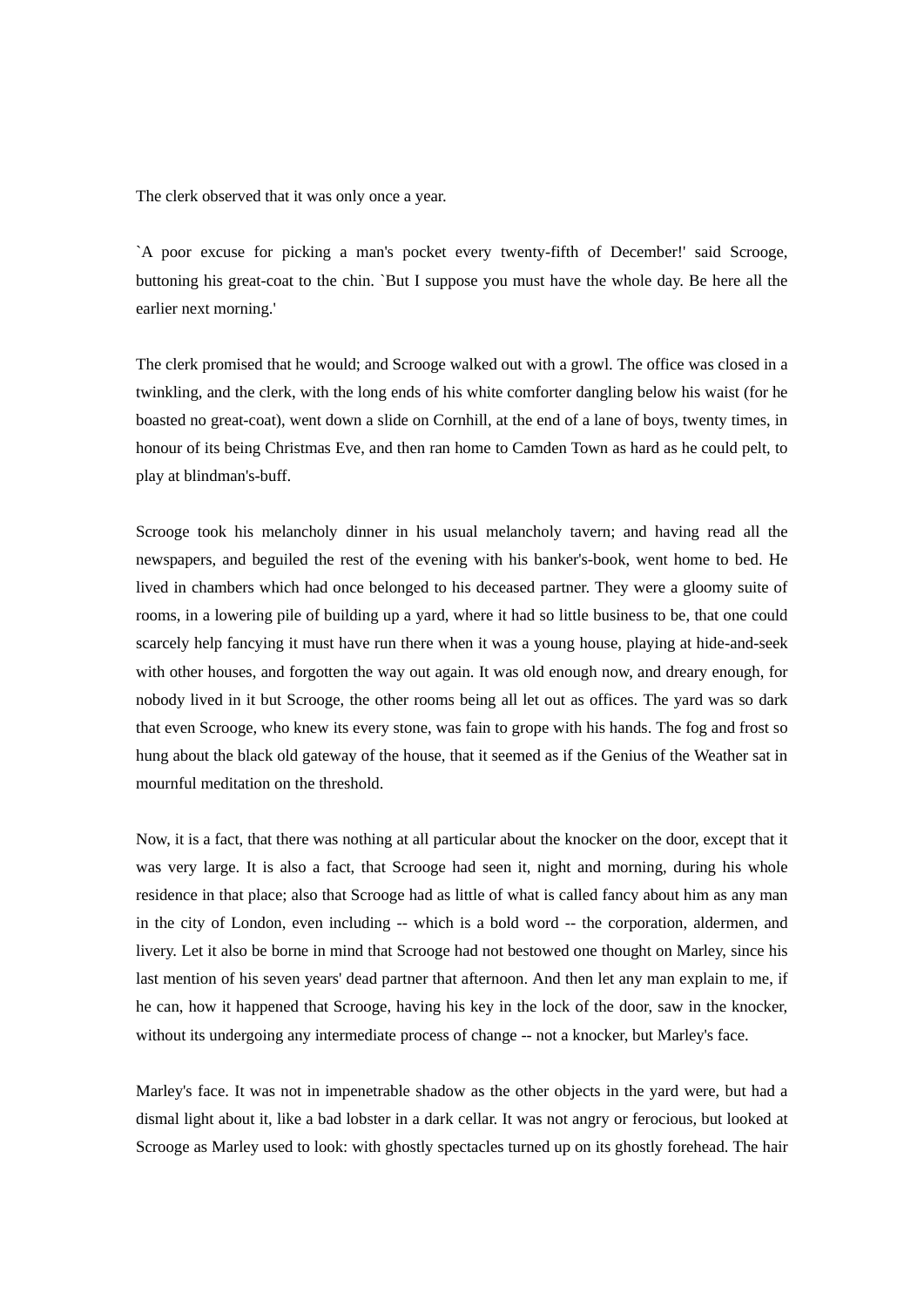The clerk observed that it was only once a year.

`A poor excuse for picking a man's pocket every twenty-fifth of December!' said Scrooge, buttoning his great-coat to the chin. `But I suppose you must have the whole day. Be here all the earlier next morning.'

The clerk promised that he would; and Scrooge walked out with a growl. The office was closed in a twinkling, and the clerk, with the long ends of his white comforter dangling below his waist (for he boasted no great-coat), went down a slide on Cornhill, at the end of a lane of boys, twenty times, in honour of its being Christmas Eve, and then ran home to Camden Town as hard as he could pelt, to play at blindman's-buff.

Scrooge took his melancholy dinner in his usual melancholy tavern; and having read all the newspapers, and beguiled the rest of the evening with his banker's-book, went home to bed. He lived in chambers which had once belonged to his deceased partner. They were a gloomy suite of rooms, in a lowering pile of building up a yard, where it had so little business to be, that one could scarcely help fancying it must have run there when it was a young house, playing at hide-and-seek with other houses, and forgotten the way out again. It was old enough now, and dreary enough, for nobody lived in it but Scrooge, the other rooms being all let out as offices. The yard was so dark that even Scrooge, who knew its every stone, was fain to grope with his hands. The fog and frost so hung about the black old gateway of the house, that it seemed as if the Genius of the Weather sat in mournful meditation on the threshold.

Now, it is a fact, that there was nothing at all particular about the knocker on the door, except that it was very large. It is also a fact, that Scrooge had seen it, night and morning, during his whole residence in that place; also that Scrooge had as little of what is called fancy about him as any man in the city of London, even including -- which is a bold word -- the corporation, aldermen, and livery. Let it also be borne in mind that Scrooge had not bestowed one thought on Marley, since his last mention of his seven years' dead partner that afternoon. And then let any man explain to me, if he can, how it happened that Scrooge, having his key in the lock of the door, saw in the knocker, without its undergoing any intermediate process of change -- not a knocker, but Marley's face.

Marley's face. It was not in impenetrable shadow as the other objects in the yard were, but had a dismal light about it, like a bad lobster in a dark cellar. It was not angry or ferocious, but looked at Scrooge as Marley used to look: with ghostly spectacles turned up on its ghostly forehead. The hair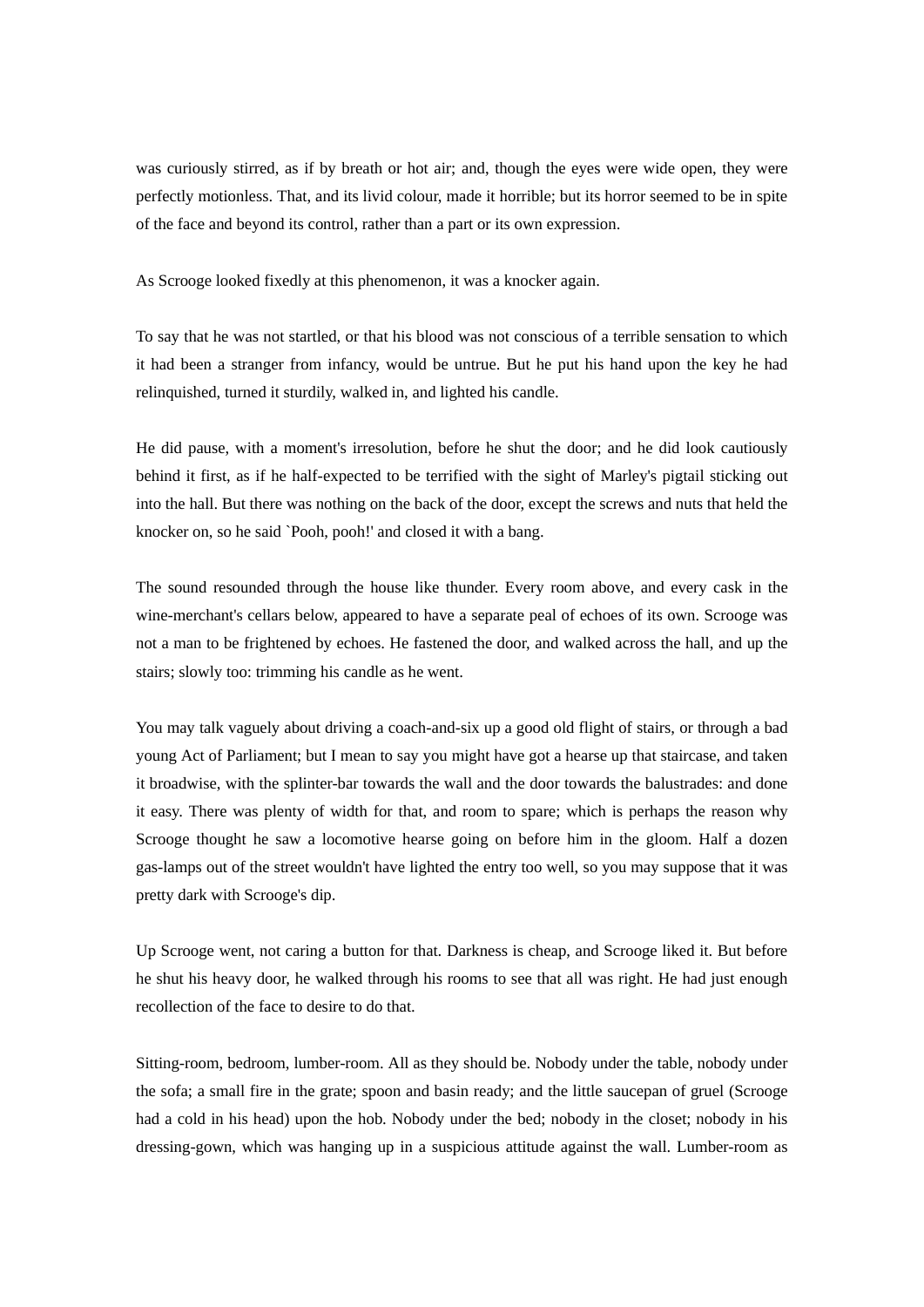was curiously stirred, as if by breath or hot air; and, though the eyes were wide open, they were perfectly motionless. That, and its livid colour, made it horrible; but its horror seemed to be in spite of the face and beyond its control, rather than a part or its own expression.

As Scrooge looked fixedly at this phenomenon, it was a knocker again.

To say that he was not startled, or that his blood was not conscious of a terrible sensation to which it had been a stranger from infancy, would be untrue. But he put his hand upon the key he had relinquished, turned it sturdily, walked in, and lighted his candle.

He did pause, with a moment's irresolution, before he shut the door; and he did look cautiously behind it first, as if he half-expected to be terrified with the sight of Marley's pigtail sticking out into the hall. But there was nothing on the back of the door, except the screws and nuts that held the knocker on, so he said `Pooh, pooh!' and closed it with a bang.

The sound resounded through the house like thunder. Every room above, and every cask in the wine-merchant's cellars below, appeared to have a separate peal of echoes of its own. Scrooge was not a man to be frightened by echoes. He fastened the door, and walked across the hall, and up the stairs; slowly too: trimming his candle as he went.

You may talk vaguely about driving a coach-and-six up a good old flight of stairs, or through a bad young Act of Parliament; but I mean to say you might have got a hearse up that staircase, and taken it broadwise, with the splinter-bar towards the wall and the door towards the balustrades: and done it easy. There was plenty of width for that, and room to spare; which is perhaps the reason why Scrooge thought he saw a locomotive hearse going on before him in the gloom. Half a dozen gas-lamps out of the street wouldn't have lighted the entry too well, so you may suppose that it was pretty dark with Scrooge's dip.

Up Scrooge went, not caring a button for that. Darkness is cheap, and Scrooge liked it. But before he shut his heavy door, he walked through his rooms to see that all was right. He had just enough recollection of the face to desire to do that.

Sitting-room, bedroom, lumber-room. All as they should be. Nobody under the table, nobody under the sofa; a small fire in the grate; spoon and basin ready; and the little saucepan of gruel (Scrooge had a cold in his head) upon the hob. Nobody under the bed; nobody in the closet; nobody in his dressing-gown, which was hanging up in a suspicious attitude against the wall. Lumber-room as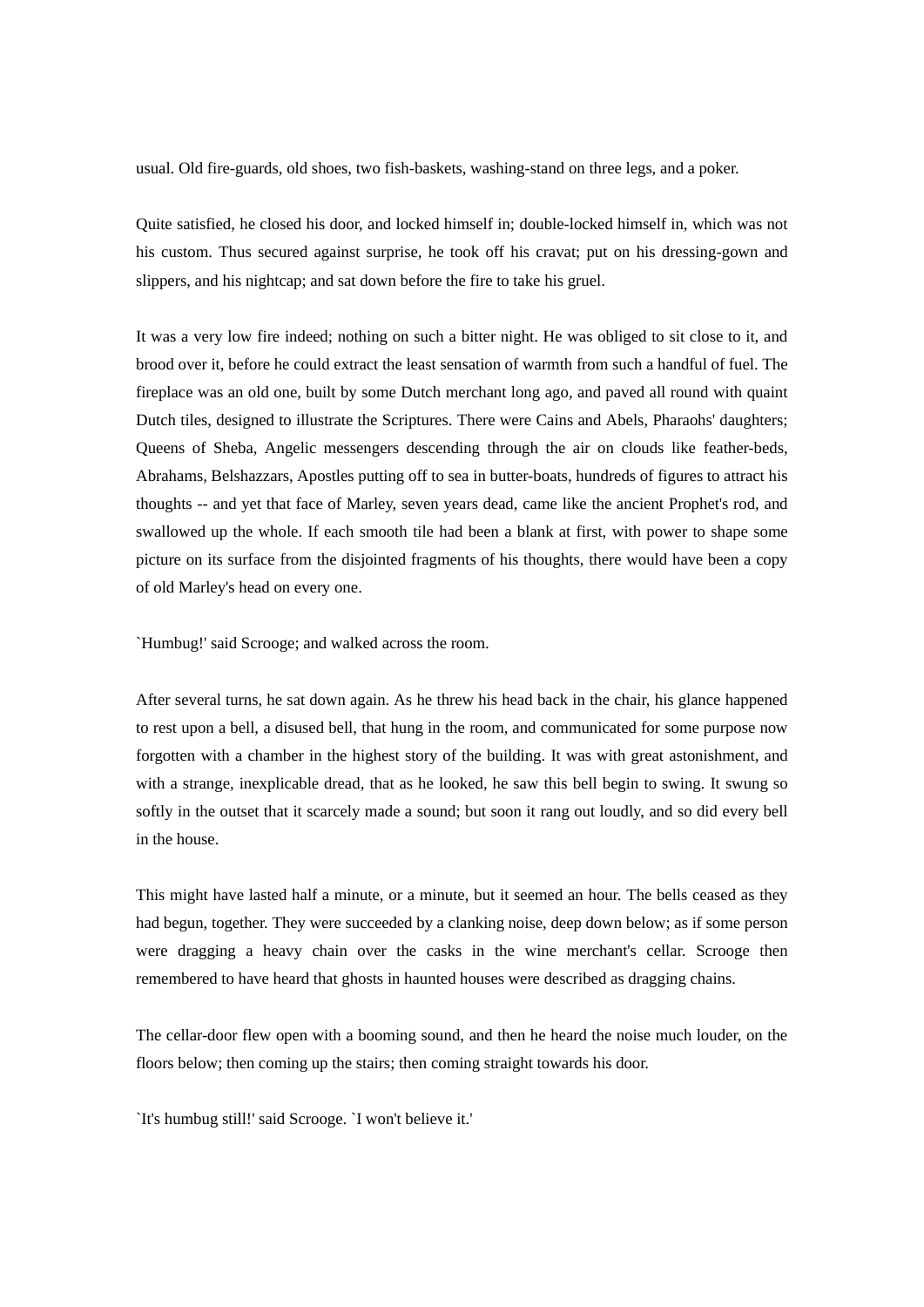usual. Old fire-guards, old shoes, two fish-baskets, washing-stand on three legs, and a poker.

Quite satisfied, he closed his door, and locked himself in; double-locked himself in, which was not his custom. Thus secured against surprise, he took off his cravat; put on his dressing-gown and slippers, and his nightcap; and sat down before the fire to take his gruel.

It was a very low fire indeed; nothing on such a bitter night. He was obliged to sit close to it, and brood over it, before he could extract the least sensation of warmth from such a handful of fuel. The fireplace was an old one, built by some Dutch merchant long ago, and paved all round with quaint Dutch tiles, designed to illustrate the Scriptures. There were Cains and Abels, Pharaohs' daughters; Queens of Sheba, Angelic messengers descending through the air on clouds like feather-beds, Abrahams, Belshazzars, Apostles putting off to sea in butter-boats, hundreds of figures to attract his thoughts -- and yet that face of Marley, seven years dead, came like the ancient Prophet's rod, and swallowed up the whole. If each smooth tile had been a blank at first, with power to shape some picture on its surface from the disjointed fragments of his thoughts, there would have been a copy of old Marley's head on every one.

`Humbug!' said Scrooge; and walked across the room.

After several turns, he sat down again. As he threw his head back in the chair, his glance happened to rest upon a bell, a disused bell, that hung in the room, and communicated for some purpose now forgotten with a chamber in the highest story of the building. It was with great astonishment, and with a strange, inexplicable dread, that as he looked, he saw this bell begin to swing. It swung so softly in the outset that it scarcely made a sound; but soon it rang out loudly, and so did every bell in the house.

This might have lasted half a minute, or a minute, but it seemed an hour. The bells ceased as they had begun, together. They were succeeded by a clanking noise, deep down below; as if some person were dragging a heavy chain over the casks in the wine merchant's cellar. Scrooge then remembered to have heard that ghosts in haunted houses were described as dragging chains.

The cellar-door flew open with a booming sound, and then he heard the noise much louder, on the floors below; then coming up the stairs; then coming straight towards his door.

`It's humbug still!' said Scrooge. `I won't believe it.'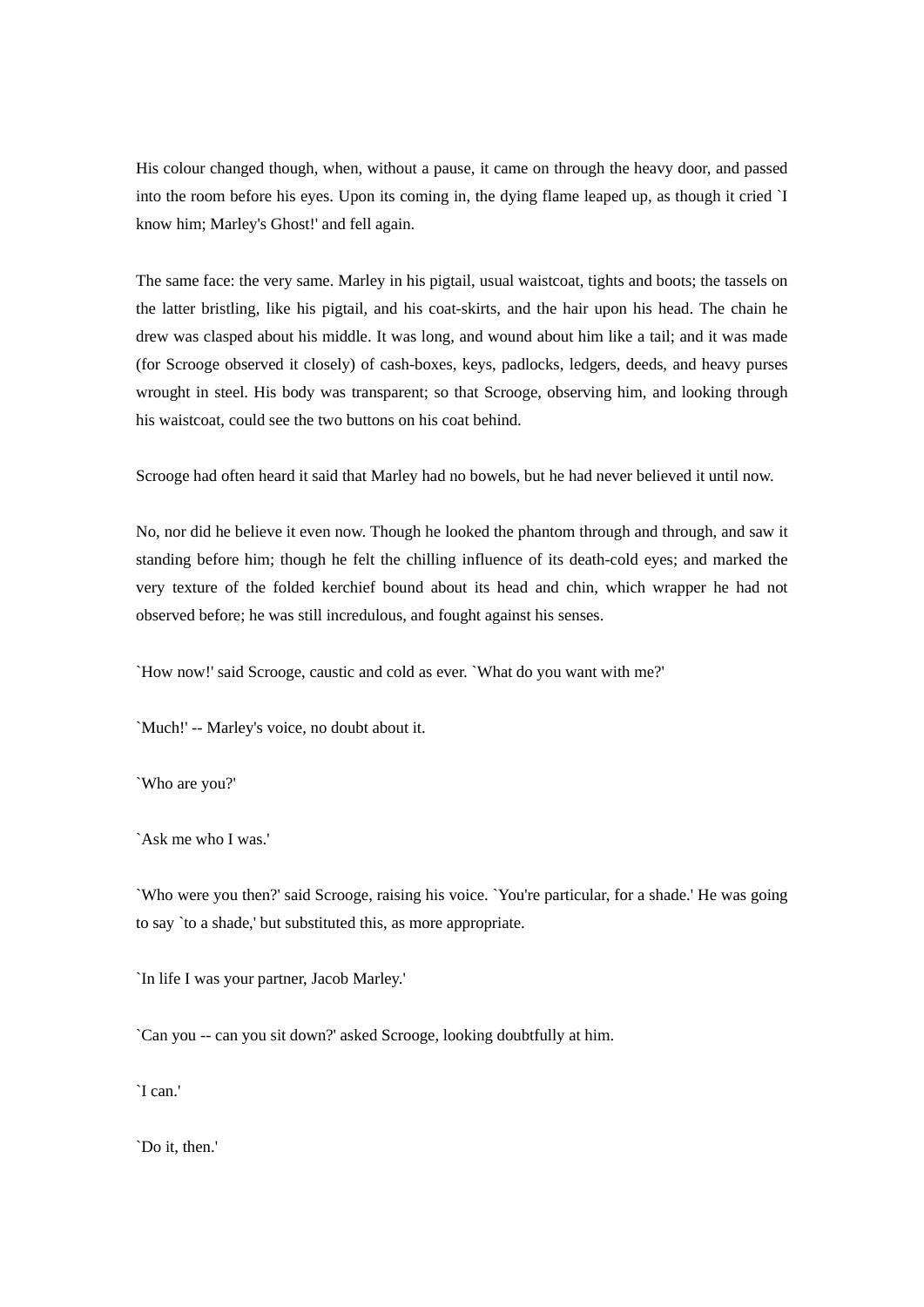His colour changed though, when, without a pause, it came on through the heavy door, and passed into the room before his eyes. Upon its coming in, the dying flame leaped up, as though it cried `I know him; Marley's Ghost!' and fell again.

The same face: the very same. Marley in his pigtail, usual waistcoat, tights and boots; the tassels on the latter bristling, like his pigtail, and his coat-skirts, and the hair upon his head. The chain he drew was clasped about his middle. It was long, and wound about him like a tail; and it was made (for Scrooge observed it closely) of cash-boxes, keys, padlocks, ledgers, deeds, and heavy purses wrought in steel. His body was transparent; so that Scrooge, observing him, and looking through his waistcoat, could see the two buttons on his coat behind.

Scrooge had often heard it said that Marley had no bowels, but he had never believed it until now.

No, nor did he believe it even now. Though he looked the phantom through and through, and saw it standing before him; though he felt the chilling influence of its death-cold eyes; and marked the very texture of the folded kerchief bound about its head and chin, which wrapper he had not observed before; he was still incredulous, and fought against his senses.

`How now!' said Scrooge, caustic and cold as ever. `What do you want with me?'

`Much!' -- Marley's voice, no doubt about it.

`Who are you?'

`Ask me who I was.'

`Who were you then?' said Scrooge, raising his voice. `You're particular, for a shade.' He was going to say `to a shade,' but substituted this, as more appropriate.

`In life I was your partner, Jacob Marley.'

`Can you -- can you sit down?' asked Scrooge, looking doubtfully at him.

`I can.'

`Do it, then.'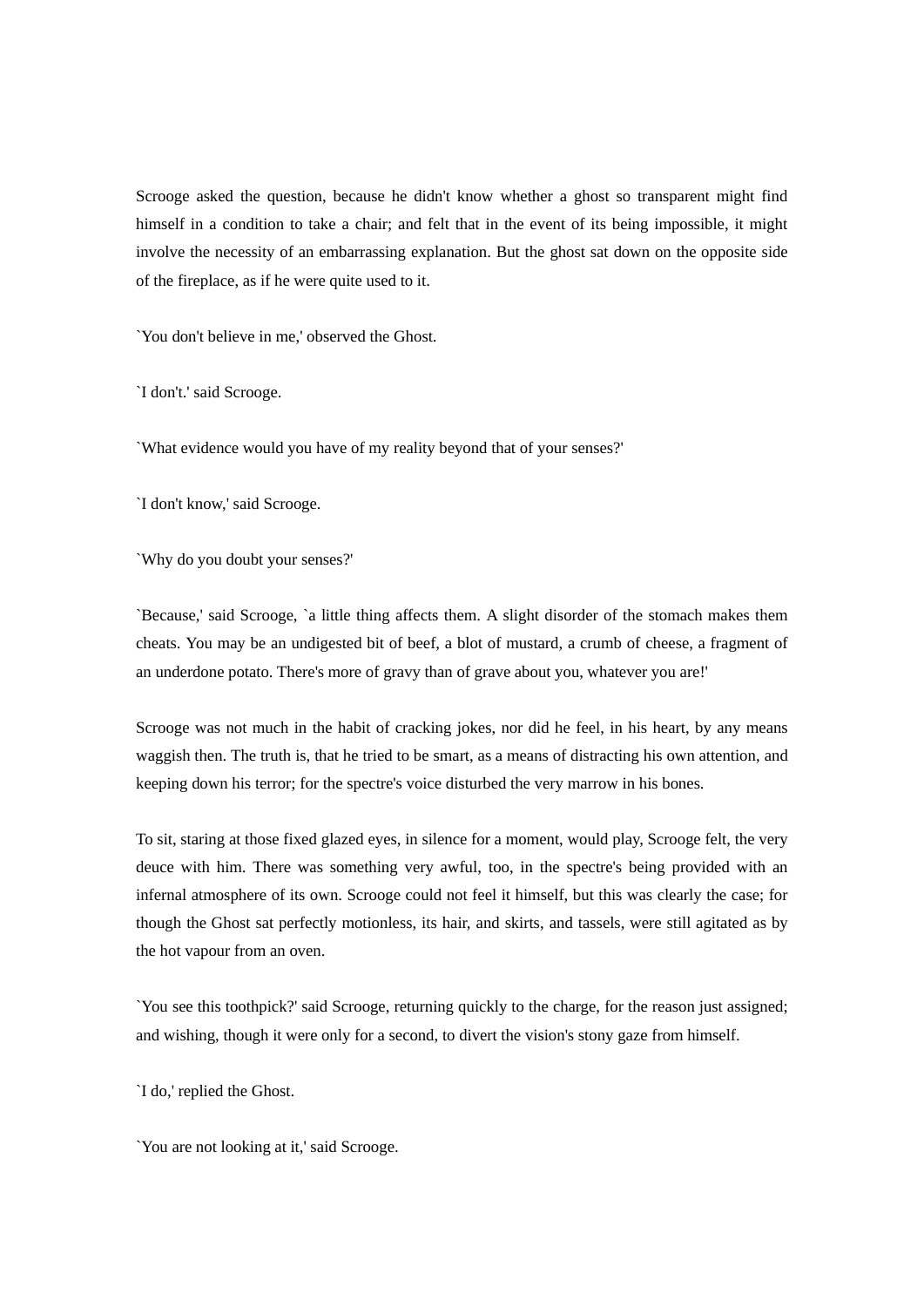Scrooge asked the question, because he didn't know whether a ghost so transparent might find himself in a condition to take a chair; and felt that in the event of its being impossible, it might involve the necessity of an embarrassing explanation. But the ghost sat down on the opposite side of the fireplace, as if he were quite used to it.

`You don't believe in me,' observed the Ghost.

`I don't.' said Scrooge.

`What evidence would you have of my reality beyond that of your senses?'

`I don't know,' said Scrooge.

`Why do you doubt your senses?'

`Because,' said Scrooge, `a little thing affects them. A slight disorder of the stomach makes them cheats. You may be an undigested bit of beef, a blot of mustard, a crumb of cheese, a fragment of an underdone potato. There's more of gravy than of grave about you, whatever you are!'

Scrooge was not much in the habit of cracking jokes, nor did he feel, in his heart, by any means waggish then. The truth is, that he tried to be smart, as a means of distracting his own attention, and keeping down his terror; for the spectre's voice disturbed the very marrow in his bones.

To sit, staring at those fixed glazed eyes, in silence for a moment, would play, Scrooge felt, the very deuce with him. There was something very awful, too, in the spectre's being provided with an infernal atmosphere of its own. Scrooge could not feel it himself, but this was clearly the case; for though the Ghost sat perfectly motionless, its hair, and skirts, and tassels, were still agitated as by the hot vapour from an oven.

`You see this toothpick?' said Scrooge, returning quickly to the charge, for the reason just assigned; and wishing, though it were only for a second, to divert the vision's stony gaze from himself.

`I do,' replied the Ghost.

`You are not looking at it,' said Scrooge.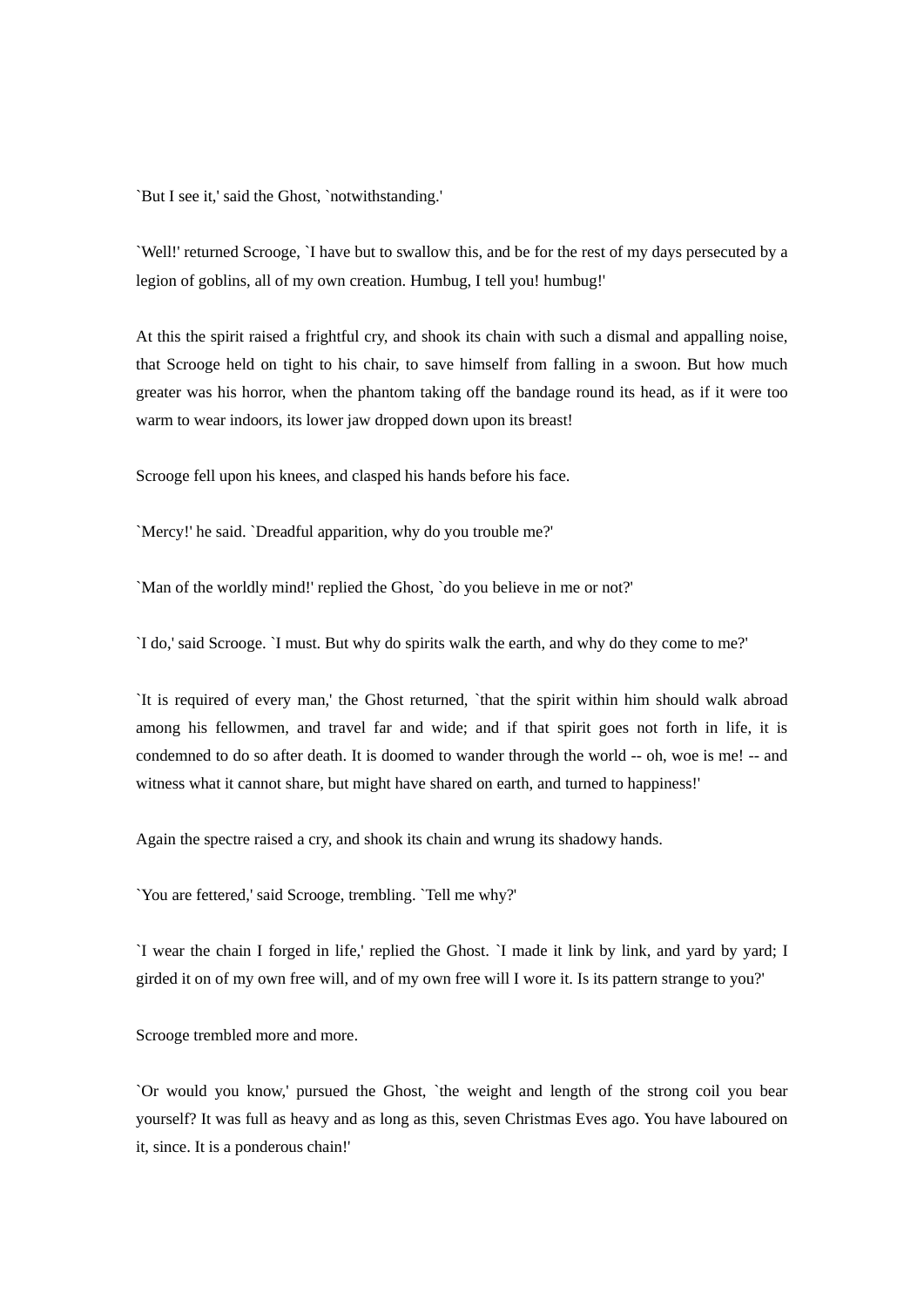`But I see it,' said the Ghost, `notwithstanding.'

`Well!' returned Scrooge, `I have but to swallow this, and be for the rest of my days persecuted by a legion of goblins, all of my own creation. Humbug, I tell you! humbug!'

At this the spirit raised a frightful cry, and shook its chain with such a dismal and appalling noise, that Scrooge held on tight to his chair, to save himself from falling in a swoon. But how much greater was his horror, when the phantom taking off the bandage round its head, as if it were too warm to wear indoors, its lower jaw dropped down upon its breast!

Scrooge fell upon his knees, and clasped his hands before his face.

`Mercy!' he said. `Dreadful apparition, why do you trouble me?'

`Man of the worldly mind!' replied the Ghost, `do you believe in me or not?'

`I do,' said Scrooge. `I must. But why do spirits walk the earth, and why do they come to me?'

`It is required of every man,' the Ghost returned, `that the spirit within him should walk abroad among his fellowmen, and travel far and wide; and if that spirit goes not forth in life, it is condemned to do so after death. It is doomed to wander through the world -- oh, woe is me! -- and witness what it cannot share, but might have shared on earth, and turned to happiness!'

Again the spectre raised a cry, and shook its chain and wrung its shadowy hands.

`You are fettered,' said Scrooge, trembling. `Tell me why?'

`I wear the chain I forged in life,' replied the Ghost. `I made it link by link, and yard by yard; I girded it on of my own free will, and of my own free will I wore it. Is its pattern strange to you?'

Scrooge trembled more and more.

`Or would you know,' pursued the Ghost, `the weight and length of the strong coil you bear yourself? It was full as heavy and as long as this, seven Christmas Eves ago. You have laboured on it, since. It is a ponderous chain!'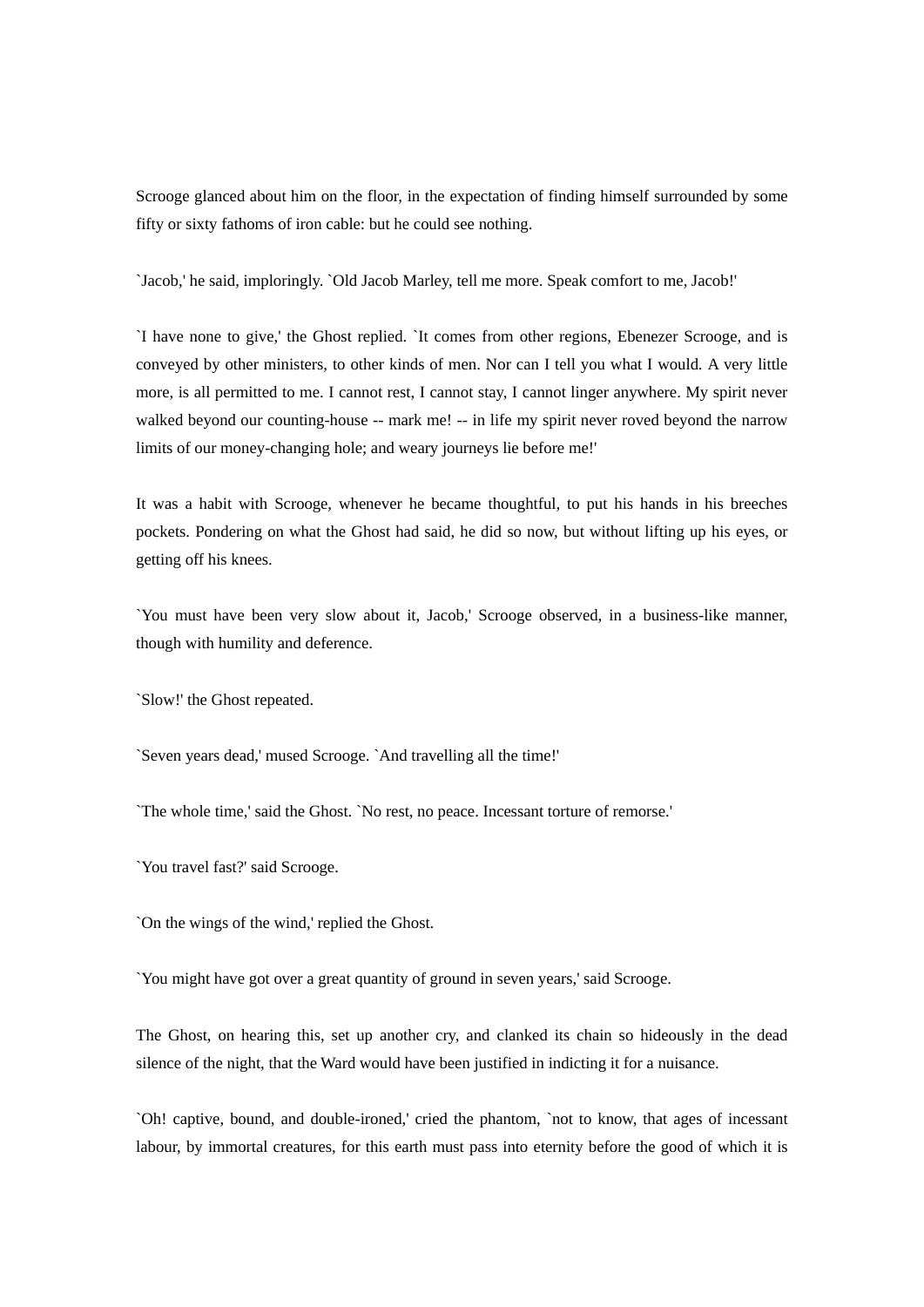Scrooge glanced about him on the floor, in the expectation of finding himself surrounded by some fifty or sixty fathoms of iron cable: but he could see nothing.

`Jacob,' he said, imploringly. `Old Jacob Marley, tell me more. Speak comfort to me, Jacob!'

`I have none to give,' the Ghost replied. `It comes from other regions, Ebenezer Scrooge, and is conveyed by other ministers, to other kinds of men. Nor can I tell you what I would. A very little more, is all permitted to me. I cannot rest, I cannot stay, I cannot linger anywhere. My spirit never walked beyond our counting-house -- mark me! -- in life my spirit never roved beyond the narrow limits of our money-changing hole; and weary journeys lie before me!'

It was a habit with Scrooge, whenever he became thoughtful, to put his hands in his breeches pockets. Pondering on what the Ghost had said, he did so now, but without lifting up his eyes, or getting off his knees.

`You must have been very slow about it, Jacob,' Scrooge observed, in a business-like manner, though with humility and deference.

`Slow!' the Ghost repeated.

`Seven years dead,' mused Scrooge. `And travelling all the time!'

`The whole time,' said the Ghost. `No rest, no peace. Incessant torture of remorse.'

`You travel fast?' said Scrooge.

`On the wings of the wind,' replied the Ghost.

`You might have got over a great quantity of ground in seven years,' said Scrooge.

The Ghost, on hearing this, set up another cry, and clanked its chain so hideously in the dead silence of the night, that the Ward would have been justified in indicting it for a nuisance.

`Oh! captive, bound, and double-ironed,' cried the phantom, `not to know, that ages of incessant labour, by immortal creatures, for this earth must pass into eternity before the good of which it is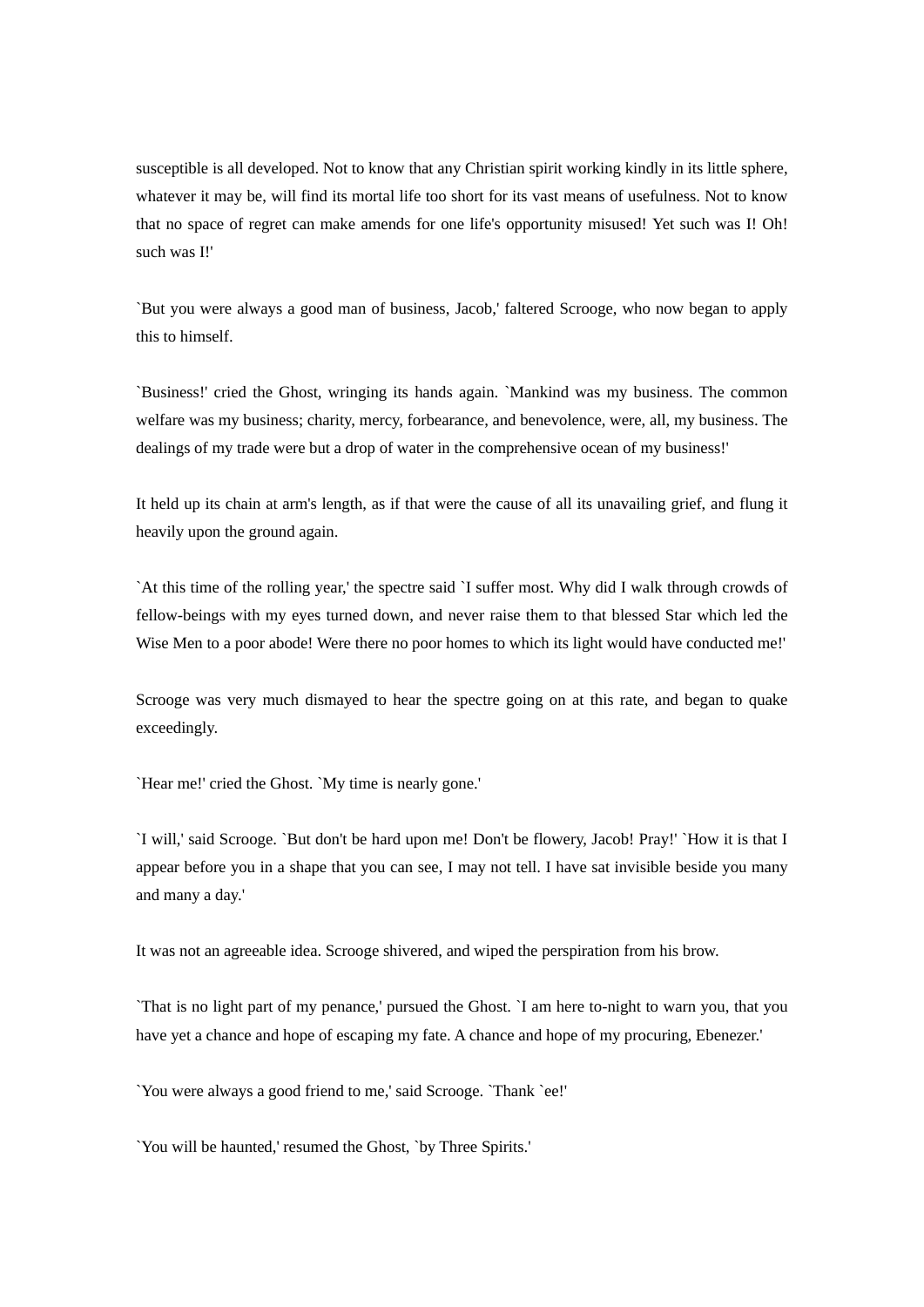susceptible is all developed. Not to know that any Christian spirit working kindly in its little sphere, whatever it may be, will find its mortal life too short for its vast means of usefulness. Not to know that no space of regret can make amends for one life's opportunity misused! Yet such was I! Oh! such was I!'

`But you were always a good man of business, Jacob,' faltered Scrooge, who now began to apply this to himself.

`Business!' cried the Ghost, wringing its hands again. `Mankind was my business. The common welfare was my business; charity, mercy, forbearance, and benevolence, were, all, my business. The dealings of my trade were but a drop of water in the comprehensive ocean of my business!'

It held up its chain at arm's length, as if that were the cause of all its unavailing grief, and flung it heavily upon the ground again.

`At this time of the rolling year,' the spectre said `I suffer most. Why did I walk through crowds of fellow-beings with my eyes turned down, and never raise them to that blessed Star which led the Wise Men to a poor abode! Were there no poor homes to which its light would have conducted me!'

Scrooge was very much dismayed to hear the spectre going on at this rate, and began to quake exceedingly.

`Hear me!' cried the Ghost. `My time is nearly gone.'

`I will,' said Scrooge. `But don't be hard upon me! Don't be flowery, Jacob! Pray!' `How it is that I appear before you in a shape that you can see, I may not tell. I have sat invisible beside you many and many a day.'

It was not an agreeable idea. Scrooge shivered, and wiped the perspiration from his brow.

`That is no light part of my penance,' pursued the Ghost. `I am here to-night to warn you, that you have yet a chance and hope of escaping my fate. A chance and hope of my procuring, Ebenezer.'

`You were always a good friend to me,' said Scrooge. `Thank `ee!'

`You will be haunted,' resumed the Ghost, `by Three Spirits.'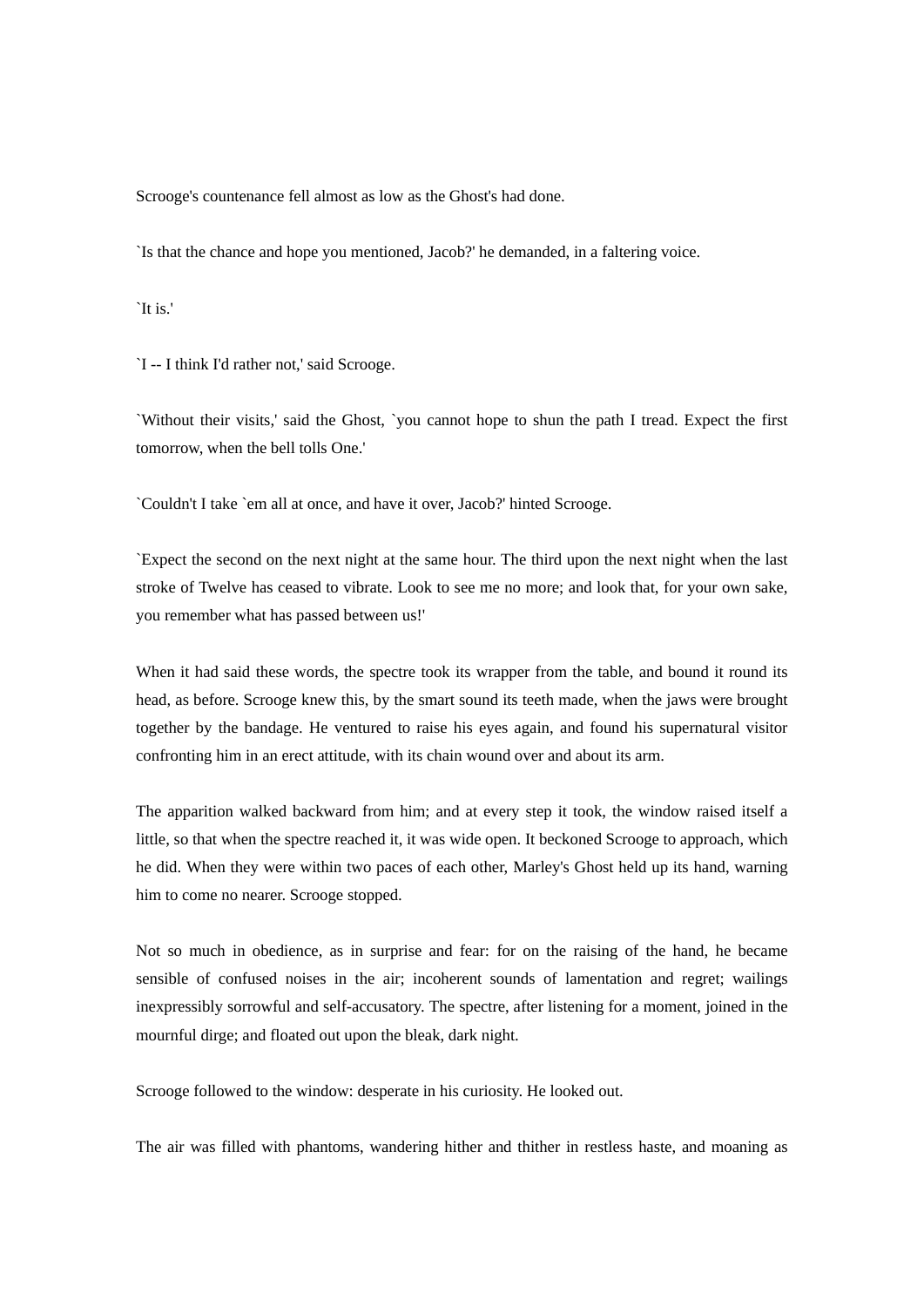Scrooge's countenance fell almost as low as the Ghost's had done.

`Is that the chance and hope you mentioned, Jacob?' he demanded, in a faltering voice.

`It is.'

`I -- I think I'd rather not,' said Scrooge.

`Without their visits,' said the Ghost, `you cannot hope to shun the path I tread. Expect the first tomorrow, when the bell tolls One.'

`Couldn't I take `em all at once, and have it over, Jacob?' hinted Scrooge.

`Expect the second on the next night at the same hour. The third upon the next night when the last stroke of Twelve has ceased to vibrate. Look to see me no more; and look that, for your own sake, you remember what has passed between us!'

When it had said these words, the spectre took its wrapper from the table, and bound it round its head, as before. Scrooge knew this, by the smart sound its teeth made, when the jaws were brought together by the bandage. He ventured to raise his eyes again, and found his supernatural visitor confronting him in an erect attitude, with its chain wound over and about its arm.

The apparition walked backward from him; and at every step it took, the window raised itself a little, so that when the spectre reached it, it was wide open. It beckoned Scrooge to approach, which he did. When they were within two paces of each other, Marley's Ghost held up its hand, warning him to come no nearer. Scrooge stopped.

Not so much in obedience, as in surprise and fear: for on the raising of the hand, he became sensible of confused noises in the air; incoherent sounds of lamentation and regret; wailings inexpressibly sorrowful and self-accusatory. The spectre, after listening for a moment, joined in the mournful dirge; and floated out upon the bleak, dark night.

Scrooge followed to the window: desperate in his curiosity. He looked out.

The air was filled with phantoms, wandering hither and thither in restless haste, and moaning as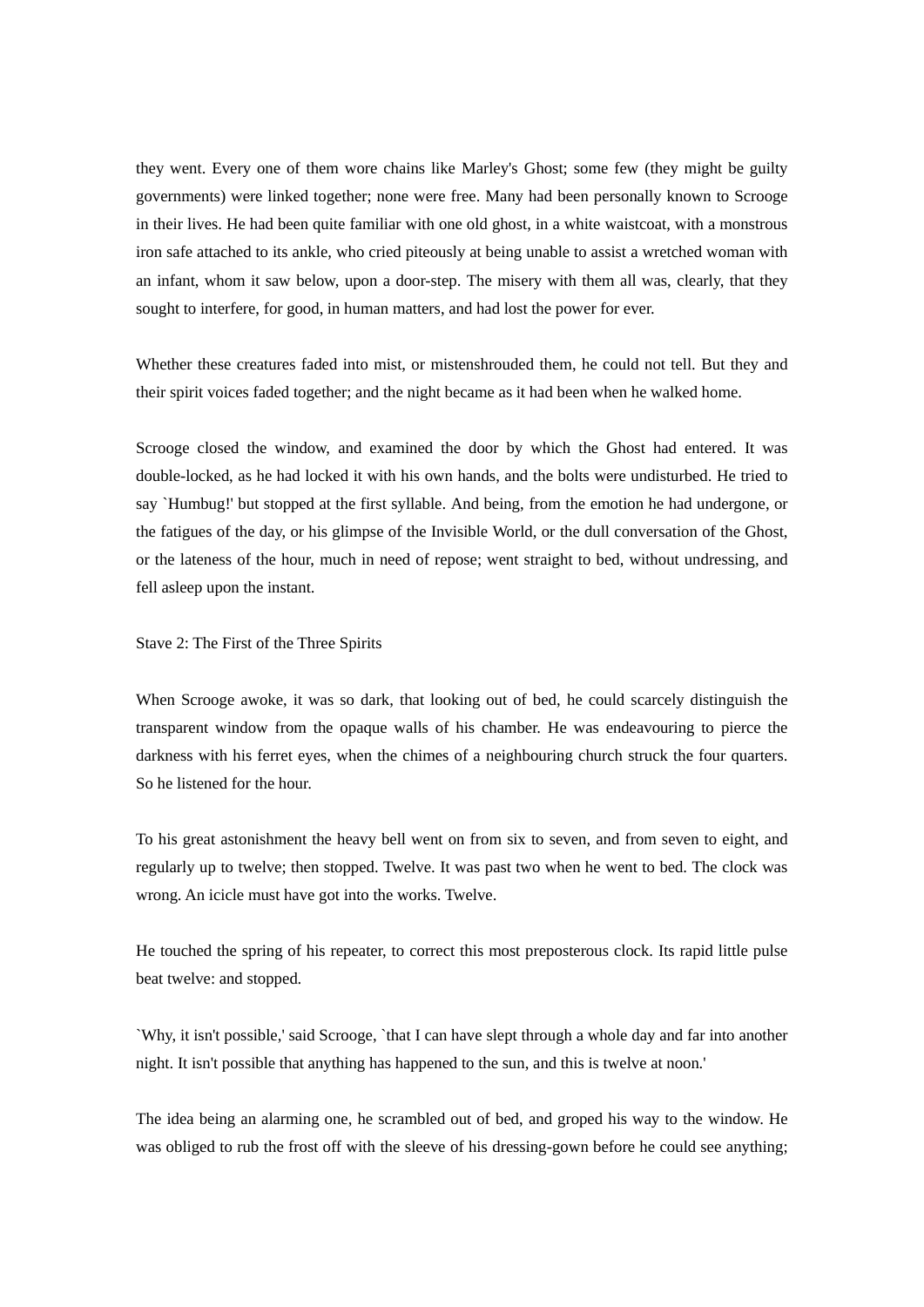they went. Every one of them wore chains like Marley's Ghost; some few (they might be guilty governments) were linked together; none were free. Many had been personally known to Scrooge in their lives. He had been quite familiar with one old ghost, in a white waistcoat, with a monstrous iron safe attached to its ankle, who cried piteously at being unable to assist a wretched woman with an infant, whom it saw below, upon a door-step. The misery with them all was, clearly, that they sought to interfere, for good, in human matters, and had lost the power for ever.

Whether these creatures faded into mist, or mistenshrouded them, he could not tell. But they and their spirit voices faded together; and the night became as it had been when he walked home.

Scrooge closed the window, and examined the door by which the Ghost had entered. It was double-locked, as he had locked it with his own hands, and the bolts were undisturbed. He tried to say `Humbug!' but stopped at the first syllable. And being, from the emotion he had undergone, or the fatigues of the day, or his glimpse of the Invisible World, or the dull conversation of the Ghost, or the lateness of the hour, much in need of repose; went straight to bed, without undressing, and fell asleep upon the instant.

## Stave 2: The First of the Three Spirits

When Scrooge awoke, it was so dark, that looking out of bed, he could scarcely distinguish the transparent window from the opaque walls of his chamber. He was endeavouring to pierce the darkness with his ferret eyes, when the chimes of a neighbouring church struck the four quarters. So he listened for the hour.

To his great astonishment the heavy bell went on from six to seven, and from seven to eight, and regularly up to twelve; then stopped. Twelve. It was past two when he went to bed. The clock was wrong. An icicle must have got into the works. Twelve.

He touched the spring of his repeater, to correct this most preposterous clock. Its rapid little pulse beat twelve: and stopped.

`Why, it isn't possible,' said Scrooge, `that I can have slept through a whole day and far into another night. It isn't possible that anything has happened to the sun, and this is twelve at noon.'

The idea being an alarming one, he scrambled out of bed, and groped his way to the window. He was obliged to rub the frost off with the sleeve of his dressing-gown before he could see anything;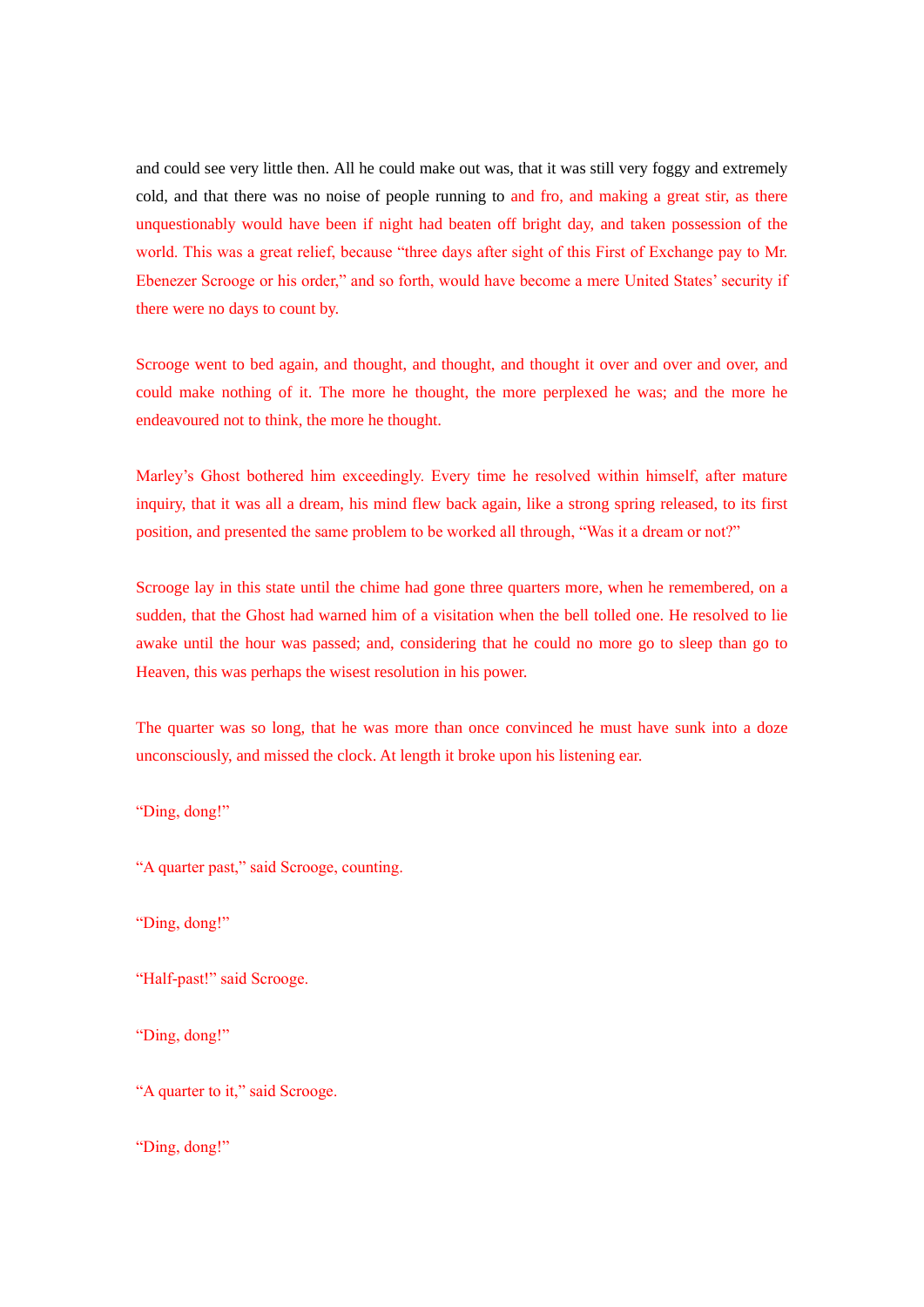and could see very little then. All he could make out was, that it was still very foggy and extremely cold, and that there was no noise of people running to and fro, and making a great stir, as there unquestionably would have been if night had beaten off bright day, and taken possession of the world. This was a great relief, because "three days after sight of this First of Exchange pay to Mr. Ebenezer Scrooge or his order," and so forth, would have become a mere United States' security if there were no days to count by.

Scrooge went to bed again, and thought, and thought, and thought it over and over and over, and could make nothing of it. The more he thought, the more perplexed he was; and the more he endeavoured not to think, the more he thought.

Marley's Ghost bothered him exceedingly. Every time he resolved within himself, after mature inquiry, that it was all a dream, his mind flew back again, like a strong spring released, to its first position, and presented the same problem to be worked all through, "Was it a dream or not?"

Scrooge lay in this state until the chime had gone three quarters more, when he remembered, on a sudden, that the Ghost had warned him of a visitation when the bell tolled one. He resolved to lie awake until the hour was passed; and, considering that he could no more go to sleep than go to Heaven, this was perhaps the wisest resolution in his power.

The quarter was so long, that he was more than once convinced he must have sunk into a doze unconsciously, and missed the clock. At length it broke upon his listening ear.

"Ding, dong!"

"A quarter past," said Scrooge, counting.

"Ding, dong!"

"Half-past!" said Scrooge.

"Ding, dong!"

"A quarter to it," said Scrooge.

"Ding, dong!"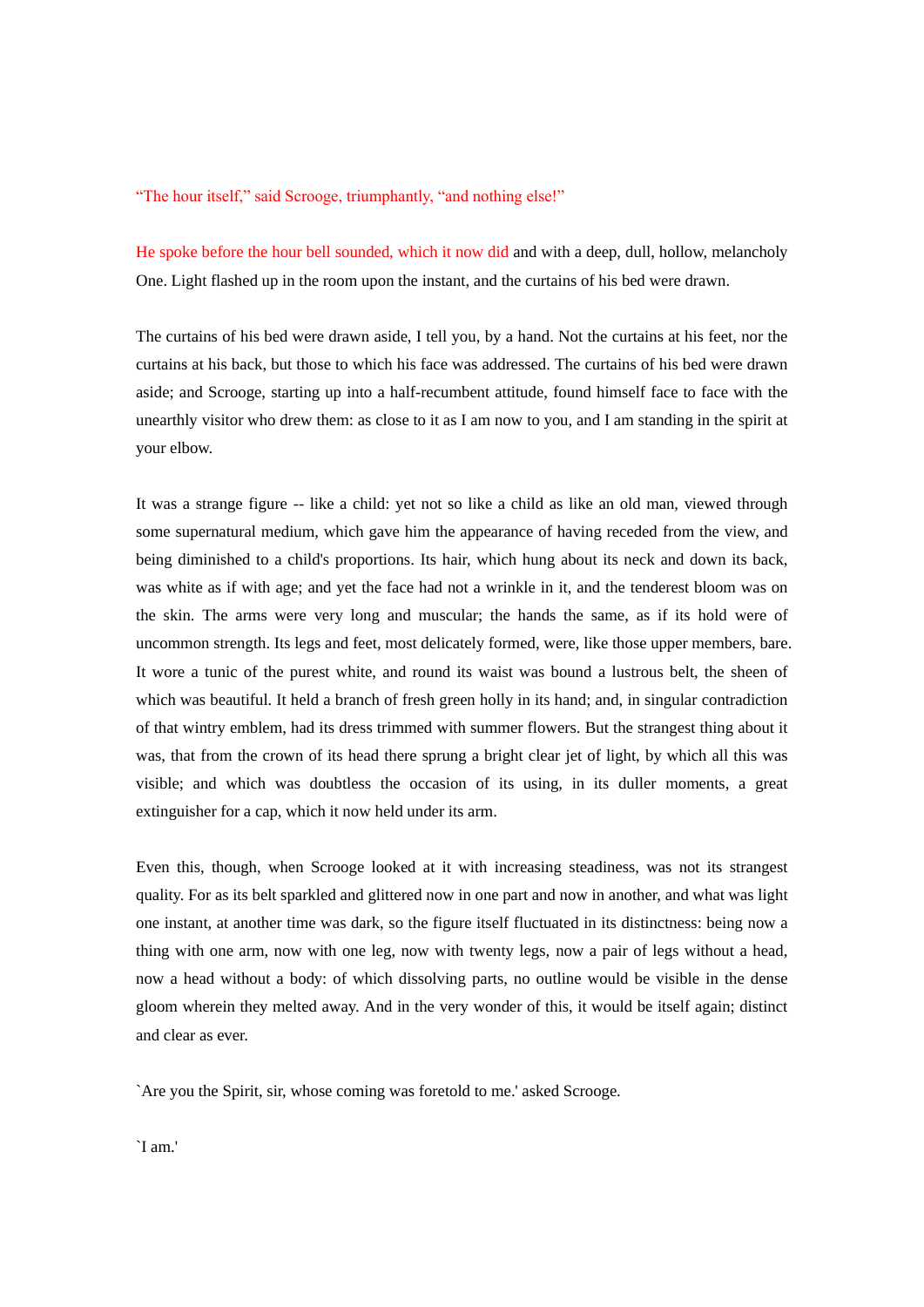"The hour itself," said Scrooge, triumphantly, "and nothing else!"

He spoke before the hour bell sounded, which it now did and with a deep, dull, hollow, melancholy One. Light flashed up in the room upon the instant, and the curtains of his bed were drawn.

The curtains of his bed were drawn aside, I tell you, by a hand. Not the curtains at his feet, nor the curtains at his back, but those to which his face was addressed. The curtains of his bed were drawn aside; and Scrooge, starting up into a half-recumbent attitude, found himself face to face with the unearthly visitor who drew them: as close to it as I am now to you, and I am standing in the spirit at your elbow.

It was a strange figure -- like a child: yet not so like a child as like an old man, viewed through some supernatural medium, which gave him the appearance of having receded from the view, and being diminished to a child's proportions. Its hair, which hung about its neck and down its back, was white as if with age; and yet the face had not a wrinkle in it, and the tenderest bloom was on the skin. The arms were very long and muscular; the hands the same, as if its hold were of uncommon strength. Its legs and feet, most delicately formed, were, like those upper members, bare. It wore a tunic of the purest white, and round its waist was bound a lustrous belt, the sheen of which was beautiful. It held a branch of fresh green holly in its hand; and, in singular contradiction of that wintry emblem, had its dress trimmed with summer flowers. But the strangest thing about it was, that from the crown of its head there sprung a bright clear jet of light, by which all this was visible; and which was doubtless the occasion of its using, in its duller moments, a great extinguisher for a cap, which it now held under its arm.

Even this, though, when Scrooge looked at it with increasing steadiness, was not its strangest quality. For as its belt sparkled and glittered now in one part and now in another, and what was light one instant, at another time was dark, so the figure itself fluctuated in its distinctness: being now a thing with one arm, now with one leg, now with twenty legs, now a pair of legs without a head, now a head without a body: of which dissolving parts, no outline would be visible in the dense gloom wherein they melted away. And in the very wonder of this, it would be itself again; distinct and clear as ever.

`Are you the Spirit, sir, whose coming was foretold to me.' asked Scrooge.

`I am.'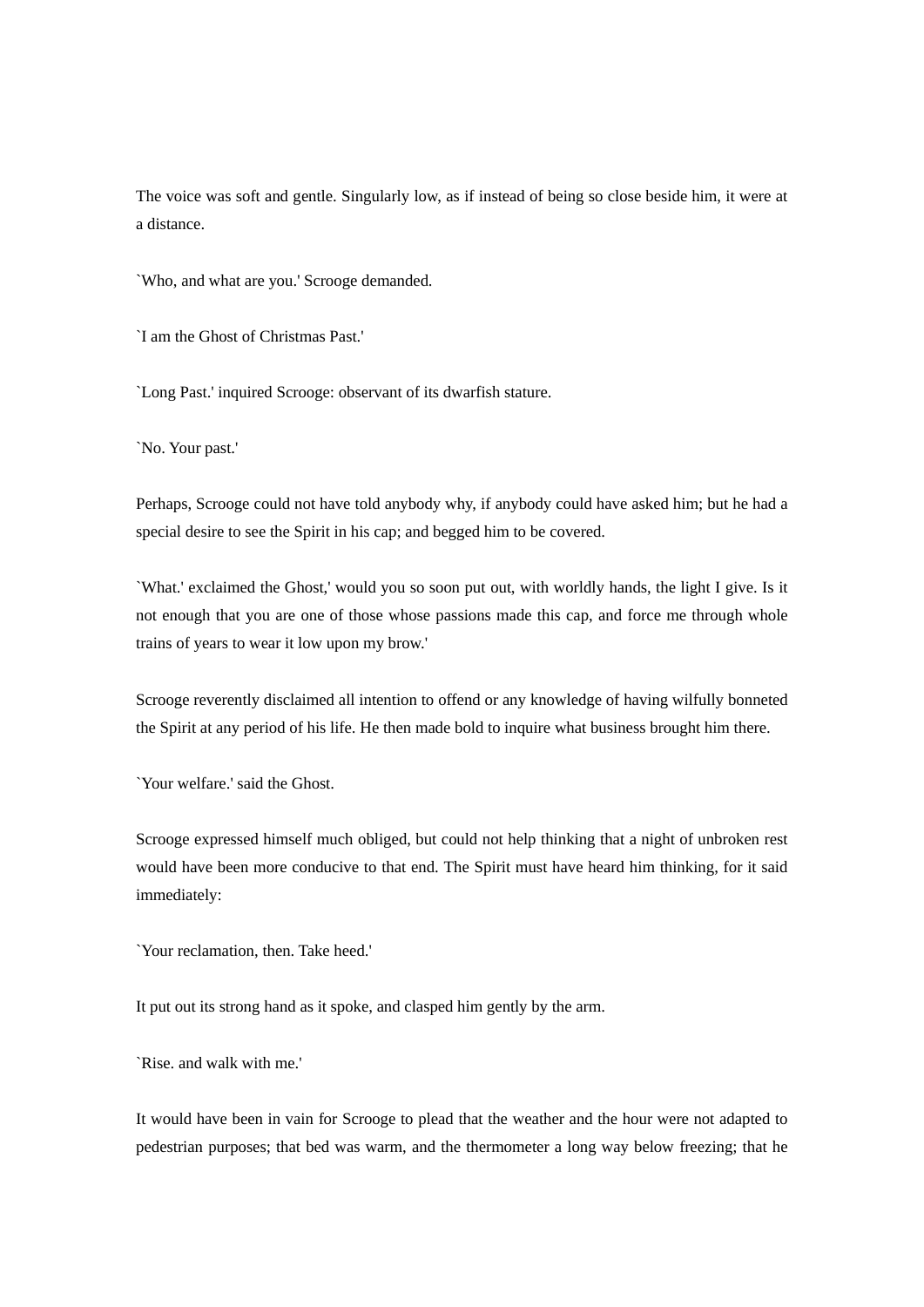The voice was soft and gentle. Singularly low, as if instead of being so close beside him, it were at a distance.

`Who, and what are you.' Scrooge demanded.

`I am the Ghost of Christmas Past.'

`Long Past.' inquired Scrooge: observant of its dwarfish stature.

`No. Your past.'

Perhaps, Scrooge could not have told anybody why, if anybody could have asked him; but he had a special desire to see the Spirit in his cap; and begged him to be covered.

`What.' exclaimed the Ghost,' would you so soon put out, with worldly hands, the light I give. Is it not enough that you are one of those whose passions made this cap, and force me through whole trains of years to wear it low upon my brow.'

Scrooge reverently disclaimed all intention to offend or any knowledge of having wilfully bonneted the Spirit at any period of his life. He then made bold to inquire what business brought him there.

`Your welfare.' said the Ghost.

Scrooge expressed himself much obliged, but could not help thinking that a night of unbroken rest would have been more conducive to that end. The Spirit must have heard him thinking, for it said immediately:

`Your reclamation, then. Take heed.'

It put out its strong hand as it spoke, and clasped him gently by the arm.

`Rise. and walk with me.'

It would have been in vain for Scrooge to plead that the weather and the hour were not adapted to pedestrian purposes; that bed was warm, and the thermometer a long way below freezing; that he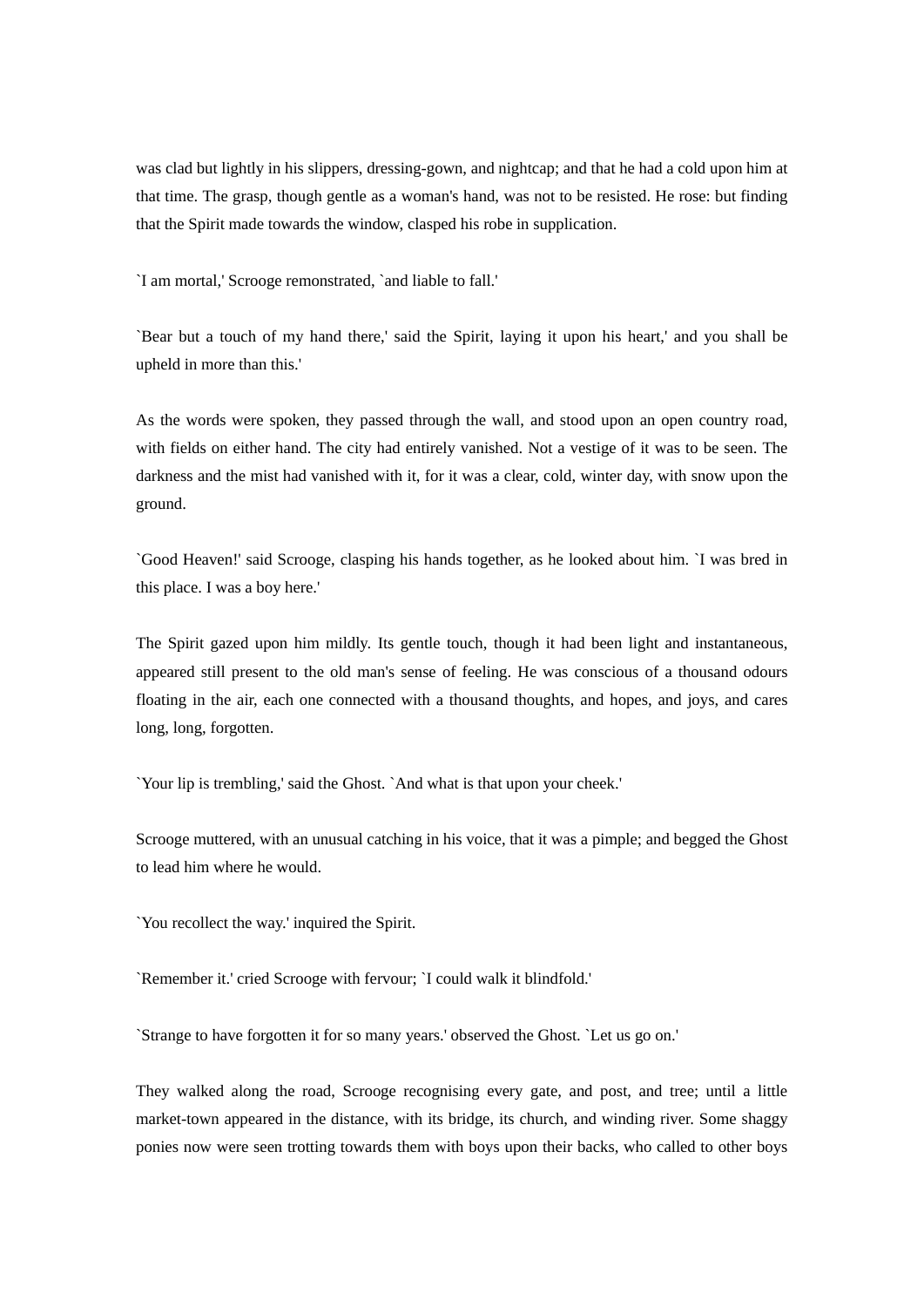was clad but lightly in his slippers, dressing-gown, and nightcap; and that he had a cold upon him at that time. The grasp, though gentle as a woman's hand, was not to be resisted. He rose: but finding that the Spirit made towards the window, clasped his robe in supplication.

`I am mortal,' Scrooge remonstrated, `and liable to fall.'

`Bear but a touch of my hand there,' said the Spirit, laying it upon his heart,' and you shall be upheld in more than this.'

As the words were spoken, they passed through the wall, and stood upon an open country road, with fields on either hand. The city had entirely vanished. Not a vestige of it was to be seen. The darkness and the mist had vanished with it, for it was a clear, cold, winter day, with snow upon the ground.

`Good Heaven!' said Scrooge, clasping his hands together, as he looked about him. `I was bred in this place. I was a boy here.'

The Spirit gazed upon him mildly. Its gentle touch, though it had been light and instantaneous, appeared still present to the old man's sense of feeling. He was conscious of a thousand odours floating in the air, each one connected with a thousand thoughts, and hopes, and joys, and cares long, long, forgotten.

`Your lip is trembling,' said the Ghost. `And what is that upon your cheek.'

Scrooge muttered, with an unusual catching in his voice, that it was a pimple; and begged the Ghost to lead him where he would.

`You recollect the way.' inquired the Spirit.

`Remember it.' cried Scrooge with fervour; `I could walk it blindfold.'

`Strange to have forgotten it for so many years.' observed the Ghost. `Let us go on.'

They walked along the road, Scrooge recognising every gate, and post, and tree; until a little market-town appeared in the distance, with its bridge, its church, and winding river. Some shaggy ponies now were seen trotting towards them with boys upon their backs, who called to other boys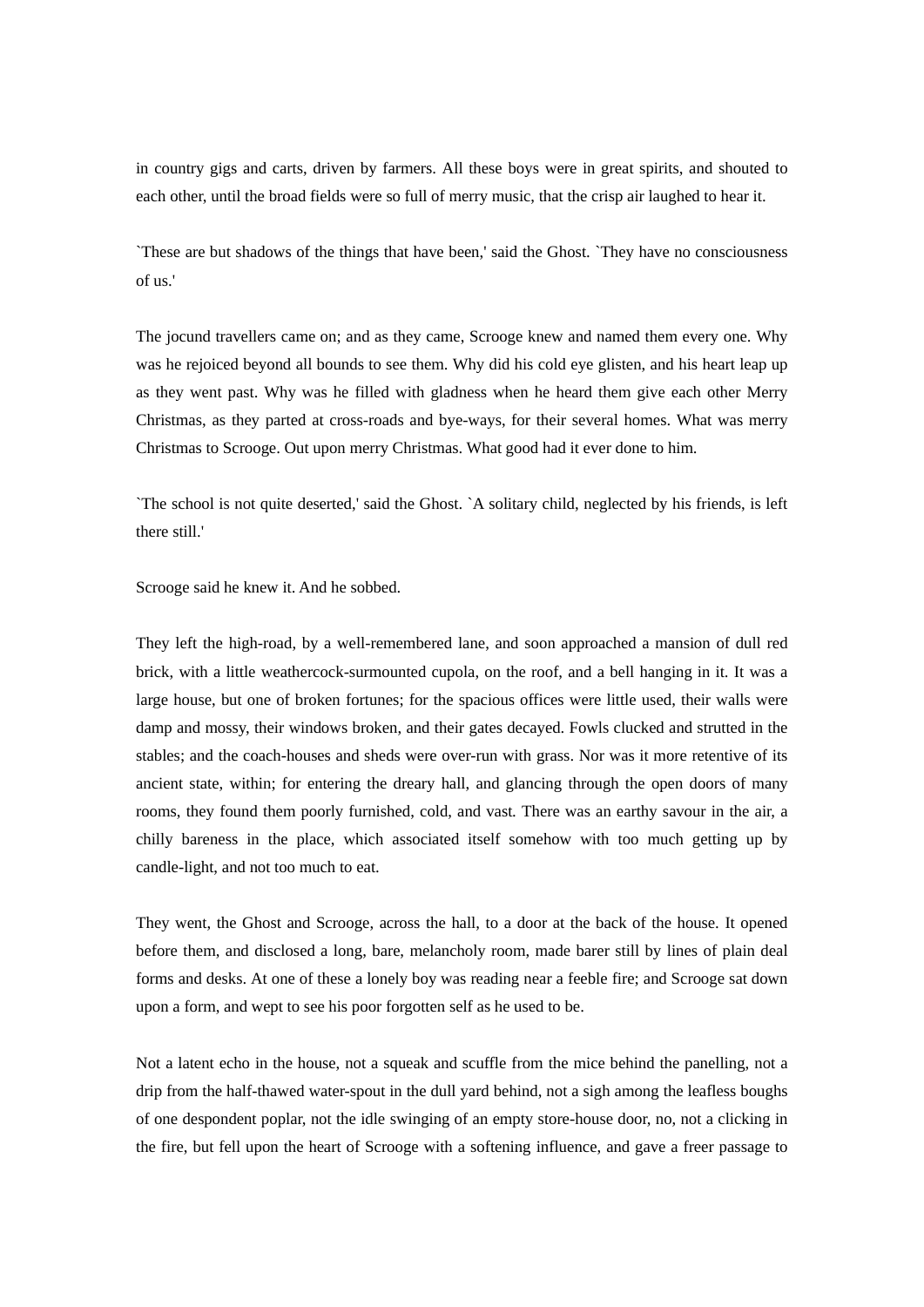in country gigs and carts, driven by farmers. All these boys were in great spirits, and shouted to each other, until the broad fields were so full of merry music, that the crisp air laughed to hear it.

`These are but shadows of the things that have been,' said the Ghost. `They have no consciousness of us.'

The jocund travellers came on; and as they came, Scrooge knew and named them every one. Why was he rejoiced beyond all bounds to see them. Why did his cold eye glisten, and his heart leap up as they went past. Why was he filled with gladness when he heard them give each other Merry Christmas, as they parted at cross-roads and bye-ways, for their several homes. What was merry Christmas to Scrooge. Out upon merry Christmas. What good had it ever done to him.

`The school is not quite deserted,' said the Ghost. `A solitary child, neglected by his friends, is left there still.'

Scrooge said he knew it. And he sobbed.

They left the high-road, by a well-remembered lane, and soon approached a mansion of dull red brick, with a little weathercock-surmounted cupola, on the roof, and a bell hanging in it. It was a large house, but one of broken fortunes; for the spacious offices were little used, their walls were damp and mossy, their windows broken, and their gates decayed. Fowls clucked and strutted in the stables; and the coach-houses and sheds were over-run with grass. Nor was it more retentive of its ancient state, within; for entering the dreary hall, and glancing through the open doors of many rooms, they found them poorly furnished, cold, and vast. There was an earthy savour in the air, a chilly bareness in the place, which associated itself somehow with too much getting up by candle-light, and not too much to eat.

They went, the Ghost and Scrooge, across the hall, to a door at the back of the house. It opened before them, and disclosed a long, bare, melancholy room, made barer still by lines of plain deal forms and desks. At one of these a lonely boy was reading near a feeble fire; and Scrooge sat down upon a form, and wept to see his poor forgotten self as he used to be.

Not a latent echo in the house, not a squeak and scuffle from the mice behind the panelling, not a drip from the half-thawed water-spout in the dull yard behind, not a sigh among the leafless boughs of one despondent poplar, not the idle swinging of an empty store-house door, no, not a clicking in the fire, but fell upon the heart of Scrooge with a softening influence, and gave a freer passage to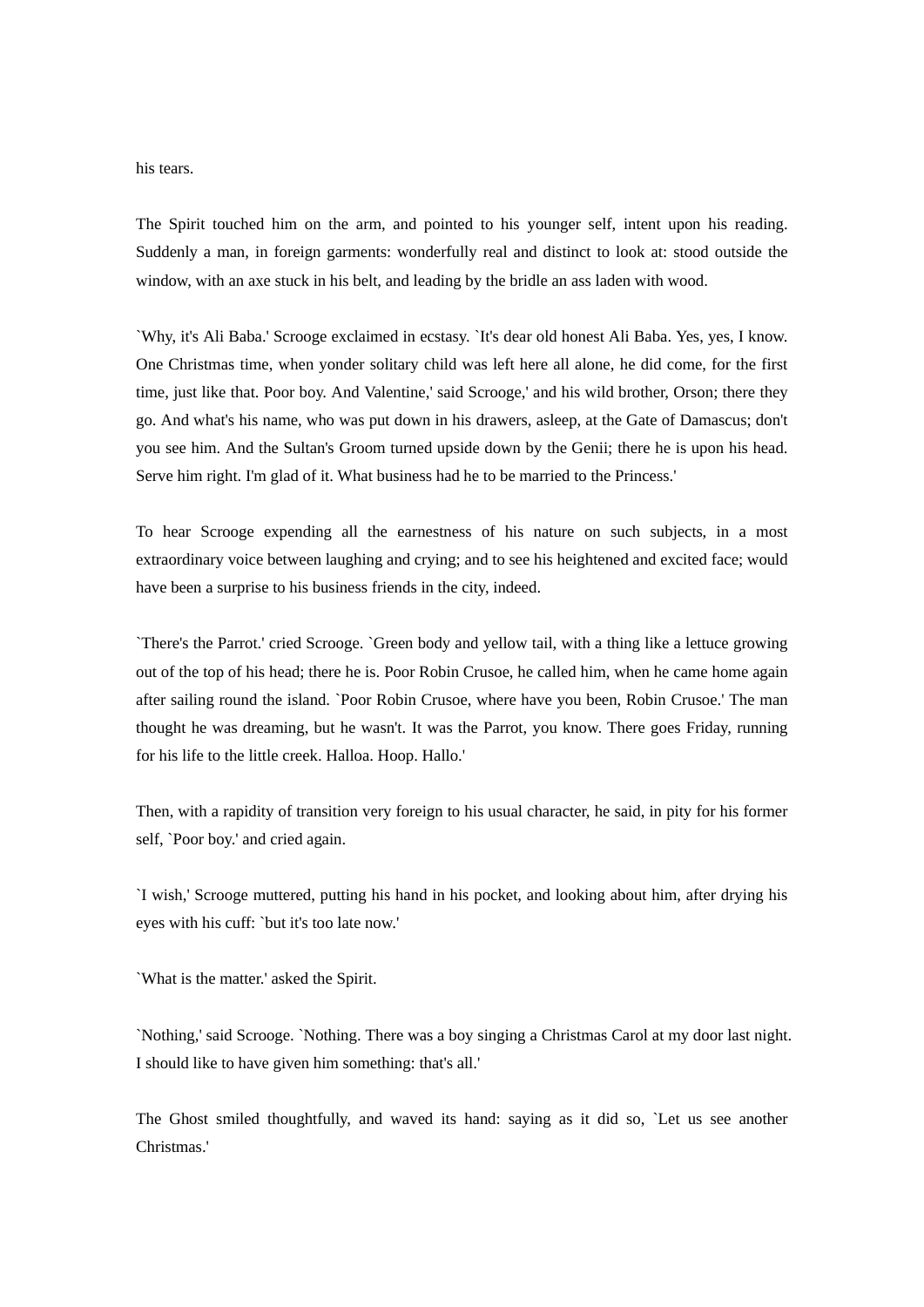## his tears.

The Spirit touched him on the arm, and pointed to his younger self, intent upon his reading. Suddenly a man, in foreign garments: wonderfully real and distinct to look at: stood outside the window, with an axe stuck in his belt, and leading by the bridle an ass laden with wood.

`Why, it's Ali Baba.' Scrooge exclaimed in ecstasy. `It's dear old honest Ali Baba. Yes, yes, I know. One Christmas time, when yonder solitary child was left here all alone, he did come, for the first time, just like that. Poor boy. And Valentine,' said Scrooge,' and his wild brother, Orson; there they go. And what's his name, who was put down in his drawers, asleep, at the Gate of Damascus; don't you see him. And the Sultan's Groom turned upside down by the Genii; there he is upon his head. Serve him right. I'm glad of it. What business had he to be married to the Princess.'

To hear Scrooge expending all the earnestness of his nature on such subjects, in a most extraordinary voice between laughing and crying; and to see his heightened and excited face; would have been a surprise to his business friends in the city, indeed.

`There's the Parrot.' cried Scrooge. `Green body and yellow tail, with a thing like a lettuce growing out of the top of his head; there he is. Poor Robin Crusoe, he called him, when he came home again after sailing round the island. `Poor Robin Crusoe, where have you been, Robin Crusoe.' The man thought he was dreaming, but he wasn't. It was the Parrot, you know. There goes Friday, running for his life to the little creek. Halloa. Hoop. Hallo.'

Then, with a rapidity of transition very foreign to his usual character, he said, in pity for his former self, `Poor boy.' and cried again.

`I wish,' Scrooge muttered, putting his hand in his pocket, and looking about him, after drying his eyes with his cuff: `but it's too late now.'

`What is the matter.' asked the Spirit.

`Nothing,' said Scrooge. `Nothing. There was a boy singing a Christmas Carol at my door last night. I should like to have given him something: that's all.'

The Ghost smiled thoughtfully, and waved its hand: saying as it did so, `Let us see another Christmas.'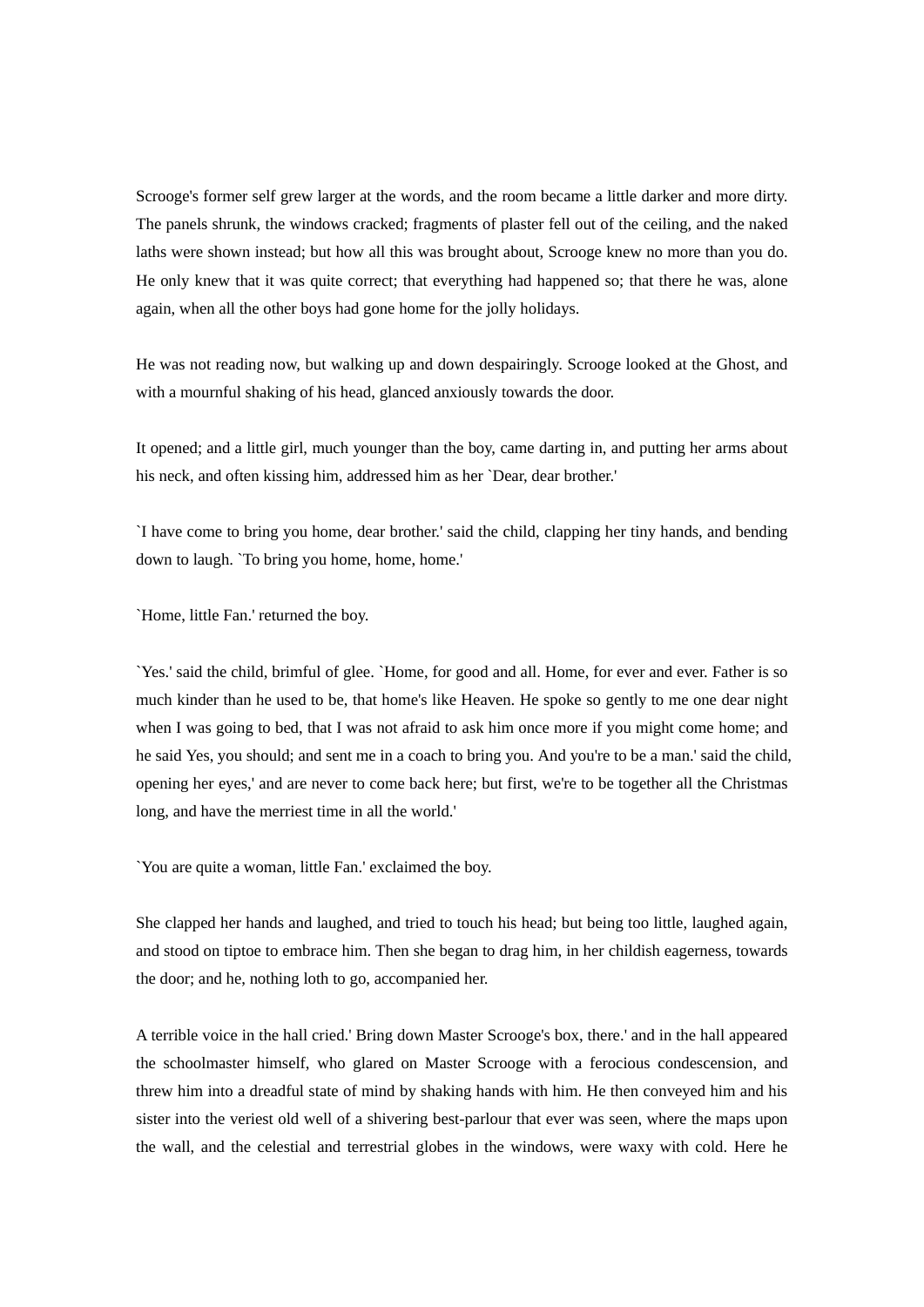Scrooge's former self grew larger at the words, and the room became a little darker and more dirty. The panels shrunk, the windows cracked; fragments of plaster fell out of the ceiling, and the naked laths were shown instead; but how all this was brought about, Scrooge knew no more than you do. He only knew that it was quite correct; that everything had happened so; that there he was, alone again, when all the other boys had gone home for the jolly holidays.

He was not reading now, but walking up and down despairingly. Scrooge looked at the Ghost, and with a mournful shaking of his head, glanced anxiously towards the door.

It opened; and a little girl, much younger than the boy, came darting in, and putting her arms about his neck, and often kissing him, addressed him as her `Dear, dear brother.'

`I have come to bring you home, dear brother.' said the child, clapping her tiny hands, and bending down to laugh. `To bring you home, home, home.'

`Home, little Fan.' returned the boy.

`Yes.' said the child, brimful of glee. `Home, for good and all. Home, for ever and ever. Father is so much kinder than he used to be, that home's like Heaven. He spoke so gently to me one dear night when I was going to bed, that I was not afraid to ask him once more if you might come home; and he said Yes, you should; and sent me in a coach to bring you. And you're to be a man.' said the child, opening her eyes,' and are never to come back here; but first, we're to be together all the Christmas long, and have the merriest time in all the world.'

`You are quite a woman, little Fan.' exclaimed the boy.

She clapped her hands and laughed, and tried to touch his head; but being too little, laughed again, and stood on tiptoe to embrace him. Then she began to drag him, in her childish eagerness, towards the door; and he, nothing loth to go, accompanied her.

A terrible voice in the hall cried.' Bring down Master Scrooge's box, there.' and in the hall appeared the schoolmaster himself, who glared on Master Scrooge with a ferocious condescension, and threw him into a dreadful state of mind by shaking hands with him. He then conveyed him and his sister into the veriest old well of a shivering best-parlour that ever was seen, where the maps upon the wall, and the celestial and terrestrial globes in the windows, were waxy with cold. Here he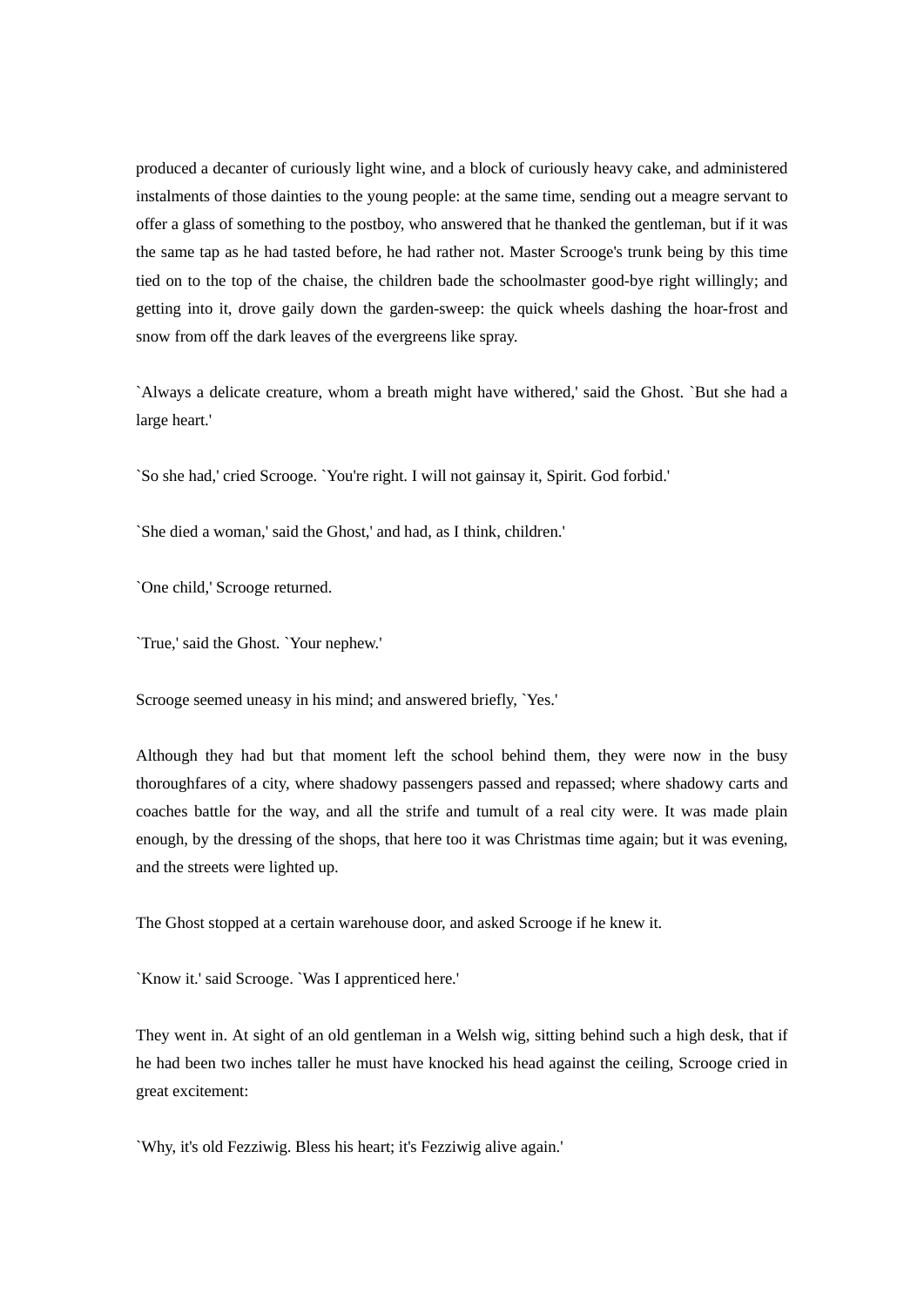produced a decanter of curiously light wine, and a block of curiously heavy cake, and administered instalments of those dainties to the young people: at the same time, sending out a meagre servant to offer a glass of something to the postboy, who answered that he thanked the gentleman, but if it was the same tap as he had tasted before, he had rather not. Master Scrooge's trunk being by this time tied on to the top of the chaise, the children bade the schoolmaster good-bye right willingly; and getting into it, drove gaily down the garden-sweep: the quick wheels dashing the hoar-frost and snow from off the dark leaves of the evergreens like spray.

`Always a delicate creature, whom a breath might have withered,' said the Ghost. `But she had a large heart.'

`So she had,' cried Scrooge. `You're right. I will not gainsay it, Spirit. God forbid.'

`She died a woman,' said the Ghost,' and had, as I think, children.'

`One child,' Scrooge returned.

`True,' said the Ghost. `Your nephew.'

Scrooge seemed uneasy in his mind; and answered briefly, `Yes.'

Although they had but that moment left the school behind them, they were now in the busy thoroughfares of a city, where shadowy passengers passed and repassed; where shadowy carts and coaches battle for the way, and all the strife and tumult of a real city were. It was made plain enough, by the dressing of the shops, that here too it was Christmas time again; but it was evening, and the streets were lighted up.

The Ghost stopped at a certain warehouse door, and asked Scrooge if he knew it.

`Know it.' said Scrooge. `Was I apprenticed here.'

They went in. At sight of an old gentleman in a Welsh wig, sitting behind such a high desk, that if he had been two inches taller he must have knocked his head against the ceiling, Scrooge cried in great excitement:

`Why, it's old Fezziwig. Bless his heart; it's Fezziwig alive again.'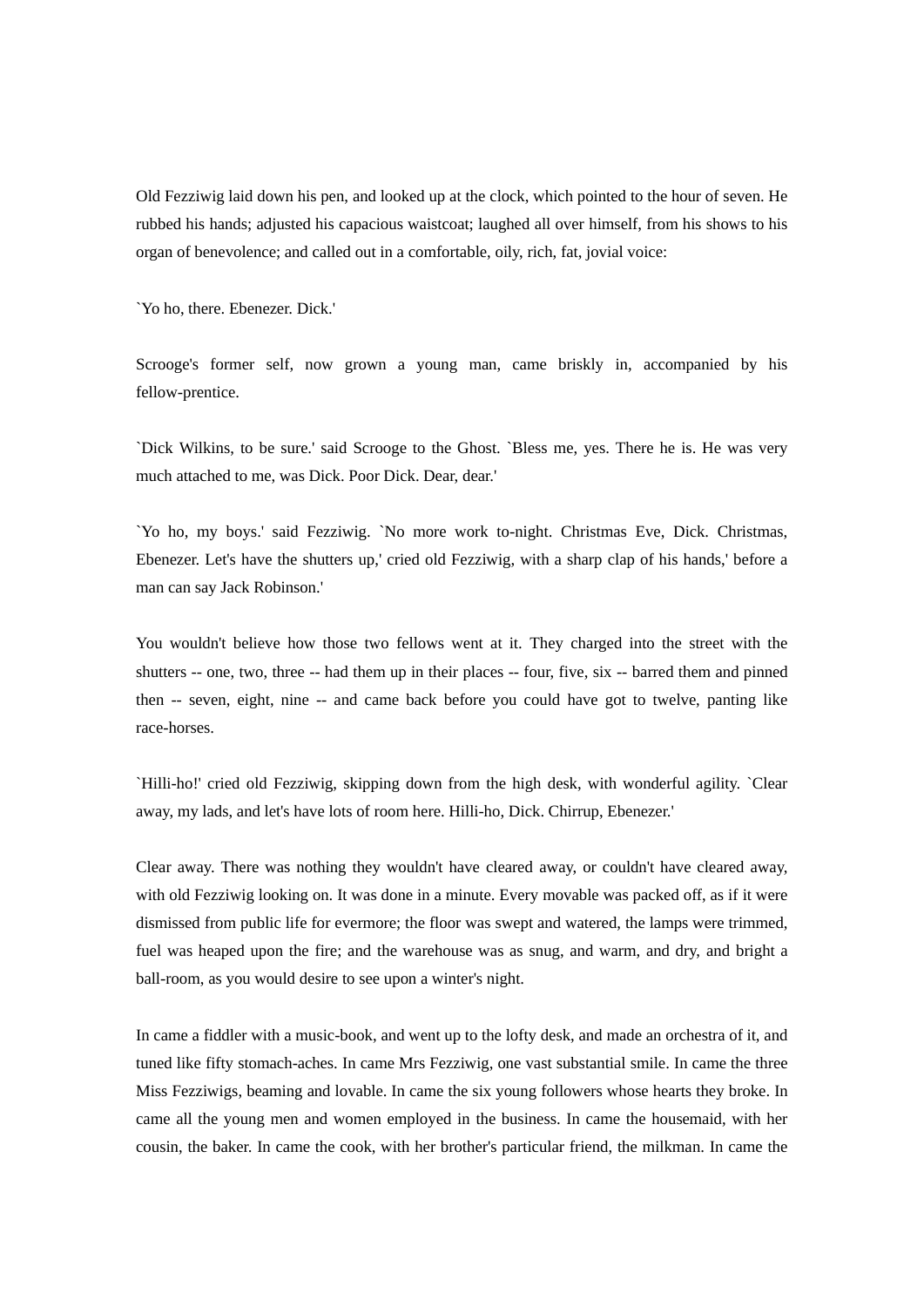Old Fezziwig laid down his pen, and looked up at the clock, which pointed to the hour of seven. He rubbed his hands; adjusted his capacious waistcoat; laughed all over himself, from his shows to his organ of benevolence; and called out in a comfortable, oily, rich, fat, jovial voice:

`Yo ho, there. Ebenezer. Dick.'

Scrooge's former self, now grown a young man, came briskly in, accompanied by his fellow-prentice.

`Dick Wilkins, to be sure.' said Scrooge to the Ghost. `Bless me, yes. There he is. He was very much attached to me, was Dick. Poor Dick. Dear, dear.'

`Yo ho, my boys.' said Fezziwig. `No more work to-night. Christmas Eve, Dick. Christmas, Ebenezer. Let's have the shutters up,' cried old Fezziwig, with a sharp clap of his hands,' before a man can say Jack Robinson.'

You wouldn't believe how those two fellows went at it. They charged into the street with the shutters -- one, two, three -- had them up in their places -- four, five, six -- barred them and pinned then -- seven, eight, nine -- and came back before you could have got to twelve, panting like race-horses.

`Hilli-ho!' cried old Fezziwig, skipping down from the high desk, with wonderful agility. `Clear away, my lads, and let's have lots of room here. Hilli-ho, Dick. Chirrup, Ebenezer.'

Clear away. There was nothing they wouldn't have cleared away, or couldn't have cleared away, with old Fezziwig looking on. It was done in a minute. Every movable was packed off, as if it were dismissed from public life for evermore; the floor was swept and watered, the lamps were trimmed, fuel was heaped upon the fire; and the warehouse was as snug, and warm, and dry, and bright a ball-room, as you would desire to see upon a winter's night.

In came a fiddler with a music-book, and went up to the lofty desk, and made an orchestra of it, and tuned like fifty stomach-aches. In came Mrs Fezziwig, one vast substantial smile. In came the three Miss Fezziwigs, beaming and lovable. In came the six young followers whose hearts they broke. In came all the young men and women employed in the business. In came the housemaid, with her cousin, the baker. In came the cook, with her brother's particular friend, the milkman. In came the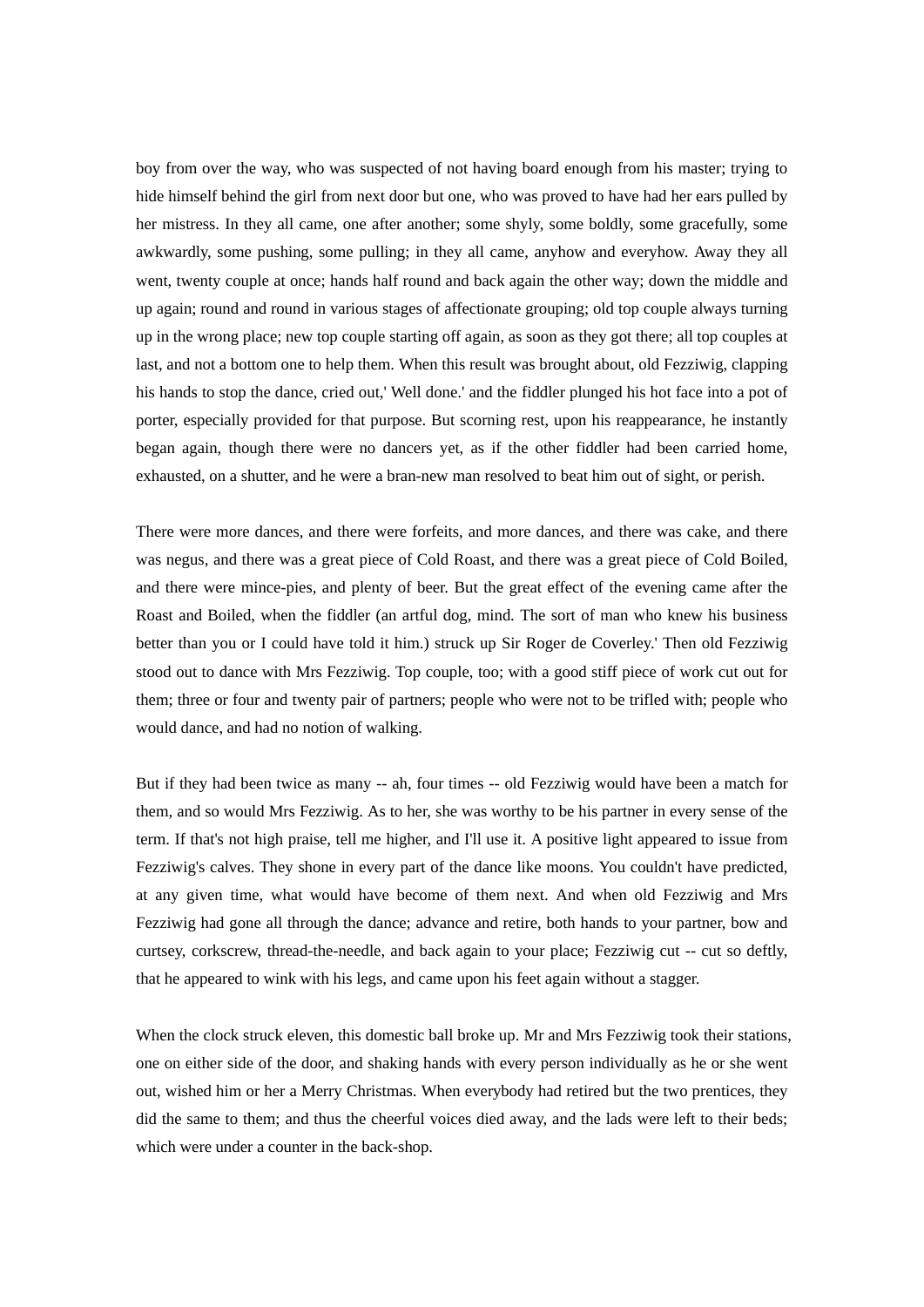boy from over the way, who was suspected of not having board enough from his master; trying to hide himself behind the girl from next door but one, who was proved to have had her ears pulled by her mistress. In they all came, one after another; some shyly, some boldly, some gracefully, some awkwardly, some pushing, some pulling; in they all came, anyhow and everyhow. Away they all went, twenty couple at once; hands half round and back again the other way; down the middle and up again; round and round in various stages of affectionate grouping; old top couple always turning up in the wrong place; new top couple starting off again, as soon as they got there; all top couples at last, and not a bottom one to help them. When this result was brought about, old Fezziwig, clapping his hands to stop the dance, cried out,' Well done.' and the fiddler plunged his hot face into a pot of porter, especially provided for that purpose. But scorning rest, upon his reappearance, he instantly began again, though there were no dancers yet, as if the other fiddler had been carried home, exhausted, on a shutter, and he were a bran-new man resolved to beat him out of sight, or perish.

There were more dances, and there were forfeits, and more dances, and there was cake, and there was negus, and there was a great piece of Cold Roast, and there was a great piece of Cold Boiled, and there were mince-pies, and plenty of beer. But the great effect of the evening came after the Roast and Boiled, when the fiddler (an artful dog, mind. The sort of man who knew his business better than you or I could have told it him.) struck up Sir Roger de Coverley.' Then old Fezziwig stood out to dance with Mrs Fezziwig. Top couple, too; with a good stiff piece of work cut out for them; three or four and twenty pair of partners; people who were not to be trifled with; people who would dance, and had no notion of walking.

But if they had been twice as many -- ah, four times -- old Fezziwig would have been a match for them, and so would Mrs Fezziwig. As to her, she was worthy to be his partner in every sense of the term. If that's not high praise, tell me higher, and I'll use it. A positive light appeared to issue from Fezziwig's calves. They shone in every part of the dance like moons. You couldn't have predicted, at any given time, what would have become of them next. And when old Fezziwig and Mrs Fezziwig had gone all through the dance; advance and retire, both hands to your partner, bow and curtsey, corkscrew, thread-the-needle, and back again to your place; Fezziwig cut -- cut so deftly, that he appeared to wink with his legs, and came upon his feet again without a stagger.

When the clock struck eleven, this domestic ball broke up. Mr and Mrs Fezziwig took their stations, one on either side of the door, and shaking hands with every person individually as he or she went out, wished him or her a Merry Christmas. When everybody had retired but the two prentices, they did the same to them; and thus the cheerful voices died away, and the lads were left to their beds; which were under a counter in the back-shop.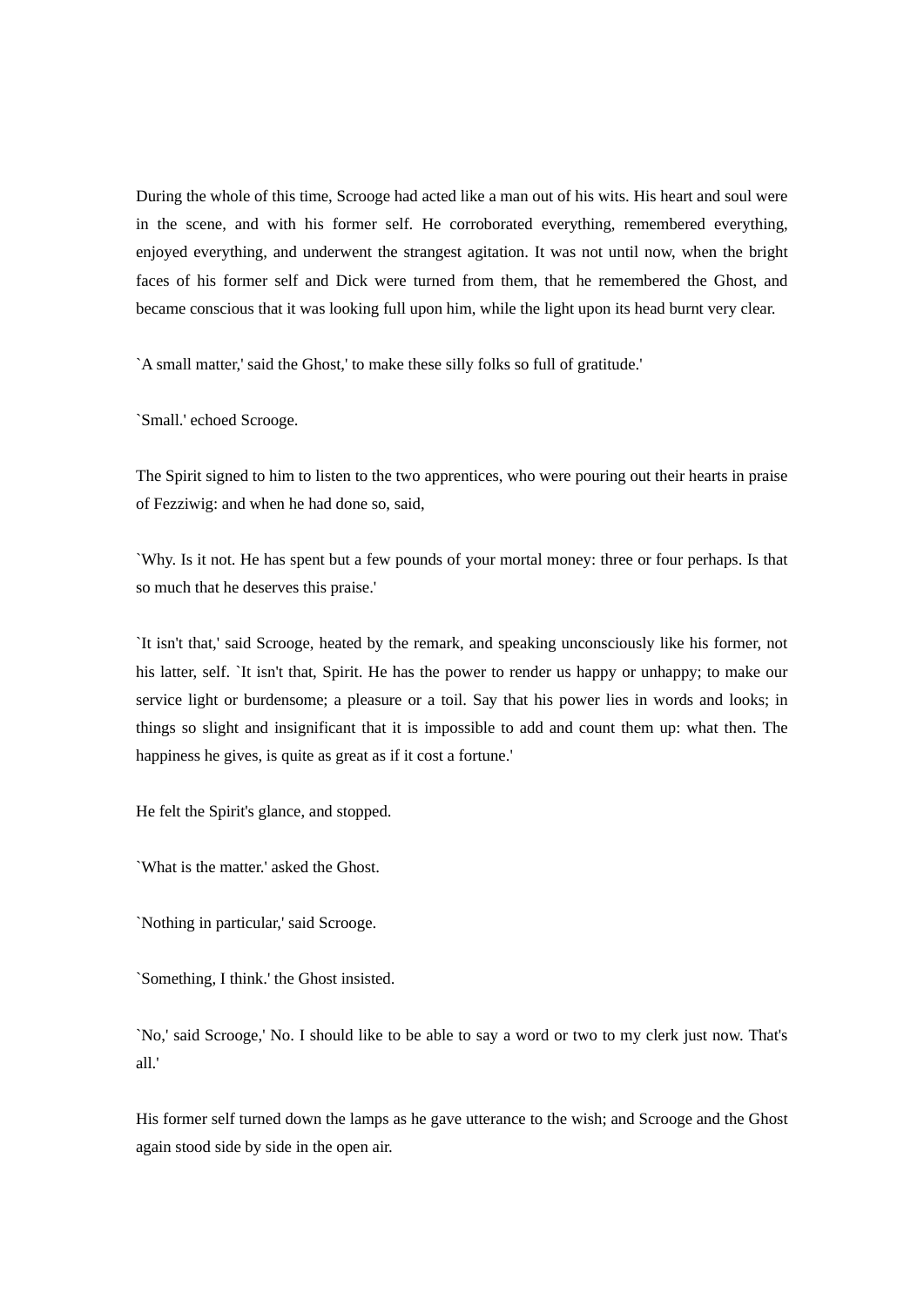During the whole of this time, Scrooge had acted like a man out of his wits. His heart and soul were in the scene, and with his former self. He corroborated everything, remembered everything, enjoyed everything, and underwent the strangest agitation. It was not until now, when the bright faces of his former self and Dick were turned from them, that he remembered the Ghost, and became conscious that it was looking full upon him, while the light upon its head burnt very clear.

`A small matter,' said the Ghost,' to make these silly folks so full of gratitude.'

`Small.' echoed Scrooge.

The Spirit signed to him to listen to the two apprentices, who were pouring out their hearts in praise of Fezziwig: and when he had done so, said,

`Why. Is it not. He has spent but a few pounds of your mortal money: three or four perhaps. Is that so much that he deserves this praise.'

`It isn't that,' said Scrooge, heated by the remark, and speaking unconsciously like his former, not his latter, self. `It isn't that, Spirit. He has the power to render us happy or unhappy; to make our service light or burdensome; a pleasure or a toil. Say that his power lies in words and looks; in things so slight and insignificant that it is impossible to add and count them up: what then. The happiness he gives, is quite as great as if it cost a fortune.'

He felt the Spirit's glance, and stopped.

`What is the matter.' asked the Ghost.

`Nothing in particular,' said Scrooge.

`Something, I think.' the Ghost insisted.

`No,' said Scrooge,' No. I should like to be able to say a word or two to my clerk just now. That's all.'

His former self turned down the lamps as he gave utterance to the wish; and Scrooge and the Ghost again stood side by side in the open air.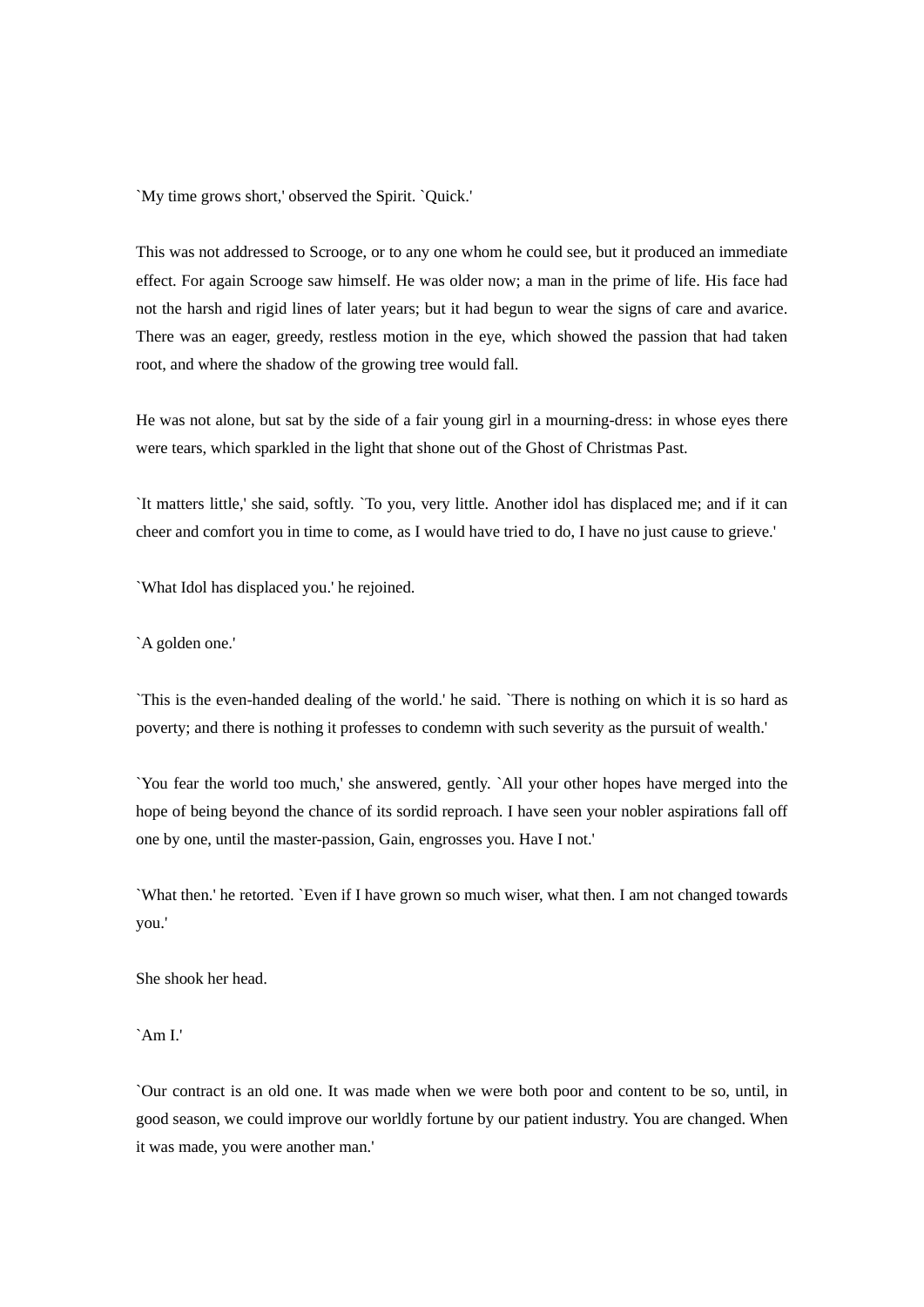`My time grows short,' observed the Spirit. `Quick.'

This was not addressed to Scrooge, or to any one whom he could see, but it produced an immediate effect. For again Scrooge saw himself. He was older now; a man in the prime of life. His face had not the harsh and rigid lines of later years; but it had begun to wear the signs of care and avarice. There was an eager, greedy, restless motion in the eye, which showed the passion that had taken root, and where the shadow of the growing tree would fall.

He was not alone, but sat by the side of a fair young girl in a mourning-dress: in whose eyes there were tears, which sparkled in the light that shone out of the Ghost of Christmas Past.

`It matters little,' she said, softly. `To you, very little. Another idol has displaced me; and if it can cheer and comfort you in time to come, as I would have tried to do, I have no just cause to grieve.'

`What Idol has displaced you.' he rejoined.

`A golden one.'

`This is the even-handed dealing of the world.' he said. `There is nothing on which it is so hard as poverty; and there is nothing it professes to condemn with such severity as the pursuit of wealth.'

`You fear the world too much,' she answered, gently. `All your other hopes have merged into the hope of being beyond the chance of its sordid reproach. I have seen your nobler aspirations fall off one by one, until the master-passion, Gain, engrosses you. Have I not.'

`What then.' he retorted. `Even if I have grown so much wiser, what then. I am not changed towards you.'

She shook her head.

 $\Delta m I'$ 

`Our contract is an old one. It was made when we were both poor and content to be so, until, in good season, we could improve our worldly fortune by our patient industry. You are changed. When it was made, you were another man.'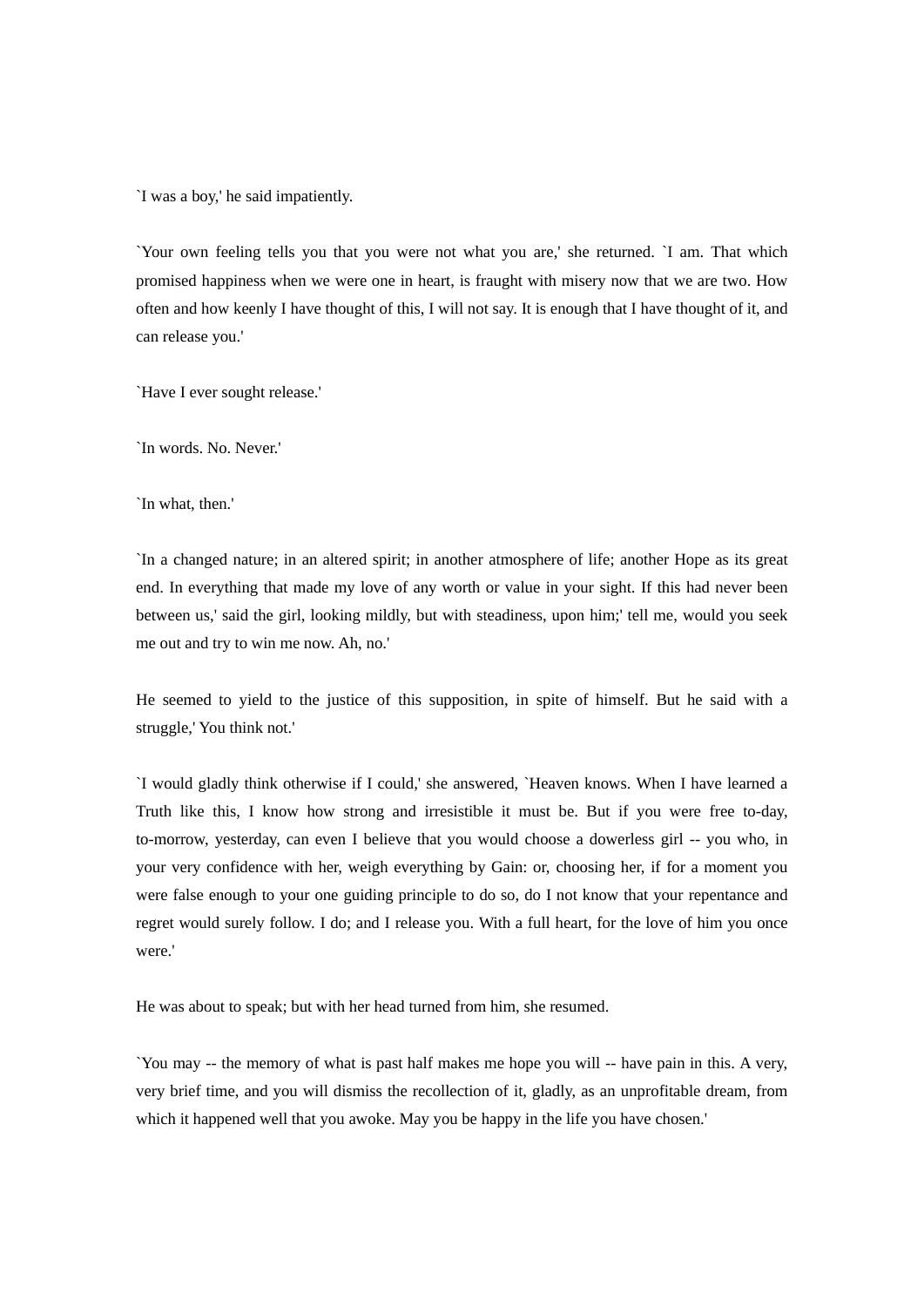`I was a boy,' he said impatiently.

`Your own feeling tells you that you were not what you are,' she returned. `I am. That which promised happiness when we were one in heart, is fraught with misery now that we are two. How often and how keenly I have thought of this, I will not say. It is enough that I have thought of it, and can release you.'

`Have I ever sought release.'

`In words. No. Never.'

`In what, then.'

`In a changed nature; in an altered spirit; in another atmosphere of life; another Hope as its great end. In everything that made my love of any worth or value in your sight. If this had never been between us,' said the girl, looking mildly, but with steadiness, upon him;' tell me, would you seek me out and try to win me now. Ah, no.'

He seemed to yield to the justice of this supposition, in spite of himself. But he said with a struggle,' You think not.'

`I would gladly think otherwise if I could,' she answered, `Heaven knows. When I have learned a Truth like this, I know how strong and irresistible it must be. But if you were free to-day, to-morrow, yesterday, can even I believe that you would choose a dowerless girl -- you who, in your very confidence with her, weigh everything by Gain: or, choosing her, if for a moment you were false enough to your one guiding principle to do so, do I not know that your repentance and regret would surely follow. I do; and I release you. With a full heart, for the love of him you once were.'

He was about to speak; but with her head turned from him, she resumed.

`You may -- the memory of what is past half makes me hope you will -- have pain in this. A very, very brief time, and you will dismiss the recollection of it, gladly, as an unprofitable dream, from which it happened well that you awoke. May you be happy in the life you have chosen.'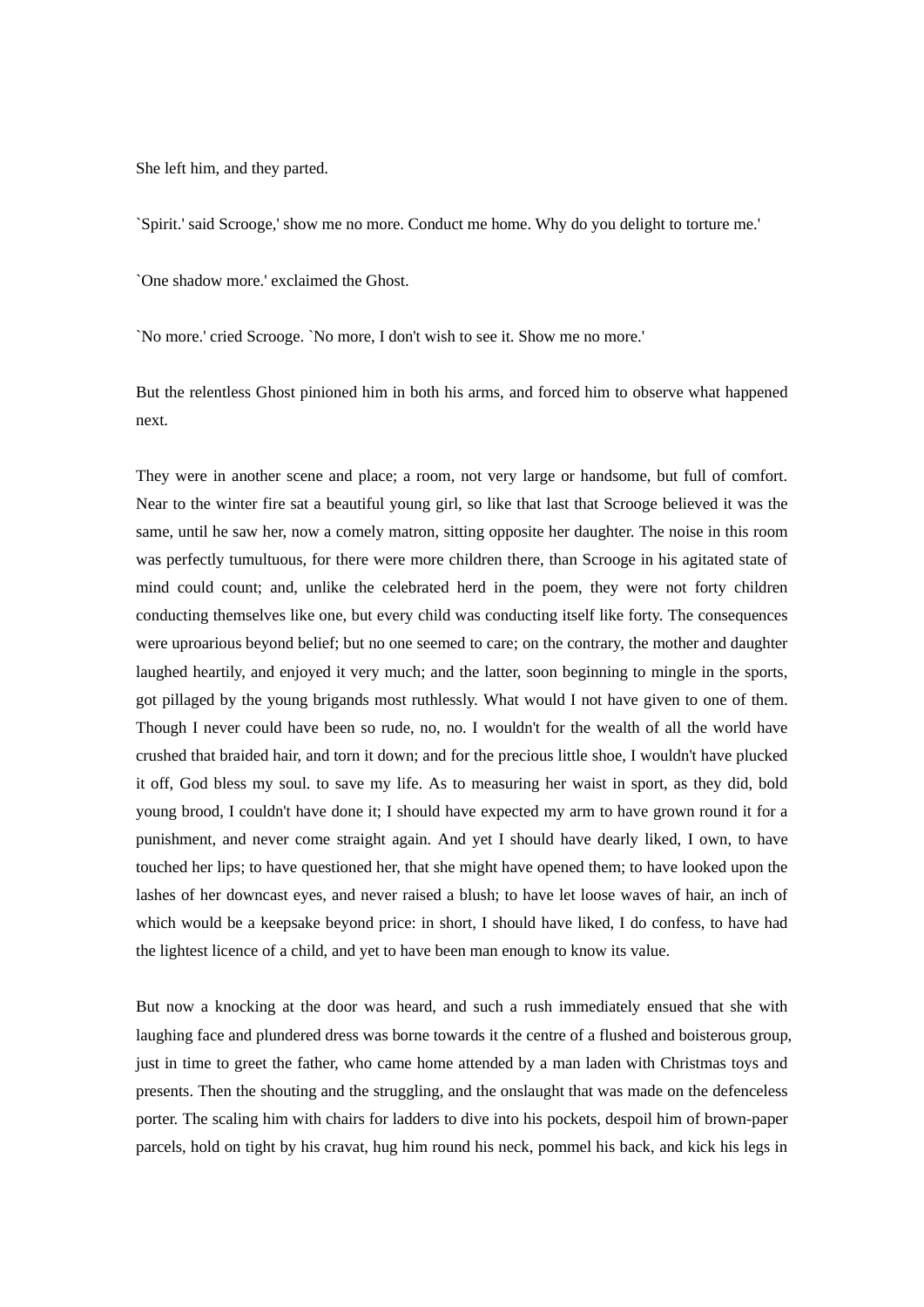She left him, and they parted.

`Spirit.' said Scrooge,' show me no more. Conduct me home. Why do you delight to torture me.'

`One shadow more.' exclaimed the Ghost.

`No more.' cried Scrooge. `No more, I don't wish to see it. Show me no more.'

But the relentless Ghost pinioned him in both his arms, and forced him to observe what happened next.

They were in another scene and place; a room, not very large or handsome, but full of comfort. Near to the winter fire sat a beautiful young girl, so like that last that Scrooge believed it was the same, until he saw her, now a comely matron, sitting opposite her daughter. The noise in this room was perfectly tumultuous, for there were more children there, than Scrooge in his agitated state of mind could count; and, unlike the celebrated herd in the poem, they were not forty children conducting themselves like one, but every child was conducting itself like forty. The consequences were uproarious beyond belief; but no one seemed to care; on the contrary, the mother and daughter laughed heartily, and enjoyed it very much; and the latter, soon beginning to mingle in the sports, got pillaged by the young brigands most ruthlessly. What would I not have given to one of them. Though I never could have been so rude, no, no. I wouldn't for the wealth of all the world have crushed that braided hair, and torn it down; and for the precious little shoe, I wouldn't have plucked it off, God bless my soul. to save my life. As to measuring her waist in sport, as they did, bold young brood, I couldn't have done it; I should have expected my arm to have grown round it for a punishment, and never come straight again. And yet I should have dearly liked, I own, to have touched her lips; to have questioned her, that she might have opened them; to have looked upon the lashes of her downcast eyes, and never raised a blush; to have let loose waves of hair, an inch of which would be a keepsake beyond price: in short, I should have liked, I do confess, to have had the lightest licence of a child, and yet to have been man enough to know its value.

But now a knocking at the door was heard, and such a rush immediately ensued that she with laughing face and plundered dress was borne towards it the centre of a flushed and boisterous group, just in time to greet the father, who came home attended by a man laden with Christmas toys and presents. Then the shouting and the struggling, and the onslaught that was made on the defenceless porter. The scaling him with chairs for ladders to dive into his pockets, despoil him of brown-paper parcels, hold on tight by his cravat, hug him round his neck, pommel his back, and kick his legs in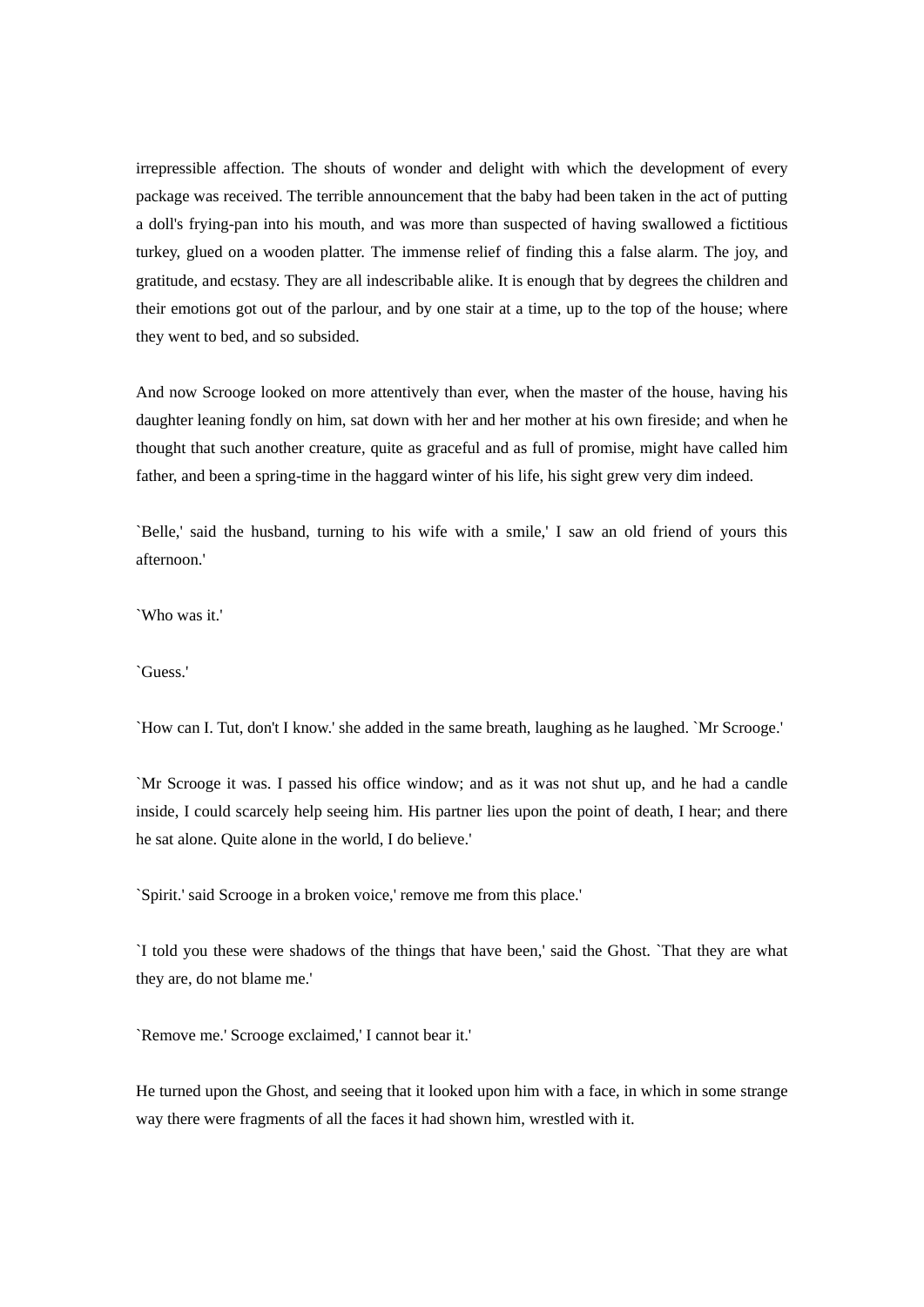irrepressible affection. The shouts of wonder and delight with which the development of every package was received. The terrible announcement that the baby had been taken in the act of putting a doll's frying-pan into his mouth, and was more than suspected of having swallowed a fictitious turkey, glued on a wooden platter. The immense relief of finding this a false alarm. The joy, and gratitude, and ecstasy. They are all indescribable alike. It is enough that by degrees the children and their emotions got out of the parlour, and by one stair at a time, up to the top of the house; where they went to bed, and so subsided.

And now Scrooge looked on more attentively than ever, when the master of the house, having his daughter leaning fondly on him, sat down with her and her mother at his own fireside; and when he thought that such another creature, quite as graceful and as full of promise, might have called him father, and been a spring-time in the haggard winter of his life, his sight grew very dim indeed.

`Belle,' said the husband, turning to his wife with a smile,' I saw an old friend of yours this afternoon.'

`Who was it.'

`Guess.'

`How can I. Tut, don't I know.' she added in the same breath, laughing as he laughed. `Mr Scrooge.'

`Mr Scrooge it was. I passed his office window; and as it was not shut up, and he had a candle inside, I could scarcely help seeing him. His partner lies upon the point of death, I hear; and there he sat alone. Quite alone in the world, I do believe.'

`Spirit.' said Scrooge in a broken voice,' remove me from this place.'

`I told you these were shadows of the things that have been,' said the Ghost. `That they are what they are, do not blame me.'

`Remove me.' Scrooge exclaimed,' I cannot bear it.'

He turned upon the Ghost, and seeing that it looked upon him with a face, in which in some strange way there were fragments of all the faces it had shown him, wrestled with it.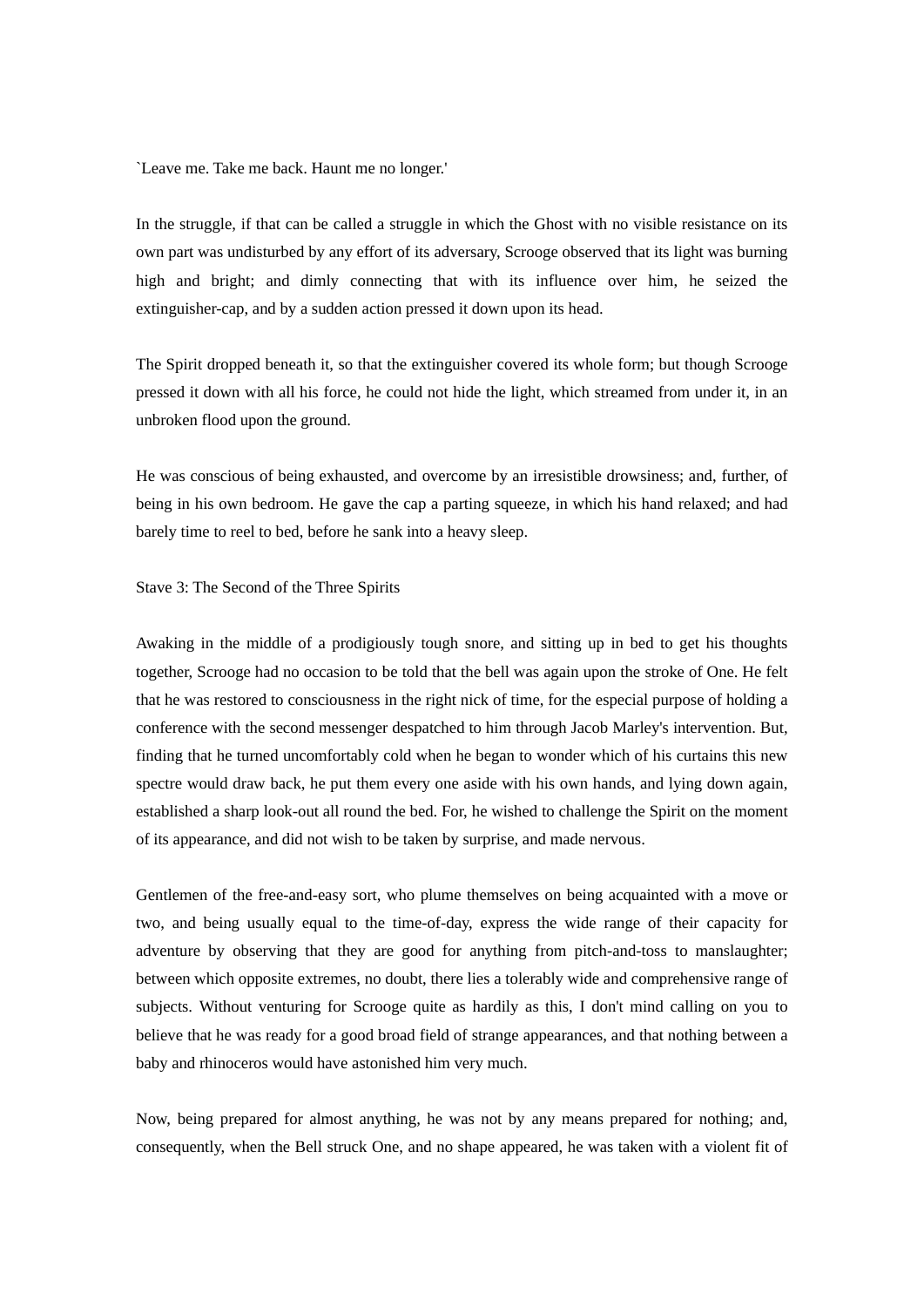`Leave me. Take me back. Haunt me no longer.'

In the struggle, if that can be called a struggle in which the Ghost with no visible resistance on its own part was undisturbed by any effort of its adversary, Scrooge observed that its light was burning high and bright; and dimly connecting that with its influence over him, he seized the extinguisher-cap, and by a sudden action pressed it down upon its head.

The Spirit dropped beneath it, so that the extinguisher covered its whole form; but though Scrooge pressed it down with all his force, he could not hide the light, which streamed from under it, in an unbroken flood upon the ground.

He was conscious of being exhausted, and overcome by an irresistible drowsiness; and, further, of being in his own bedroom. He gave the cap a parting squeeze, in which his hand relaxed; and had barely time to reel to bed, before he sank into a heavy sleep.

## Stave 3: The Second of the Three Spirits

Awaking in the middle of a prodigiously tough snore, and sitting up in bed to get his thoughts together, Scrooge had no occasion to be told that the bell was again upon the stroke of One. He felt that he was restored to consciousness in the right nick of time, for the especial purpose of holding a conference with the second messenger despatched to him through Jacob Marley's intervention. But, finding that he turned uncomfortably cold when he began to wonder which of his curtains this new spectre would draw back, he put them every one aside with his own hands, and lying down again, established a sharp look-out all round the bed. For, he wished to challenge the Spirit on the moment of its appearance, and did not wish to be taken by surprise, and made nervous.

Gentlemen of the free-and-easy sort, who plume themselves on being acquainted with a move or two, and being usually equal to the time-of-day, express the wide range of their capacity for adventure by observing that they are good for anything from pitch-and-toss to manslaughter; between which opposite extremes, no doubt, there lies a tolerably wide and comprehensive range of subjects. Without venturing for Scrooge quite as hardily as this, I don't mind calling on you to believe that he was ready for a good broad field of strange appearances, and that nothing between a baby and rhinoceros would have astonished him very much.

Now, being prepared for almost anything, he was not by any means prepared for nothing; and, consequently, when the Bell struck One, and no shape appeared, he was taken with a violent fit of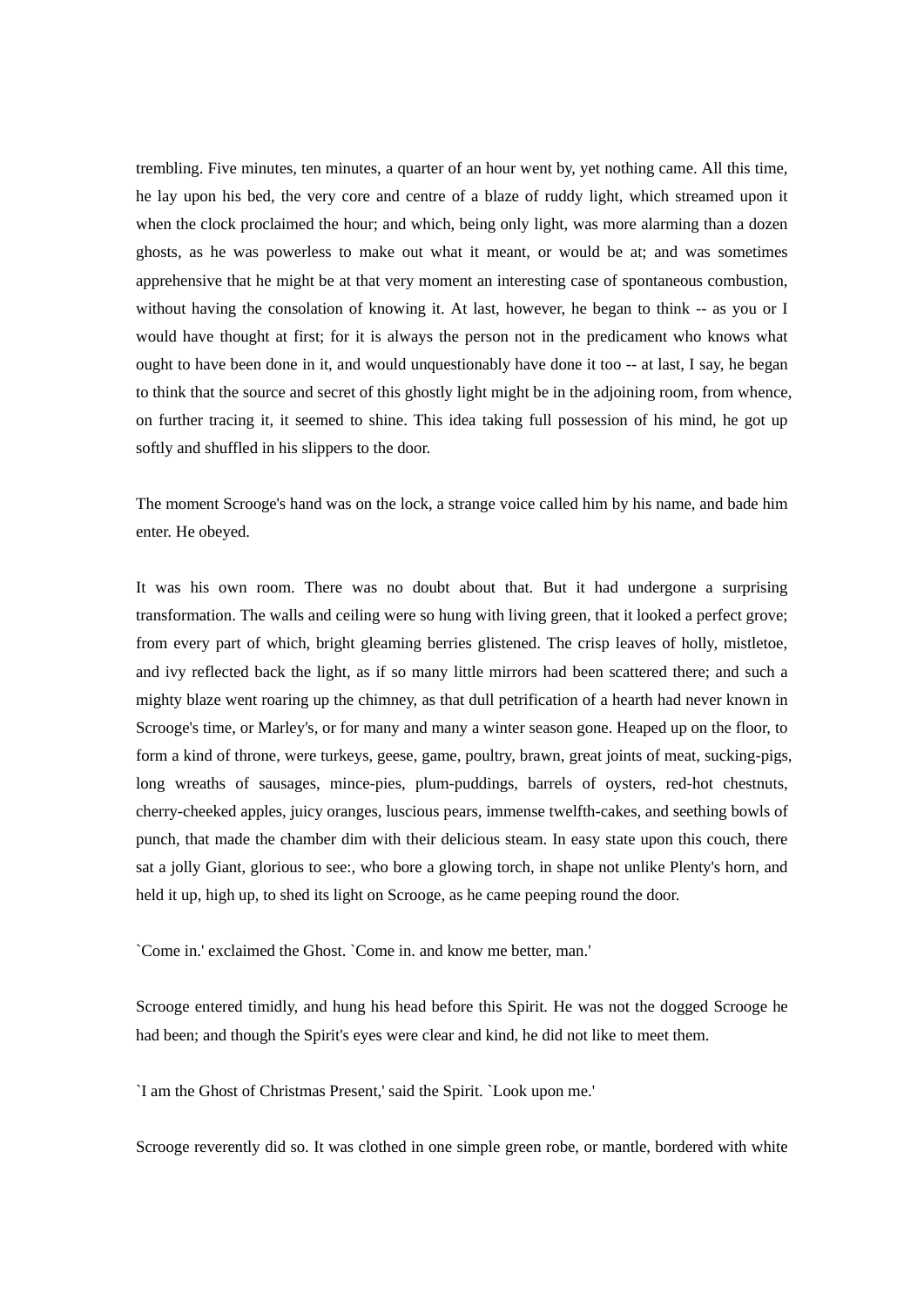trembling. Five minutes, ten minutes, a quarter of an hour went by, yet nothing came. All this time, he lay upon his bed, the very core and centre of a blaze of ruddy light, which streamed upon it when the clock proclaimed the hour; and which, being only light, was more alarming than a dozen ghosts, as he was powerless to make out what it meant, or would be at; and was sometimes apprehensive that he might be at that very moment an interesting case of spontaneous combustion, without having the consolation of knowing it. At last, however, he began to think -- as you or I would have thought at first; for it is always the person not in the predicament who knows what ought to have been done in it, and would unquestionably have done it too -- at last, I say, he began to think that the source and secret of this ghostly light might be in the adjoining room, from whence, on further tracing it, it seemed to shine. This idea taking full possession of his mind, he got up softly and shuffled in his slippers to the door.

The moment Scrooge's hand was on the lock, a strange voice called him by his name, and bade him enter. He obeyed.

It was his own room. There was no doubt about that. But it had undergone a surprising transformation. The walls and ceiling were so hung with living green, that it looked a perfect grove; from every part of which, bright gleaming berries glistened. The crisp leaves of holly, mistletoe, and ivy reflected back the light, as if so many little mirrors had been scattered there; and such a mighty blaze went roaring up the chimney, as that dull petrification of a hearth had never known in Scrooge's time, or Marley's, or for many and many a winter season gone. Heaped up on the floor, to form a kind of throne, were turkeys, geese, game, poultry, brawn, great joints of meat, sucking-pigs, long wreaths of sausages, mince-pies, plum-puddings, barrels of oysters, red-hot chestnuts, cherry-cheeked apples, juicy oranges, luscious pears, immense twelfth-cakes, and seething bowls of punch, that made the chamber dim with their delicious steam. In easy state upon this couch, there sat a jolly Giant, glorious to see:, who bore a glowing torch, in shape not unlike Plenty's horn, and held it up, high up, to shed its light on Scrooge, as he came peeping round the door.

`Come in.' exclaimed the Ghost. `Come in. and know me better, man.'

Scrooge entered timidly, and hung his head before this Spirit. He was not the dogged Scrooge he had been; and though the Spirit's eyes were clear and kind, he did not like to meet them.

`I am the Ghost of Christmas Present,' said the Spirit. `Look upon me.'

Scrooge reverently did so. It was clothed in one simple green robe, or mantle, bordered with white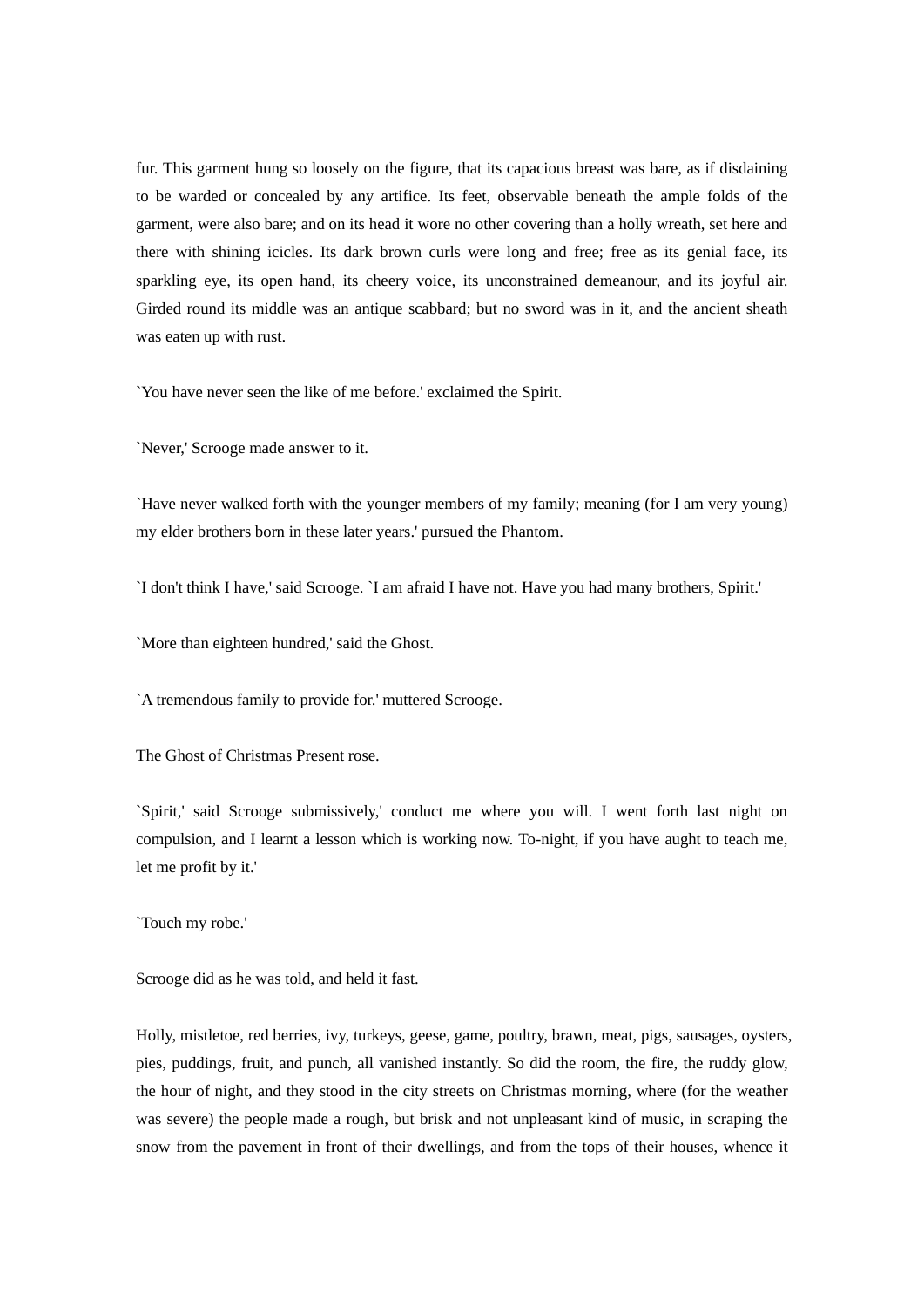fur. This garment hung so loosely on the figure, that its capacious breast was bare, as if disdaining to be warded or concealed by any artifice. Its feet, observable beneath the ample folds of the garment, were also bare; and on its head it wore no other covering than a holly wreath, set here and there with shining icicles. Its dark brown curls were long and free; free as its genial face, its sparkling eye, its open hand, its cheery voice, its unconstrained demeanour, and its joyful air. Girded round its middle was an antique scabbard; but no sword was in it, and the ancient sheath was eaten up with rust.

`You have never seen the like of me before.' exclaimed the Spirit.

`Never,' Scrooge made answer to it.

`Have never walked forth with the younger members of my family; meaning (for I am very young) my elder brothers born in these later years.' pursued the Phantom.

`I don't think I have,' said Scrooge. `I am afraid I have not. Have you had many brothers, Spirit.'

`More than eighteen hundred,' said the Ghost.

`A tremendous family to provide for.' muttered Scrooge.

The Ghost of Christmas Present rose.

`Spirit,' said Scrooge submissively,' conduct me where you will. I went forth last night on compulsion, and I learnt a lesson which is working now. To-night, if you have aught to teach me, let me profit by it.'

`Touch my robe.'

Scrooge did as he was told, and held it fast.

Holly, mistletoe, red berries, ivy, turkeys, geese, game, poultry, brawn, meat, pigs, sausages, oysters, pies, puddings, fruit, and punch, all vanished instantly. So did the room, the fire, the ruddy glow, the hour of night, and they stood in the city streets on Christmas morning, where (for the weather was severe) the people made a rough, but brisk and not unpleasant kind of music, in scraping the snow from the pavement in front of their dwellings, and from the tops of their houses, whence it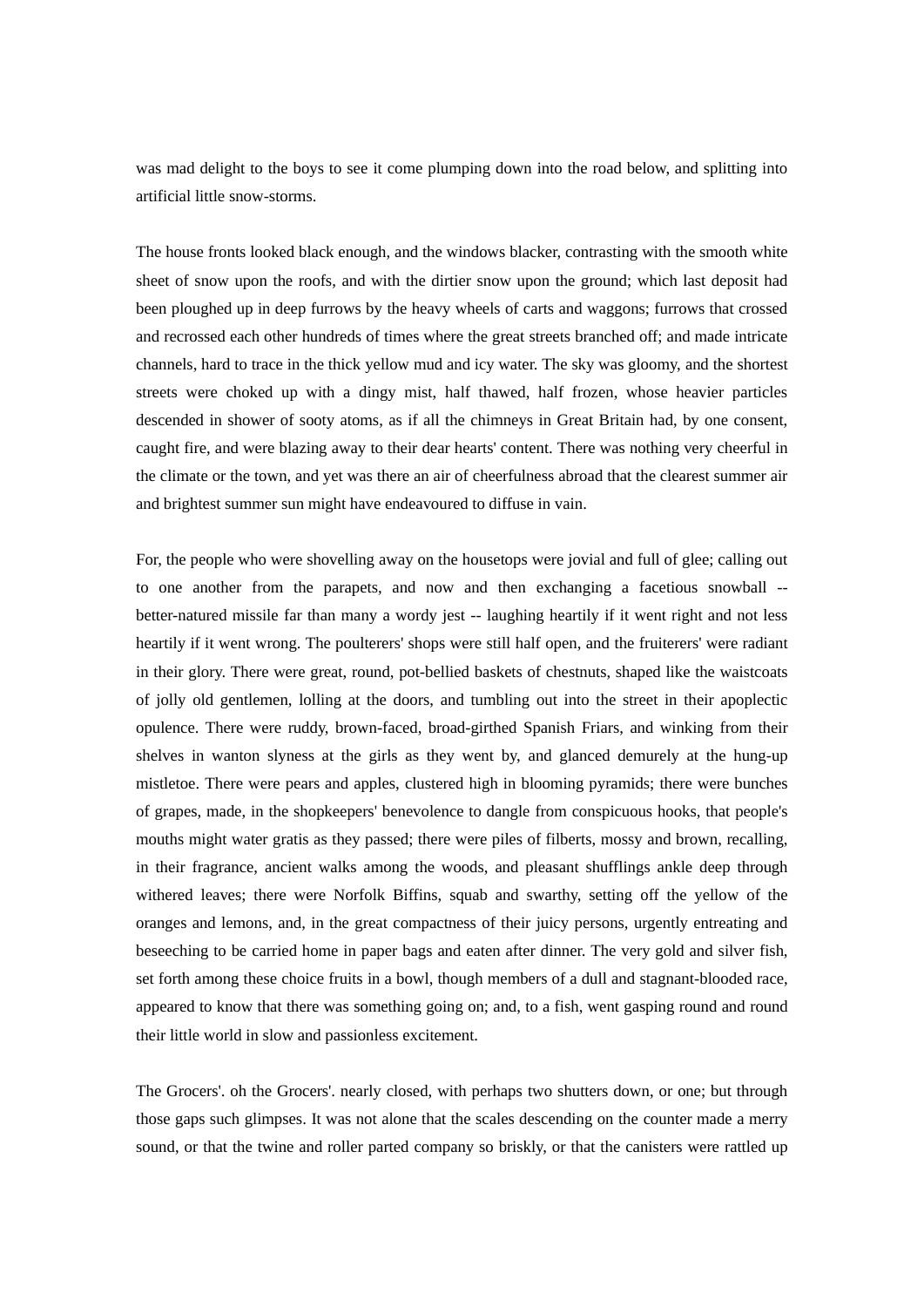was mad delight to the boys to see it come plumping down into the road below, and splitting into artificial little snow-storms.

The house fronts looked black enough, and the windows blacker, contrasting with the smooth white sheet of snow upon the roofs, and with the dirtier snow upon the ground; which last deposit had been ploughed up in deep furrows by the heavy wheels of carts and waggons; furrows that crossed and recrossed each other hundreds of times where the great streets branched off; and made intricate channels, hard to trace in the thick yellow mud and icy water. The sky was gloomy, and the shortest streets were choked up with a dingy mist, half thawed, half frozen, whose heavier particles descended in shower of sooty atoms, as if all the chimneys in Great Britain had, by one consent, caught fire, and were blazing away to their dear hearts' content. There was nothing very cheerful in the climate or the town, and yet was there an air of cheerfulness abroad that the clearest summer air and brightest summer sun might have endeavoured to diffuse in vain.

For, the people who were shovelling away on the housetops were jovial and full of glee; calling out to one another from the parapets, and now and then exchanging a facetious snowball - better-natured missile far than many a wordy jest -- laughing heartily if it went right and not less heartily if it went wrong. The poulterers' shops were still half open, and the fruiterers' were radiant in their glory. There were great, round, pot-bellied baskets of chestnuts, shaped like the waistcoats of jolly old gentlemen, lolling at the doors, and tumbling out into the street in their apoplectic opulence. There were ruddy, brown-faced, broad-girthed Spanish Friars, and winking from their shelves in wanton slyness at the girls as they went by, and glanced demurely at the hung-up mistletoe. There were pears and apples, clustered high in blooming pyramids; there were bunches of grapes, made, in the shopkeepers' benevolence to dangle from conspicuous hooks, that people's mouths might water gratis as they passed; there were piles of filberts, mossy and brown, recalling, in their fragrance, ancient walks among the woods, and pleasant shufflings ankle deep through withered leaves; there were Norfolk Biffins, squab and swarthy, setting off the yellow of the oranges and lemons, and, in the great compactness of their juicy persons, urgently entreating and beseeching to be carried home in paper bags and eaten after dinner. The very gold and silver fish, set forth among these choice fruits in a bowl, though members of a dull and stagnant-blooded race, appeared to know that there was something going on; and, to a fish, went gasping round and round their little world in slow and passionless excitement.

The Grocers'. oh the Grocers'. nearly closed, with perhaps two shutters down, or one; but through those gaps such glimpses. It was not alone that the scales descending on the counter made a merry sound, or that the twine and roller parted company so briskly, or that the canisters were rattled up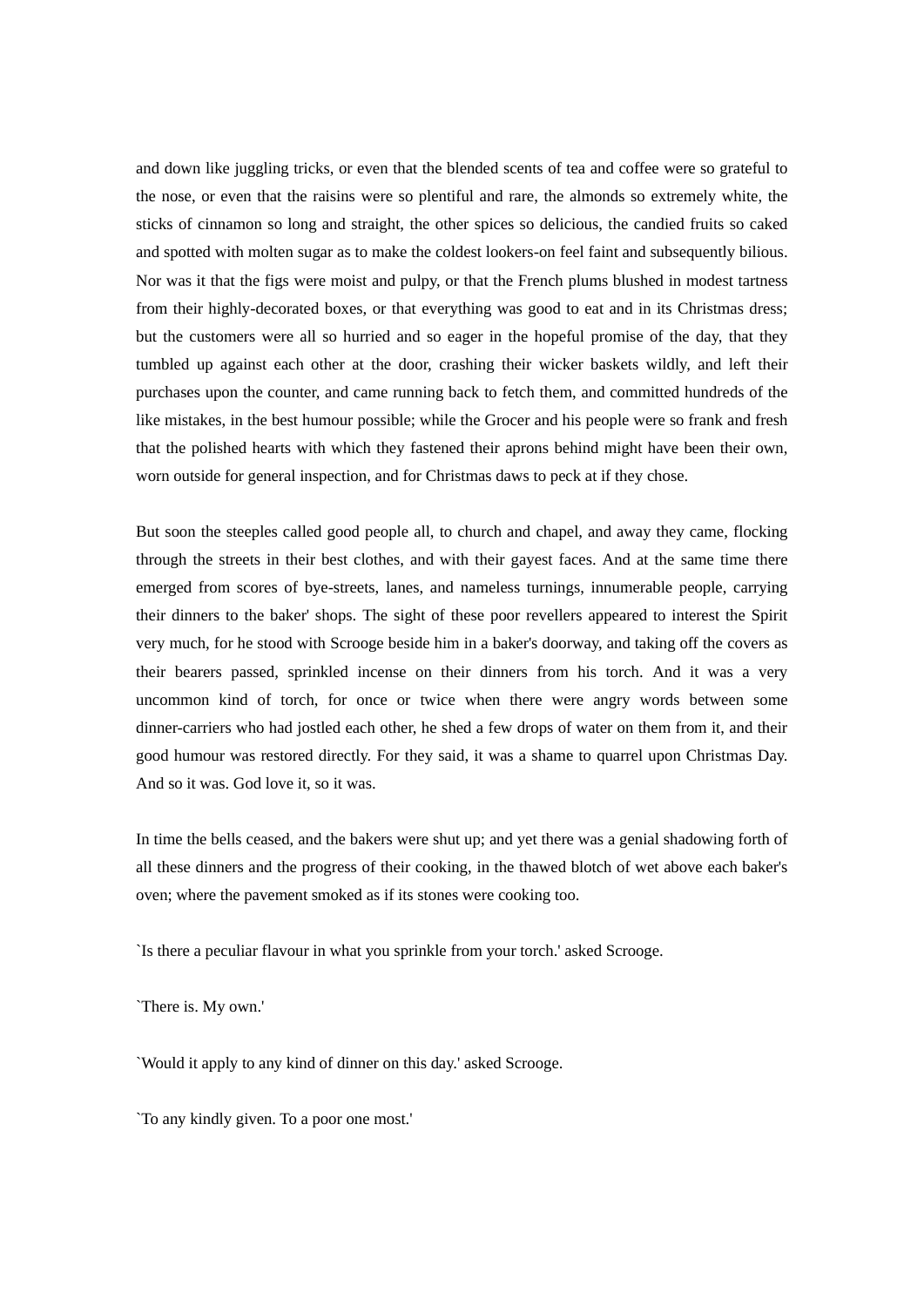and down like juggling tricks, or even that the blended scents of tea and coffee were so grateful to the nose, or even that the raisins were so plentiful and rare, the almonds so extremely white, the sticks of cinnamon so long and straight, the other spices so delicious, the candied fruits so caked and spotted with molten sugar as to make the coldest lookers-on feel faint and subsequently bilious. Nor was it that the figs were moist and pulpy, or that the French plums blushed in modest tartness from their highly-decorated boxes, or that everything was good to eat and in its Christmas dress; but the customers were all so hurried and so eager in the hopeful promise of the day, that they tumbled up against each other at the door, crashing their wicker baskets wildly, and left their purchases upon the counter, and came running back to fetch them, and committed hundreds of the like mistakes, in the best humour possible; while the Grocer and his people were so frank and fresh that the polished hearts with which they fastened their aprons behind might have been their own, worn outside for general inspection, and for Christmas daws to peck at if they chose.

But soon the steeples called good people all, to church and chapel, and away they came, flocking through the streets in their best clothes, and with their gayest faces. And at the same time there emerged from scores of bye-streets, lanes, and nameless turnings, innumerable people, carrying their dinners to the baker' shops. The sight of these poor revellers appeared to interest the Spirit very much, for he stood with Scrooge beside him in a baker's doorway, and taking off the covers as their bearers passed, sprinkled incense on their dinners from his torch. And it was a very uncommon kind of torch, for once or twice when there were angry words between some dinner-carriers who had jostled each other, he shed a few drops of water on them from it, and their good humour was restored directly. For they said, it was a shame to quarrel upon Christmas Day. And so it was. God love it, so it was.

In time the bells ceased, and the bakers were shut up; and yet there was a genial shadowing forth of all these dinners and the progress of their cooking, in the thawed blotch of wet above each baker's oven; where the pavement smoked as if its stones were cooking too.

`Is there a peculiar flavour in what you sprinkle from your torch.' asked Scrooge.

`There is. My own.'

`Would it apply to any kind of dinner on this day.' asked Scrooge.

`To any kindly given. To a poor one most.'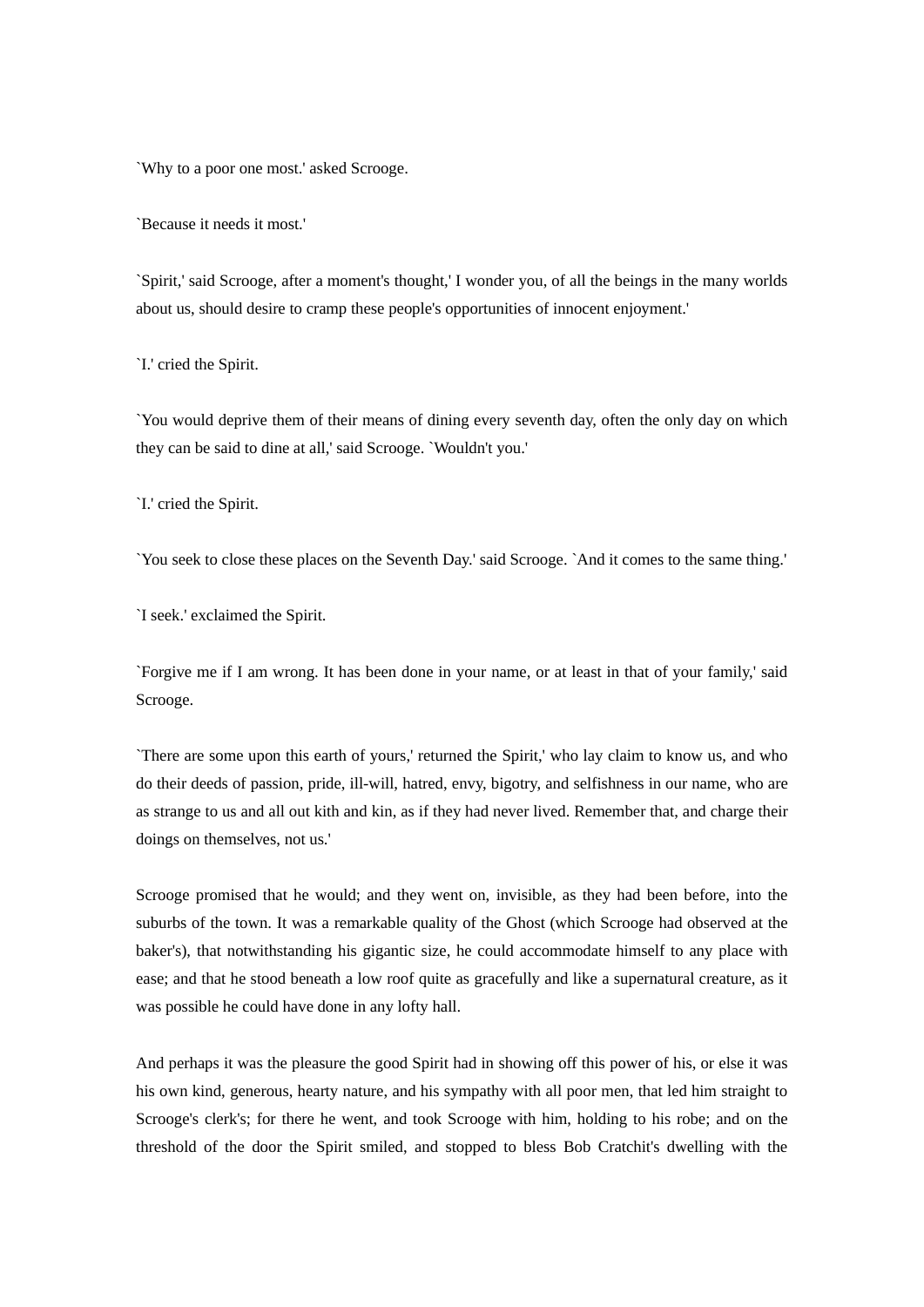`Why to a poor one most.' asked Scrooge.

`Because it needs it most.'

`Spirit,' said Scrooge, after a moment's thought,' I wonder you, of all the beings in the many worlds about us, should desire to cramp these people's opportunities of innocent enjoyment.'

`I.' cried the Spirit.

`You would deprive them of their means of dining every seventh day, often the only day on which they can be said to dine at all,' said Scrooge. `Wouldn't you.'

`I.' cried the Spirit.

`You seek to close these places on the Seventh Day.' said Scrooge. `And it comes to the same thing.'

`I seek.' exclaimed the Spirit.

`Forgive me if I am wrong. It has been done in your name, or at least in that of your family,' said Scrooge.

`There are some upon this earth of yours,' returned the Spirit,' who lay claim to know us, and who do their deeds of passion, pride, ill-will, hatred, envy, bigotry, and selfishness in our name, who are as strange to us and all out kith and kin, as if they had never lived. Remember that, and charge their doings on themselves, not us.'

Scrooge promised that he would; and they went on, invisible, as they had been before, into the suburbs of the town. It was a remarkable quality of the Ghost (which Scrooge had observed at the baker's), that notwithstanding his gigantic size, he could accommodate himself to any place with ease; and that he stood beneath a low roof quite as gracefully and like a supernatural creature, as it was possible he could have done in any lofty hall.

And perhaps it was the pleasure the good Spirit had in showing off this power of his, or else it was his own kind, generous, hearty nature, and his sympathy with all poor men, that led him straight to Scrooge's clerk's; for there he went, and took Scrooge with him, holding to his robe; and on the threshold of the door the Spirit smiled, and stopped to bless Bob Cratchit's dwelling with the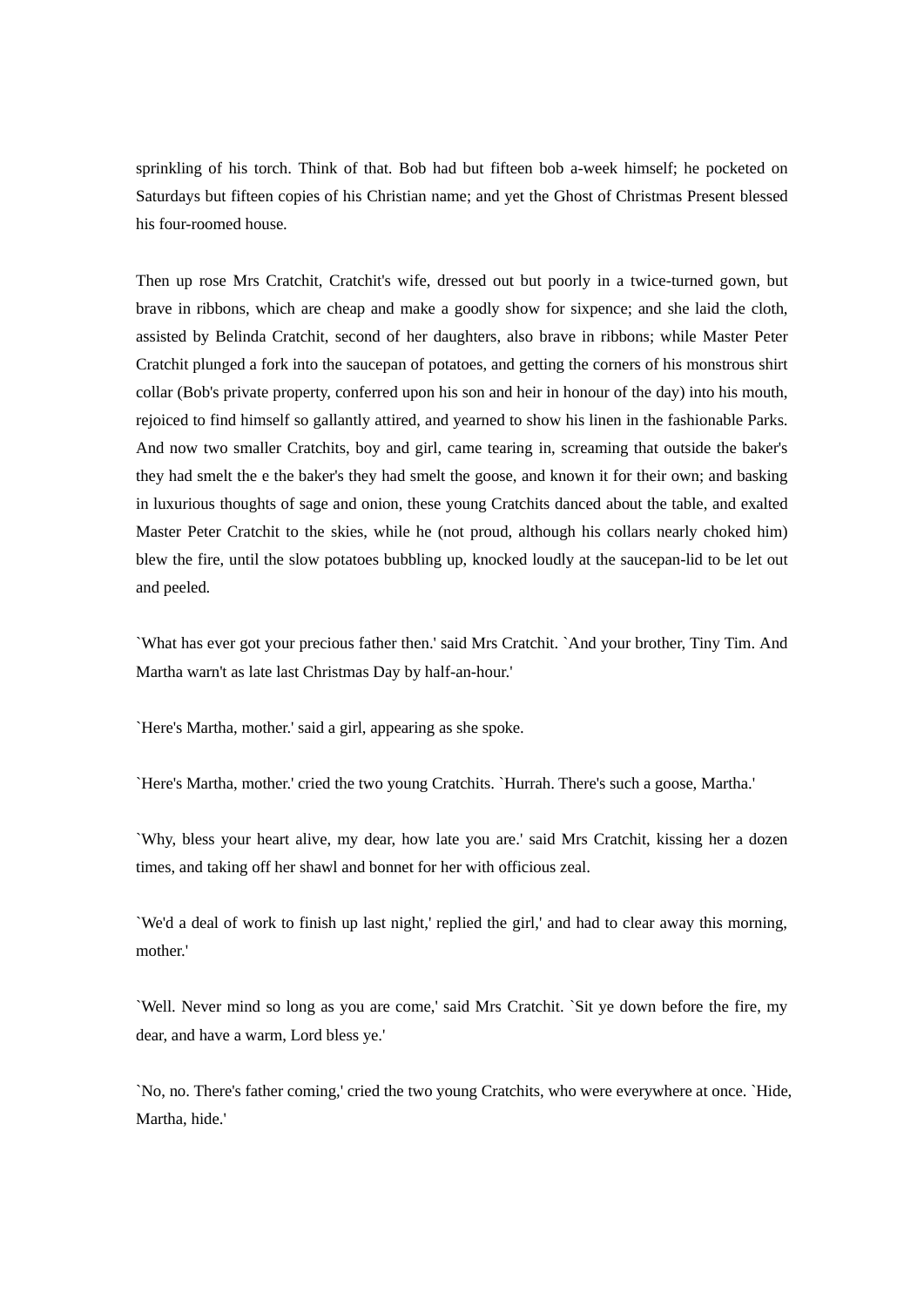sprinkling of his torch. Think of that. Bob had but fifteen bob a-week himself; he pocketed on Saturdays but fifteen copies of his Christian name; and yet the Ghost of Christmas Present blessed his four-roomed house.

Then up rose Mrs Cratchit, Cratchit's wife, dressed out but poorly in a twice-turned gown, but brave in ribbons, which are cheap and make a goodly show for sixpence; and she laid the cloth, assisted by Belinda Cratchit, second of her daughters, also brave in ribbons; while Master Peter Cratchit plunged a fork into the saucepan of potatoes, and getting the corners of his monstrous shirt collar (Bob's private property, conferred upon his son and heir in honour of the day) into his mouth, rejoiced to find himself so gallantly attired, and yearned to show his linen in the fashionable Parks. And now two smaller Cratchits, boy and girl, came tearing in, screaming that outside the baker's they had smelt the e the baker's they had smelt the goose, and known it for their own; and basking in luxurious thoughts of sage and onion, these young Cratchits danced about the table, and exalted Master Peter Cratchit to the skies, while he (not proud, although his collars nearly choked him) blew the fire, until the slow potatoes bubbling up, knocked loudly at the saucepan-lid to be let out and peeled.

`What has ever got your precious father then.' said Mrs Cratchit. `And your brother, Tiny Tim. And Martha warn't as late last Christmas Day by half-an-hour.'

`Here's Martha, mother.' said a girl, appearing as she spoke.

`Here's Martha, mother.' cried the two young Cratchits. `Hurrah. There's such a goose, Martha.'

`Why, bless your heart alive, my dear, how late you are.' said Mrs Cratchit, kissing her a dozen times, and taking off her shawl and bonnet for her with officious zeal.

`We'd a deal of work to finish up last night,' replied the girl,' and had to clear away this morning, mother.'

`Well. Never mind so long as you are come,' said Mrs Cratchit. `Sit ye down before the fire, my dear, and have a warm, Lord bless ye.'

`No, no. There's father coming,' cried the two young Cratchits, who were everywhere at once. `Hide, Martha, hide.'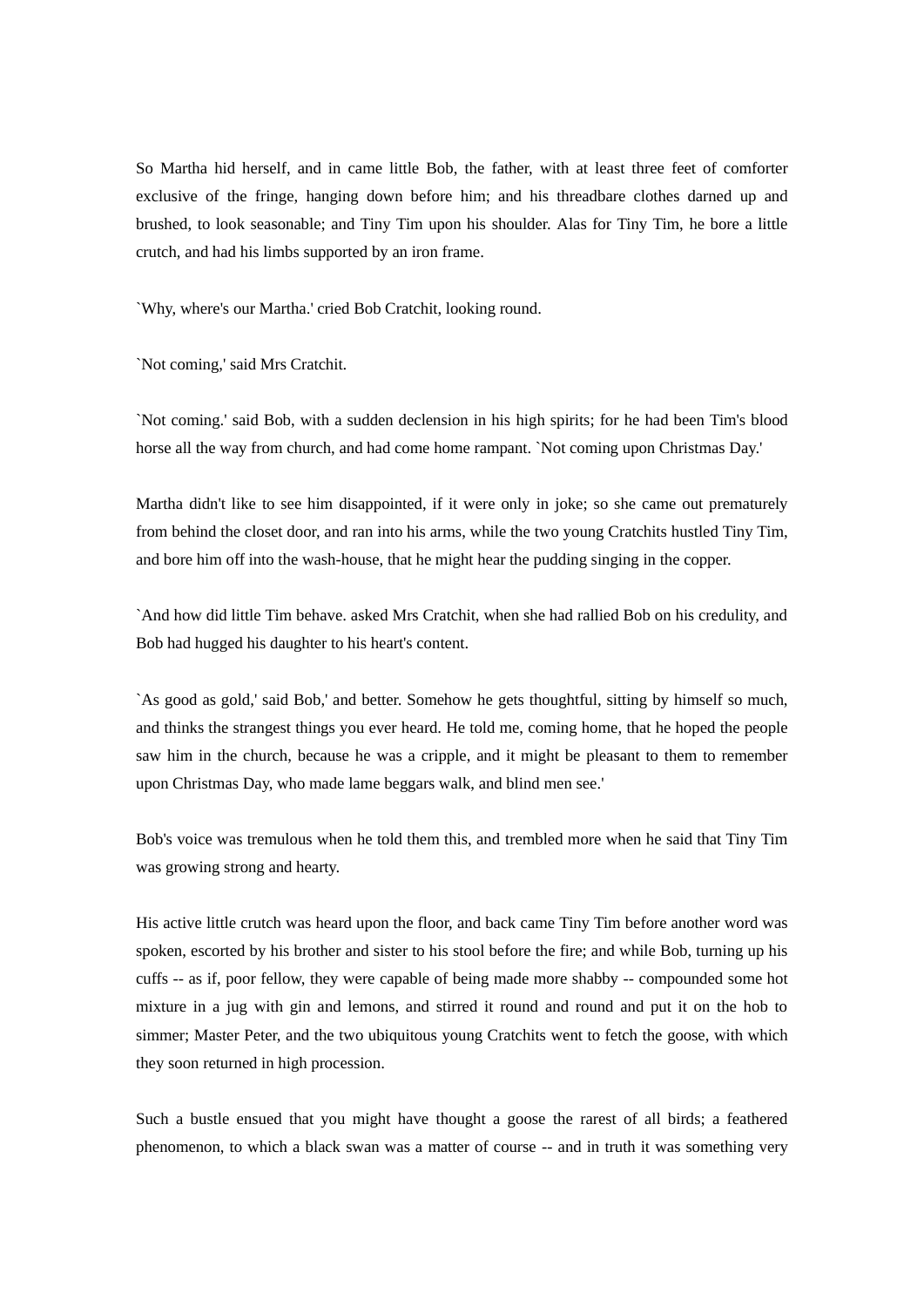So Martha hid herself, and in came little Bob, the father, with at least three feet of comforter exclusive of the fringe, hanging down before him; and his threadbare clothes darned up and brushed, to look seasonable; and Tiny Tim upon his shoulder. Alas for Tiny Tim, he bore a little crutch, and had his limbs supported by an iron frame.

`Why, where's our Martha.' cried Bob Cratchit, looking round.

`Not coming,' said Mrs Cratchit.

`Not coming.' said Bob, with a sudden declension in his high spirits; for he had been Tim's blood horse all the way from church, and had come home rampant. `Not coming upon Christmas Day.'

Martha didn't like to see him disappointed, if it were only in joke; so she came out prematurely from behind the closet door, and ran into his arms, while the two young Cratchits hustled Tiny Tim, and bore him off into the wash-house, that he might hear the pudding singing in the copper.

`And how did little Tim behave. asked Mrs Cratchit, when she had rallied Bob on his credulity, and Bob had hugged his daughter to his heart's content.

`As good as gold,' said Bob,' and better. Somehow he gets thoughtful, sitting by himself so much, and thinks the strangest things you ever heard. He told me, coming home, that he hoped the people saw him in the church, because he was a cripple, and it might be pleasant to them to remember upon Christmas Day, who made lame beggars walk, and blind men see.'

Bob's voice was tremulous when he told them this, and trembled more when he said that Tiny Tim was growing strong and hearty.

His active little crutch was heard upon the floor, and back came Tiny Tim before another word was spoken, escorted by his brother and sister to his stool before the fire; and while Bob, turning up his cuffs -- as if, poor fellow, they were capable of being made more shabby -- compounded some hot mixture in a jug with gin and lemons, and stirred it round and round and put it on the hob to simmer; Master Peter, and the two ubiquitous young Cratchits went to fetch the goose, with which they soon returned in high procession.

Such a bustle ensued that you might have thought a goose the rarest of all birds; a feathered phenomenon, to which a black swan was a matter of course -- and in truth it was something very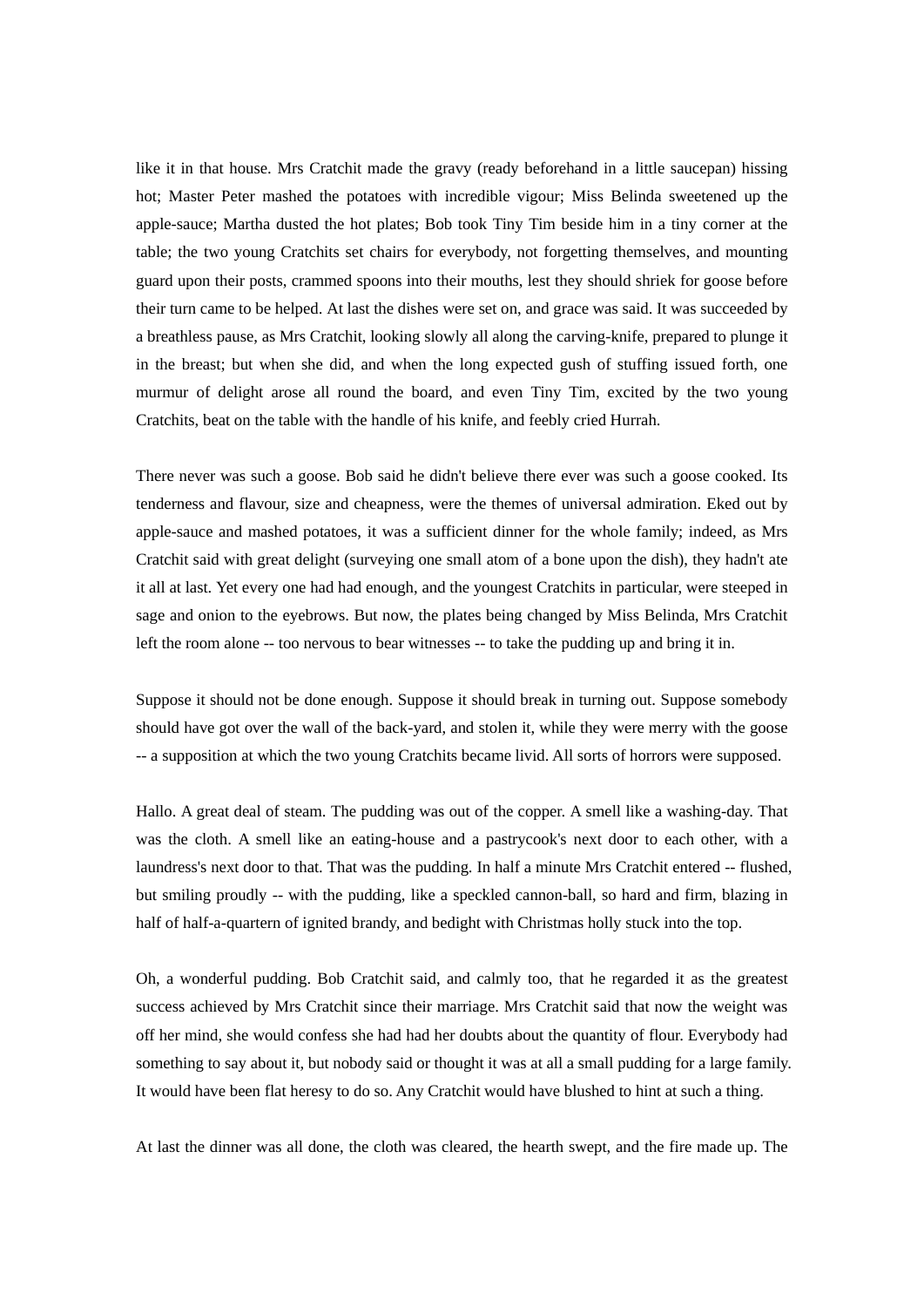like it in that house. Mrs Cratchit made the gravy (ready beforehand in a little saucepan) hissing hot; Master Peter mashed the potatoes with incredible vigour; Miss Belinda sweetened up the apple-sauce; Martha dusted the hot plates; Bob took Tiny Tim beside him in a tiny corner at the table; the two young Cratchits set chairs for everybody, not forgetting themselves, and mounting guard upon their posts, crammed spoons into their mouths, lest they should shriek for goose before their turn came to be helped. At last the dishes were set on, and grace was said. It was succeeded by a breathless pause, as Mrs Cratchit, looking slowly all along the carving-knife, prepared to plunge it in the breast; but when she did, and when the long expected gush of stuffing issued forth, one murmur of delight arose all round the board, and even Tiny Tim, excited by the two young Cratchits, beat on the table with the handle of his knife, and feebly cried Hurrah.

There never was such a goose. Bob said he didn't believe there ever was such a goose cooked. Its tenderness and flavour, size and cheapness, were the themes of universal admiration. Eked out by apple-sauce and mashed potatoes, it was a sufficient dinner for the whole family; indeed, as Mrs Cratchit said with great delight (surveying one small atom of a bone upon the dish), they hadn't ate it all at last. Yet every one had had enough, and the youngest Cratchits in particular, were steeped in sage and onion to the eyebrows. But now, the plates being changed by Miss Belinda, Mrs Cratchit left the room alone -- too nervous to bear witnesses -- to take the pudding up and bring it in.

Suppose it should not be done enough. Suppose it should break in turning out. Suppose somebody should have got over the wall of the back-yard, and stolen it, while they were merry with the goose -- a supposition at which the two young Cratchits became livid. All sorts of horrors were supposed.

Hallo. A great deal of steam. The pudding was out of the copper. A smell like a washing-day. That was the cloth. A smell like an eating-house and a pastrycook's next door to each other, with a laundress's next door to that. That was the pudding. In half a minute Mrs Cratchit entered -- flushed, but smiling proudly -- with the pudding, like a speckled cannon-ball, so hard and firm, blazing in half of half-a-quartern of ignited brandy, and bedight with Christmas holly stuck into the top.

Oh, a wonderful pudding. Bob Cratchit said, and calmly too, that he regarded it as the greatest success achieved by Mrs Cratchit since their marriage. Mrs Cratchit said that now the weight was off her mind, she would confess she had had her doubts about the quantity of flour. Everybody had something to say about it, but nobody said or thought it was at all a small pudding for a large family. It would have been flat heresy to do so. Any Cratchit would have blushed to hint at such a thing.

At last the dinner was all done, the cloth was cleared, the hearth swept, and the fire made up. The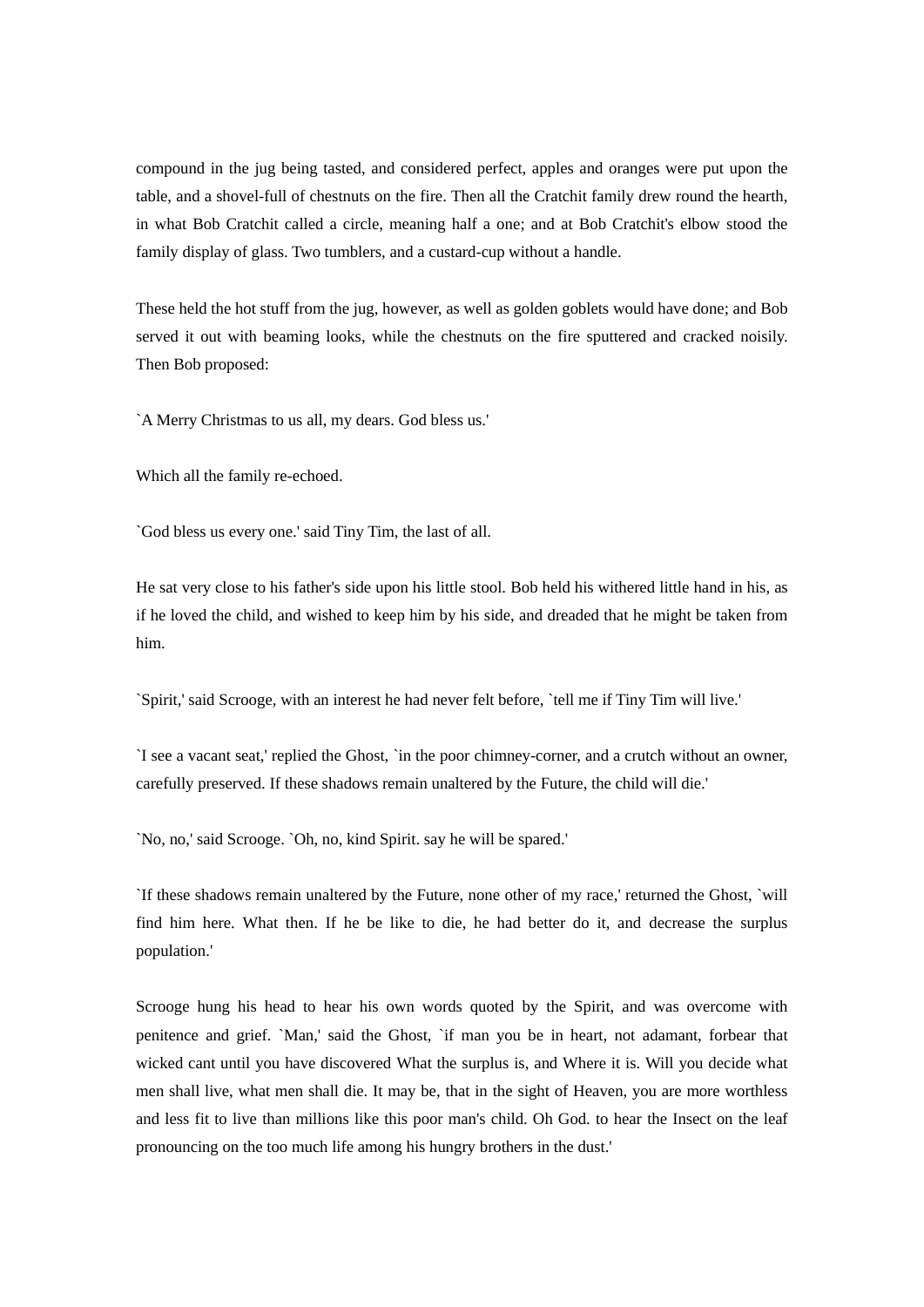compound in the jug being tasted, and considered perfect, apples and oranges were put upon the table, and a shovel-full of chestnuts on the fire. Then all the Cratchit family drew round the hearth, in what Bob Cratchit called a circle, meaning half a one; and at Bob Cratchit's elbow stood the family display of glass. Two tumblers, and a custard-cup without a handle.

These held the hot stuff from the jug, however, as well as golden goblets would have done; and Bob served it out with beaming looks, while the chestnuts on the fire sputtered and cracked noisily. Then Bob proposed:

`A Merry Christmas to us all, my dears. God bless us.'

Which all the family re-echoed.

`God bless us every one.' said Tiny Tim, the last of all.

He sat very close to his father's side upon his little stool. Bob held his withered little hand in his, as if he loved the child, and wished to keep him by his side, and dreaded that he might be taken from him.

`Spirit,' said Scrooge, with an interest he had never felt before, `tell me if Tiny Tim will live.'

`I see a vacant seat,' replied the Ghost, `in the poor chimney-corner, and a crutch without an owner, carefully preserved. If these shadows remain unaltered by the Future, the child will die.'

`No, no,' said Scrooge. `Oh, no, kind Spirit. say he will be spared.'

`If these shadows remain unaltered by the Future, none other of my race,' returned the Ghost, `will find him here. What then. If he be like to die, he had better do it, and decrease the surplus population.'

Scrooge hung his head to hear his own words quoted by the Spirit, and was overcome with penitence and grief. `Man,' said the Ghost, `if man you be in heart, not adamant, forbear that wicked cant until you have discovered What the surplus is, and Where it is. Will you decide what men shall live, what men shall die. It may be, that in the sight of Heaven, you are more worthless and less fit to live than millions like this poor man's child. Oh God. to hear the Insect on the leaf pronouncing on the too much life among his hungry brothers in the dust.'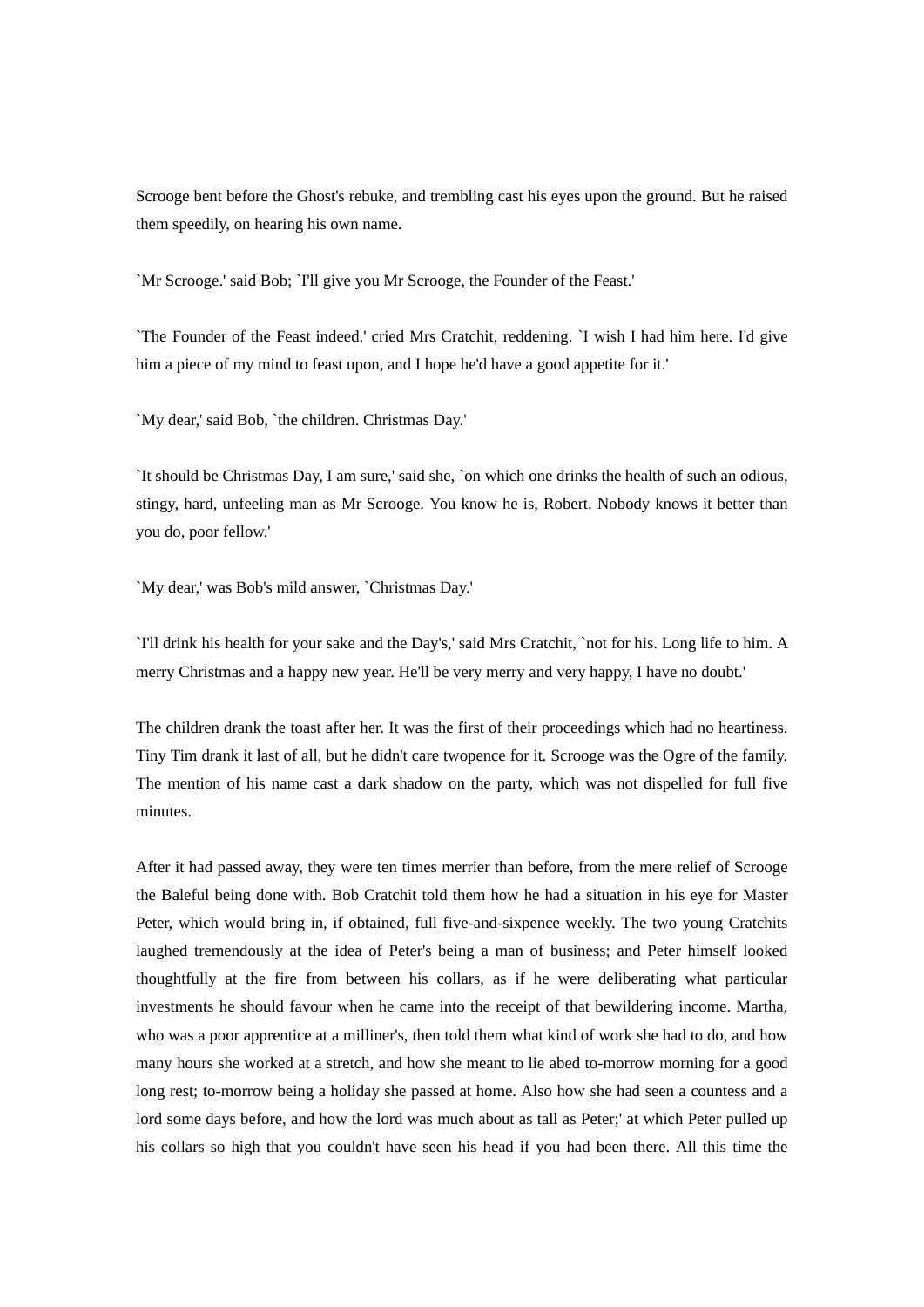Scrooge bent before the Ghost's rebuke, and trembling cast his eyes upon the ground. But he raised them speedily, on hearing his own name.

`Mr Scrooge.' said Bob; `I'll give you Mr Scrooge, the Founder of the Feast.'

`The Founder of the Feast indeed.' cried Mrs Cratchit, reddening. `I wish I had him here. I'd give him a piece of my mind to feast upon, and I hope he'd have a good appetite for it.'

`My dear,' said Bob, `the children. Christmas Day.'

`It should be Christmas Day, I am sure,' said she, `on which one drinks the health of such an odious, stingy, hard, unfeeling man as Mr Scrooge. You know he is, Robert. Nobody knows it better than you do, poor fellow.'

`My dear,' was Bob's mild answer, `Christmas Day.'

`I'll drink his health for your sake and the Day's,' said Mrs Cratchit, `not for his. Long life to him. A merry Christmas and a happy new year. He'll be very merry and very happy, I have no doubt.'

The children drank the toast after her. It was the first of their proceedings which had no heartiness. Tiny Tim drank it last of all, but he didn't care twopence for it. Scrooge was the Ogre of the family. The mention of his name cast a dark shadow on the party, which was not dispelled for full five minutes.

After it had passed away, they were ten times merrier than before, from the mere relief of Scrooge the Baleful being done with. Bob Cratchit told them how he had a situation in his eye for Master Peter, which would bring in, if obtained, full five-and-sixpence weekly. The two young Cratchits laughed tremendously at the idea of Peter's being a man of business; and Peter himself looked thoughtfully at the fire from between his collars, as if he were deliberating what particular investments he should favour when he came into the receipt of that bewildering income. Martha, who was a poor apprentice at a milliner's, then told them what kind of work she had to do, and how many hours she worked at a stretch, and how she meant to lie abed to-morrow morning for a good long rest; to-morrow being a holiday she passed at home. Also how she had seen a countess and a lord some days before, and how the lord was much about as tall as Peter;' at which Peter pulled up his collars so high that you couldn't have seen his head if you had been there. All this time the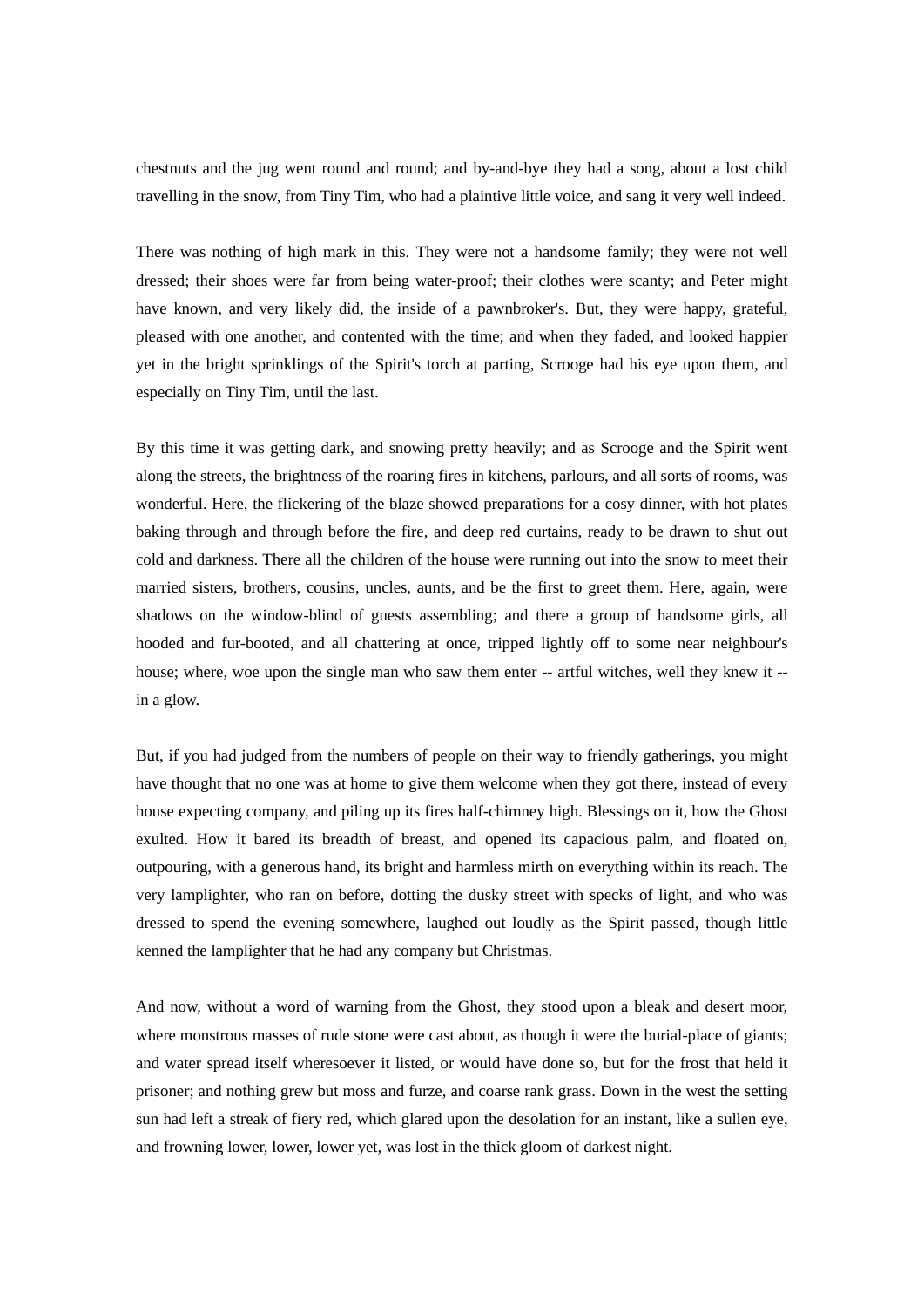chestnuts and the jug went round and round; and by-and-bye they had a song, about a lost child travelling in the snow, from Tiny Tim, who had a plaintive little voice, and sang it very well indeed.

There was nothing of high mark in this. They were not a handsome family; they were not well dressed; their shoes were far from being water-proof; their clothes were scanty; and Peter might have known, and very likely did, the inside of a pawnbroker's. But, they were happy, grateful, pleased with one another, and contented with the time; and when they faded, and looked happier yet in the bright sprinklings of the Spirit's torch at parting, Scrooge had his eye upon them, and especially on Tiny Tim, until the last.

By this time it was getting dark, and snowing pretty heavily; and as Scrooge and the Spirit went along the streets, the brightness of the roaring fires in kitchens, parlours, and all sorts of rooms, was wonderful. Here, the flickering of the blaze showed preparations for a cosy dinner, with hot plates baking through and through before the fire, and deep red curtains, ready to be drawn to shut out cold and darkness. There all the children of the house were running out into the snow to meet their married sisters, brothers, cousins, uncles, aunts, and be the first to greet them. Here, again, were shadows on the window-blind of guests assembling; and there a group of handsome girls, all hooded and fur-booted, and all chattering at once, tripped lightly off to some near neighbour's house; where, woe upon the single man who saw them enter -- artful witches, well they knew it -in a glow.

But, if you had judged from the numbers of people on their way to friendly gatherings, you might have thought that no one was at home to give them welcome when they got there, instead of every house expecting company, and piling up its fires half-chimney high. Blessings on it, how the Ghost exulted. How it bared its breadth of breast, and opened its capacious palm, and floated on, outpouring, with a generous hand, its bright and harmless mirth on everything within its reach. The very lamplighter, who ran on before, dotting the dusky street with specks of light, and who was dressed to spend the evening somewhere, laughed out loudly as the Spirit passed, though little kenned the lamplighter that he had any company but Christmas.

And now, without a word of warning from the Ghost, they stood upon a bleak and desert moor, where monstrous masses of rude stone were cast about, as though it were the burial-place of giants; and water spread itself wheresoever it listed, or would have done so, but for the frost that held it prisoner; and nothing grew but moss and furze, and coarse rank grass. Down in the west the setting sun had left a streak of fiery red, which glared upon the desolation for an instant, like a sullen eye, and frowning lower, lower, lower yet, was lost in the thick gloom of darkest night.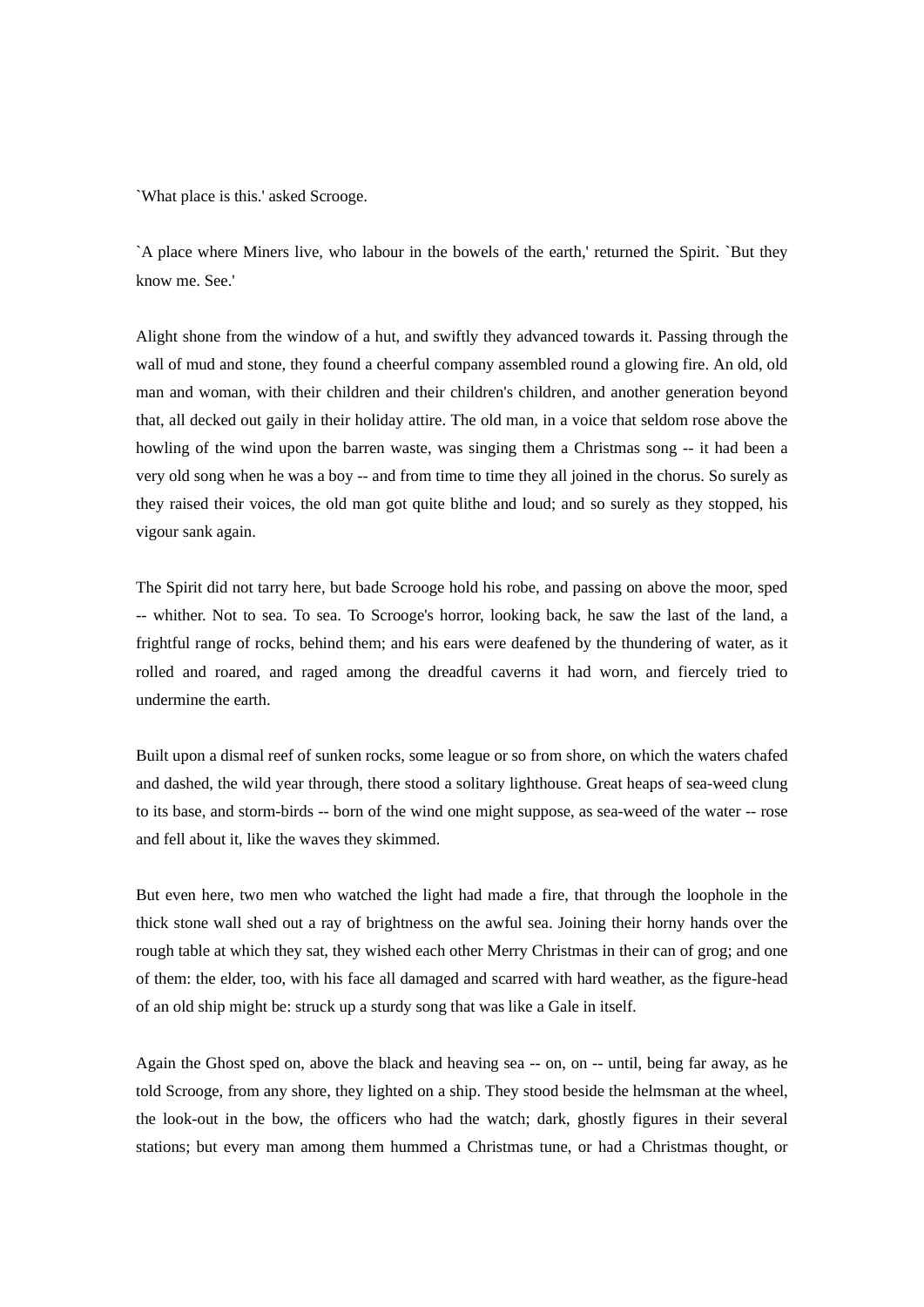`What place is this.' asked Scrooge.

`A place where Miners live, who labour in the bowels of the earth,' returned the Spirit. `But they know me. See.'

Alight shone from the window of a hut, and swiftly they advanced towards it. Passing through the wall of mud and stone, they found a cheerful company assembled round a glowing fire. An old, old man and woman, with their children and their children's children, and another generation beyond that, all decked out gaily in their holiday attire. The old man, in a voice that seldom rose above the howling of the wind upon the barren waste, was singing them a Christmas song -- it had been a very old song when he was a boy -- and from time to time they all joined in the chorus. So surely as they raised their voices, the old man got quite blithe and loud; and so surely as they stopped, his vigour sank again.

The Spirit did not tarry here, but bade Scrooge hold his robe, and passing on above the moor, sped -- whither. Not to sea. To sea. To Scrooge's horror, looking back, he saw the last of the land, a frightful range of rocks, behind them; and his ears were deafened by the thundering of water, as it rolled and roared, and raged among the dreadful caverns it had worn, and fiercely tried to undermine the earth.

Built upon a dismal reef of sunken rocks, some league or so from shore, on which the waters chafed and dashed, the wild year through, there stood a solitary lighthouse. Great heaps of sea-weed clung to its base, and storm-birds -- born of the wind one might suppose, as sea-weed of the water -- rose and fell about it, like the waves they skimmed.

But even here, two men who watched the light had made a fire, that through the loophole in the thick stone wall shed out a ray of brightness on the awful sea. Joining their horny hands over the rough table at which they sat, they wished each other Merry Christmas in their can of grog; and one of them: the elder, too, with his face all damaged and scarred with hard weather, as the figure-head of an old ship might be: struck up a sturdy song that was like a Gale in itself.

Again the Ghost sped on, above the black and heaving sea -- on, on -- until, being far away, as he told Scrooge, from any shore, they lighted on a ship. They stood beside the helmsman at the wheel, the look-out in the bow, the officers who had the watch; dark, ghostly figures in their several stations; but every man among them hummed a Christmas tune, or had a Christmas thought, or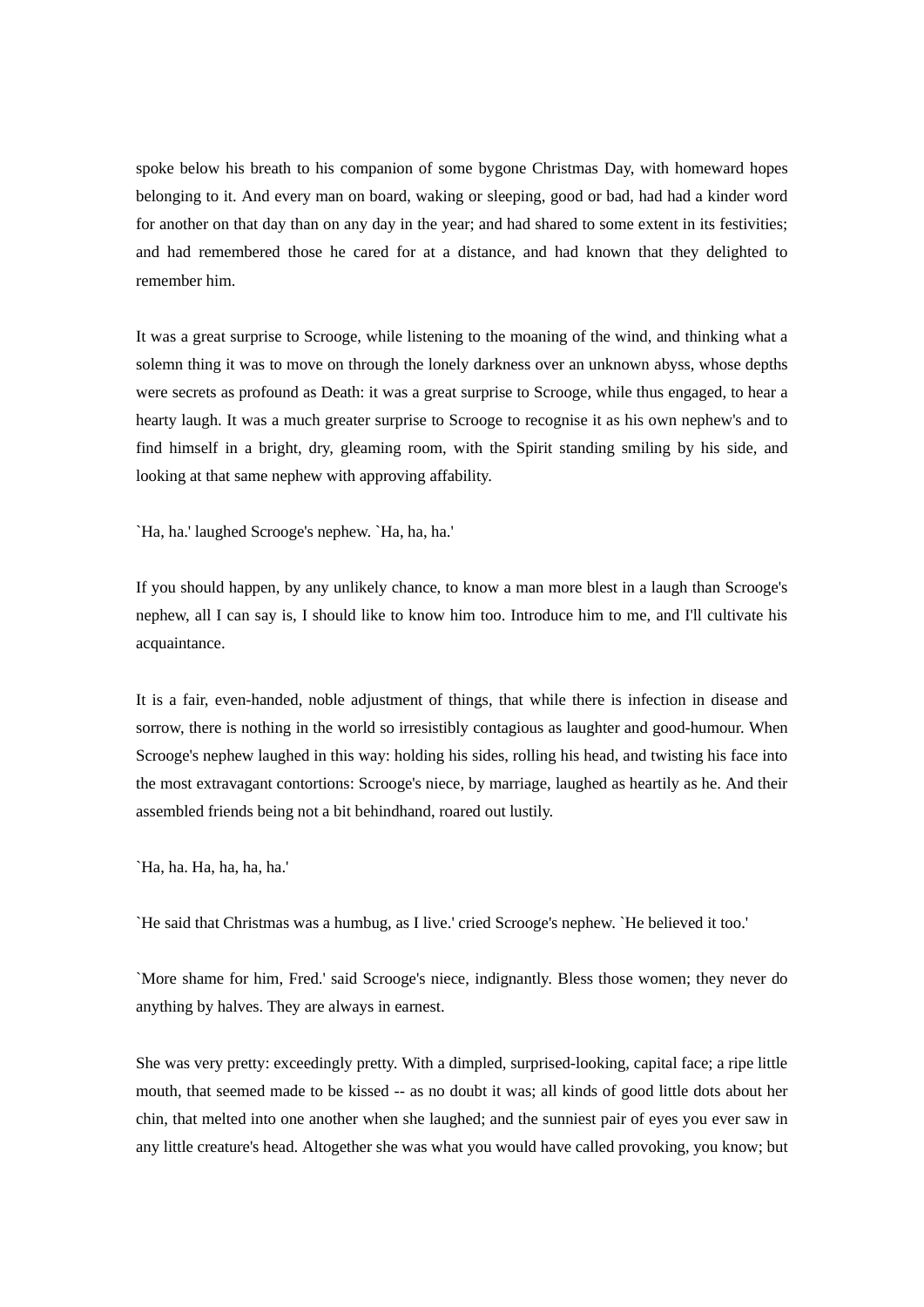spoke below his breath to his companion of some bygone Christmas Day, with homeward hopes belonging to it. And every man on board, waking or sleeping, good or bad, had had a kinder word for another on that day than on any day in the year; and had shared to some extent in its festivities; and had remembered those he cared for at a distance, and had known that they delighted to remember him.

It was a great surprise to Scrooge, while listening to the moaning of the wind, and thinking what a solemn thing it was to move on through the lonely darkness over an unknown abyss, whose depths were secrets as profound as Death: it was a great surprise to Scrooge, while thus engaged, to hear a hearty laugh. It was a much greater surprise to Scrooge to recognise it as his own nephew's and to find himself in a bright, dry, gleaming room, with the Spirit standing smiling by his side, and looking at that same nephew with approving affability.

`Ha, ha.' laughed Scrooge's nephew. `Ha, ha, ha.'

If you should happen, by any unlikely chance, to know a man more blest in a laugh than Scrooge's nephew, all I can say is, I should like to know him too. Introduce him to me, and I'll cultivate his acquaintance.

It is a fair, even-handed, noble adjustment of things, that while there is infection in disease and sorrow, there is nothing in the world so irresistibly contagious as laughter and good-humour. When Scrooge's nephew laughed in this way: holding his sides, rolling his head, and twisting his face into the most extravagant contortions: Scrooge's niece, by marriage, laughed as heartily as he. And their assembled friends being not a bit behindhand, roared out lustily.

`Ha, ha. Ha, ha, ha, ha.'

`He said that Christmas was a humbug, as I live.' cried Scrooge's nephew. `He believed it too.'

`More shame for him, Fred.' said Scrooge's niece, indignantly. Bless those women; they never do anything by halves. They are always in earnest.

She was very pretty: exceedingly pretty. With a dimpled, surprised-looking, capital face; a ripe little mouth, that seemed made to be kissed -- as no doubt it was; all kinds of good little dots about her chin, that melted into one another when she laughed; and the sunniest pair of eyes you ever saw in any little creature's head. Altogether she was what you would have called provoking, you know; but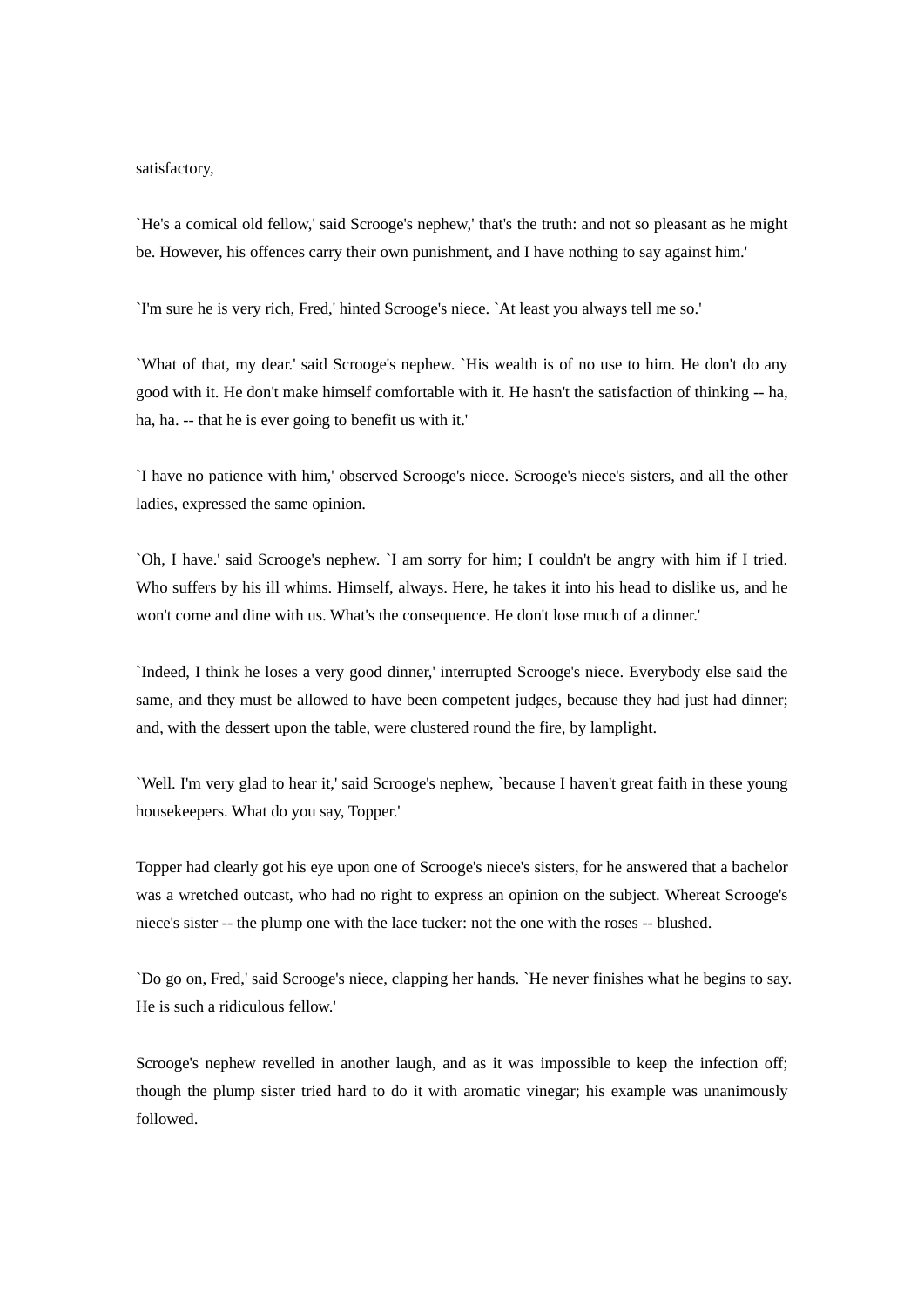## satisfactory,

`He's a comical old fellow,' said Scrooge's nephew,' that's the truth: and not so pleasant as he might be. However, his offences carry their own punishment, and I have nothing to say against him.'

`I'm sure he is very rich, Fred,' hinted Scrooge's niece. `At least you always tell me so.'

`What of that, my dear.' said Scrooge's nephew. `His wealth is of no use to him. He don't do any good with it. He don't make himself comfortable with it. He hasn't the satisfaction of thinking -- ha, ha, ha. -- that he is ever going to benefit us with it.'

`I have no patience with him,' observed Scrooge's niece. Scrooge's niece's sisters, and all the other ladies, expressed the same opinion.

`Oh, I have.' said Scrooge's nephew. `I am sorry for him; I couldn't be angry with him if I tried. Who suffers by his ill whims. Himself, always. Here, he takes it into his head to dislike us, and he won't come and dine with us. What's the consequence. He don't lose much of a dinner.'

`Indeed, I think he loses a very good dinner,' interrupted Scrooge's niece. Everybody else said the same, and they must be allowed to have been competent judges, because they had just had dinner; and, with the dessert upon the table, were clustered round the fire, by lamplight.

`Well. I'm very glad to hear it,' said Scrooge's nephew, `because I haven't great faith in these young housekeepers. What do you say, Topper.'

Topper had clearly got his eye upon one of Scrooge's niece's sisters, for he answered that a bachelor was a wretched outcast, who had no right to express an opinion on the subject. Whereat Scrooge's niece's sister -- the plump one with the lace tucker: not the one with the roses -- blushed.

`Do go on, Fred,' said Scrooge's niece, clapping her hands. `He never finishes what he begins to say. He is such a ridiculous fellow.'

Scrooge's nephew revelled in another laugh, and as it was impossible to keep the infection off; though the plump sister tried hard to do it with aromatic vinegar; his example was unanimously followed.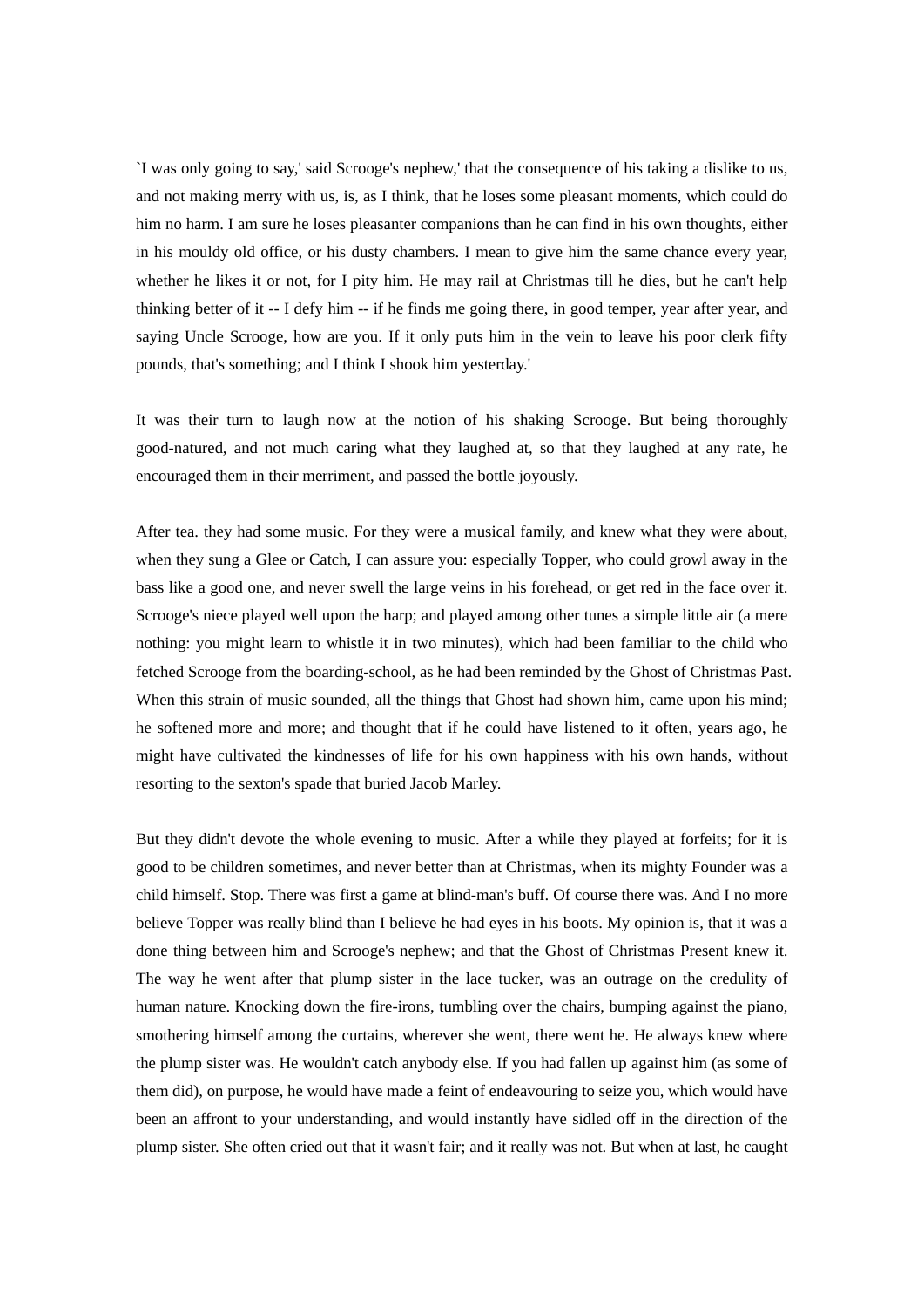`I was only going to say,' said Scrooge's nephew,' that the consequence of his taking a dislike to us, and not making merry with us, is, as I think, that he loses some pleasant moments, which could do him no harm. I am sure he loses pleasanter companions than he can find in his own thoughts, either in his mouldy old office, or his dusty chambers. I mean to give him the same chance every year, whether he likes it or not, for I pity him. He may rail at Christmas till he dies, but he can't help thinking better of it -- I defy him -- if he finds me going there, in good temper, year after year, and saying Uncle Scrooge, how are you. If it only puts him in the vein to leave his poor clerk fifty pounds, that's something; and I think I shook him yesterday.'

It was their turn to laugh now at the notion of his shaking Scrooge. But being thoroughly good-natured, and not much caring what they laughed at, so that they laughed at any rate, he encouraged them in their merriment, and passed the bottle joyously.

After tea. they had some music. For they were a musical family, and knew what they were about, when they sung a Glee or Catch, I can assure you: especially Topper, who could growl away in the bass like a good one, and never swell the large veins in his forehead, or get red in the face over it. Scrooge's niece played well upon the harp; and played among other tunes a simple little air (a mere nothing: you might learn to whistle it in two minutes), which had been familiar to the child who fetched Scrooge from the boarding-school, as he had been reminded by the Ghost of Christmas Past. When this strain of music sounded, all the things that Ghost had shown him, came upon his mind; he softened more and more; and thought that if he could have listened to it often, years ago, he might have cultivated the kindnesses of life for his own happiness with his own hands, without resorting to the sexton's spade that buried Jacob Marley.

But they didn't devote the whole evening to music. After a while they played at forfeits; for it is good to be children sometimes, and never better than at Christmas, when its mighty Founder was a child himself. Stop. There was first a game at blind-man's buff. Of course there was. And I no more believe Topper was really blind than I believe he had eyes in his boots. My opinion is, that it was a done thing between him and Scrooge's nephew; and that the Ghost of Christmas Present knew it. The way he went after that plump sister in the lace tucker, was an outrage on the credulity of human nature. Knocking down the fire-irons, tumbling over the chairs, bumping against the piano, smothering himself among the curtains, wherever she went, there went he. He always knew where the plump sister was. He wouldn't catch anybody else. If you had fallen up against him (as some of them did), on purpose, he would have made a feint of endeavouring to seize you, which would have been an affront to your understanding, and would instantly have sidled off in the direction of the plump sister. She often cried out that it wasn't fair; and it really was not. But when at last, he caught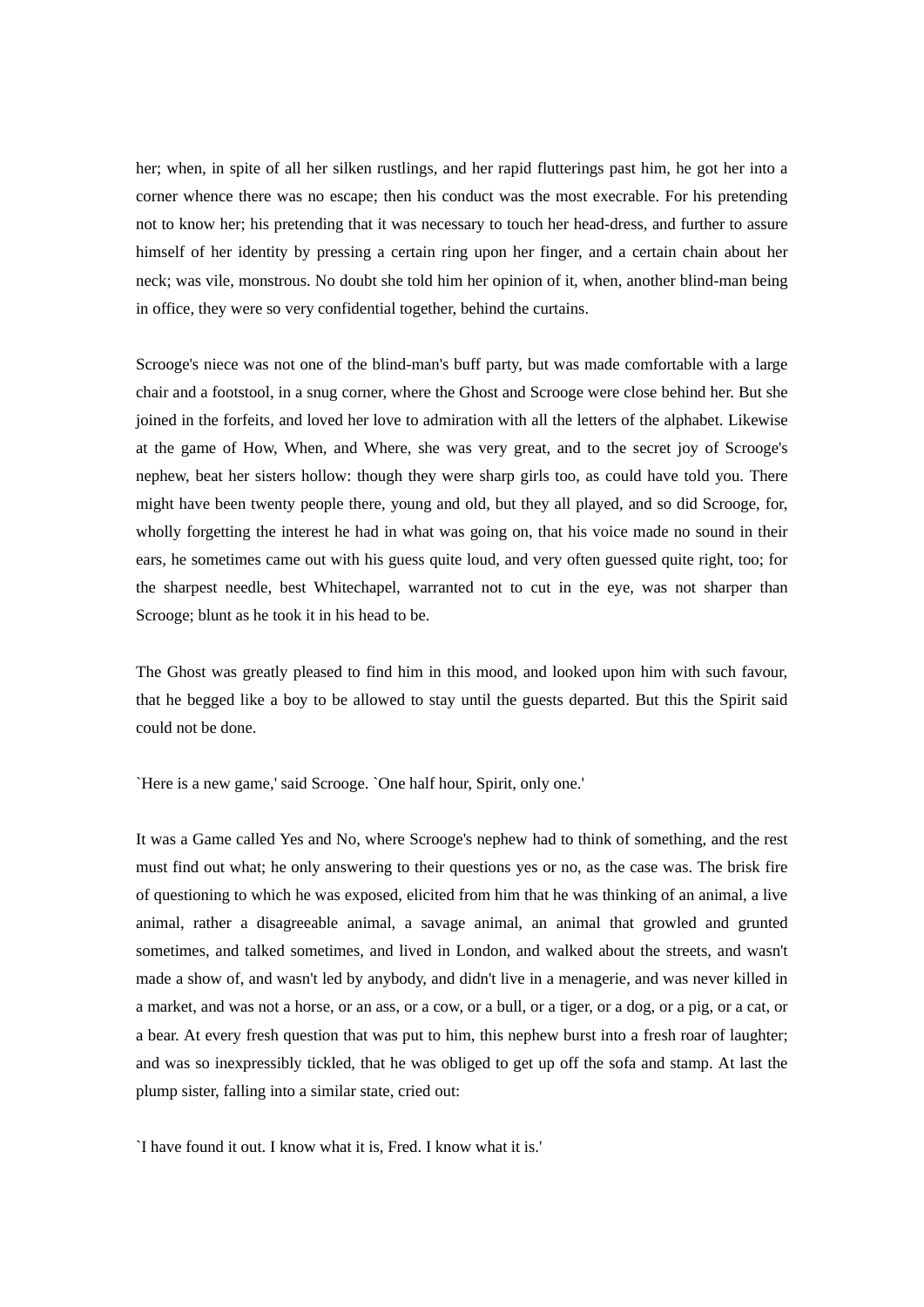her; when, in spite of all her silken rustlings, and her rapid flutterings past him, he got her into a corner whence there was no escape; then his conduct was the most execrable. For his pretending not to know her; his pretending that it was necessary to touch her head-dress, and further to assure himself of her identity by pressing a certain ring upon her finger, and a certain chain about her neck; was vile, monstrous. No doubt she told him her opinion of it, when, another blind-man being in office, they were so very confidential together, behind the curtains.

Scrooge's niece was not one of the blind-man's buff party, but was made comfortable with a large chair and a footstool, in a snug corner, where the Ghost and Scrooge were close behind her. But she joined in the forfeits, and loved her love to admiration with all the letters of the alphabet. Likewise at the game of How, When, and Where, she was very great, and to the secret joy of Scrooge's nephew, beat her sisters hollow: though they were sharp girls too, as could have told you. There might have been twenty people there, young and old, but they all played, and so did Scrooge, for, wholly forgetting the interest he had in what was going on, that his voice made no sound in their ears, he sometimes came out with his guess quite loud, and very often guessed quite right, too; for the sharpest needle, best Whitechapel, warranted not to cut in the eye, was not sharper than Scrooge; blunt as he took it in his head to be.

The Ghost was greatly pleased to find him in this mood, and looked upon him with such favour, that he begged like a boy to be allowed to stay until the guests departed. But this the Spirit said could not be done.

`Here is a new game,' said Scrooge. `One half hour, Spirit, only one.'

It was a Game called Yes and No, where Scrooge's nephew had to think of something, and the rest must find out what; he only answering to their questions yes or no, as the case was. The brisk fire of questioning to which he was exposed, elicited from him that he was thinking of an animal, a live animal, rather a disagreeable animal, a savage animal, an animal that growled and grunted sometimes, and talked sometimes, and lived in London, and walked about the streets, and wasn't made a show of, and wasn't led by anybody, and didn't live in a menagerie, and was never killed in a market, and was not a horse, or an ass, or a cow, or a bull, or a tiger, or a dog, or a pig, or a cat, or a bear. At every fresh question that was put to him, this nephew burst into a fresh roar of laughter; and was so inexpressibly tickled, that he was obliged to get up off the sofa and stamp. At last the plump sister, falling into a similar state, cried out:

`I have found it out. I know what it is, Fred. I know what it is.'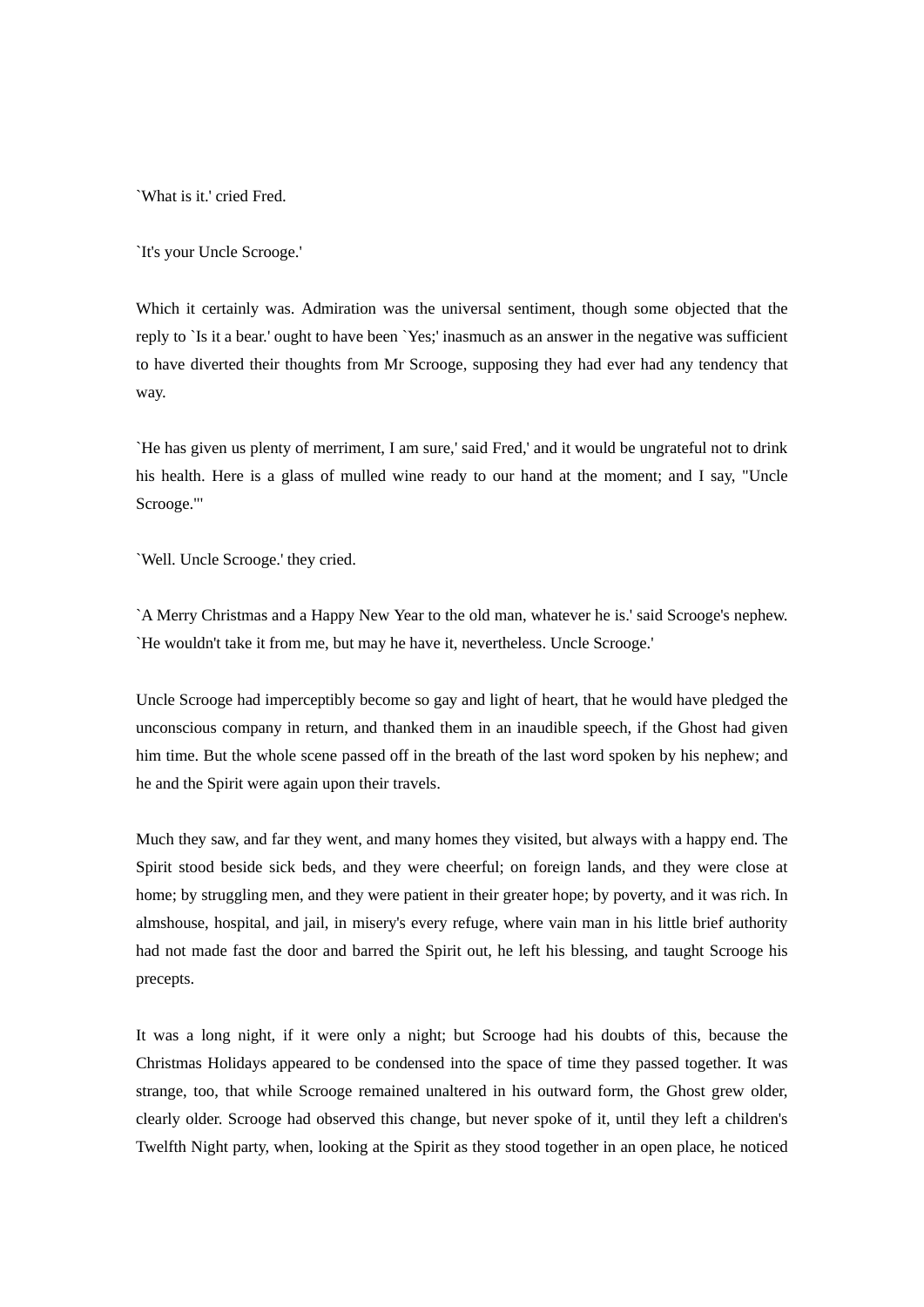`What is it.' cried Fred.

`It's your Uncle Scrooge.'

Which it certainly was. Admiration was the universal sentiment, though some objected that the reply to `Is it a bear.' ought to have been `Yes;' inasmuch as an answer in the negative was sufficient to have diverted their thoughts from Mr Scrooge, supposing they had ever had any tendency that way.

`He has given us plenty of merriment, I am sure,' said Fred,' and it would be ungrateful not to drink his health. Here is a glass of mulled wine ready to our hand at the moment; and I say, "Uncle Scrooge."'

`Well. Uncle Scrooge.' they cried.

`A Merry Christmas and a Happy New Year to the old man, whatever he is.' said Scrooge's nephew. `He wouldn't take it from me, but may he have it, nevertheless. Uncle Scrooge.'

Uncle Scrooge had imperceptibly become so gay and light of heart, that he would have pledged the unconscious company in return, and thanked them in an inaudible speech, if the Ghost had given him time. But the whole scene passed off in the breath of the last word spoken by his nephew; and he and the Spirit were again upon their travels.

Much they saw, and far they went, and many homes they visited, but always with a happy end. The Spirit stood beside sick beds, and they were cheerful; on foreign lands, and they were close at home; by struggling men, and they were patient in their greater hope; by poverty, and it was rich. In almshouse, hospital, and jail, in misery's every refuge, where vain man in his little brief authority had not made fast the door and barred the Spirit out, he left his blessing, and taught Scrooge his precepts.

It was a long night, if it were only a night; but Scrooge had his doubts of this, because the Christmas Holidays appeared to be condensed into the space of time they passed together. It was strange, too, that while Scrooge remained unaltered in his outward form, the Ghost grew older, clearly older. Scrooge had observed this change, but never spoke of it, until they left a children's Twelfth Night party, when, looking at the Spirit as they stood together in an open place, he noticed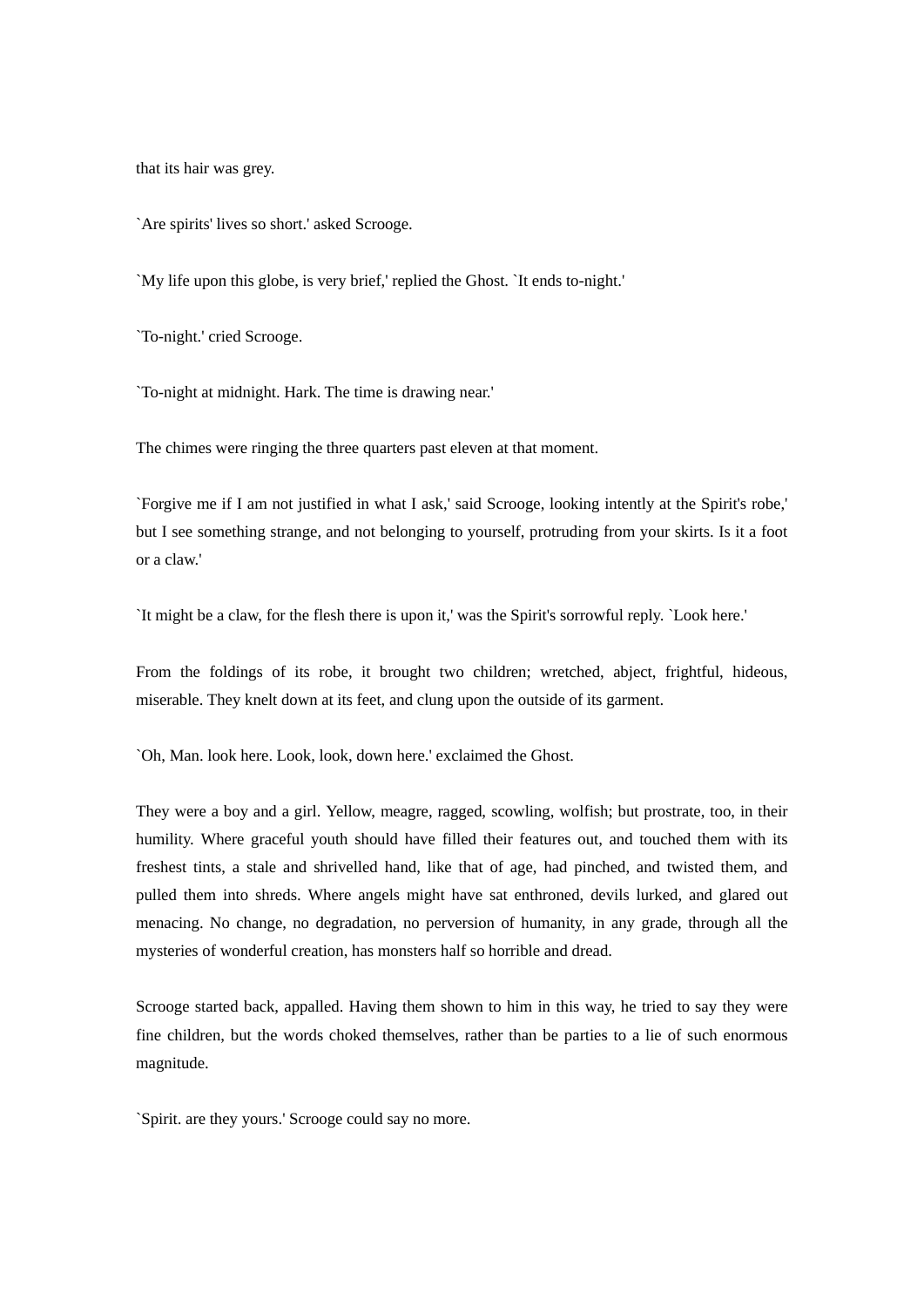that its hair was grey.

`Are spirits' lives so short.' asked Scrooge.

`My life upon this globe, is very brief,' replied the Ghost. `It ends to-night.'

`To-night.' cried Scrooge.

`To-night at midnight. Hark. The time is drawing near.'

The chimes were ringing the three quarters past eleven at that moment.

`Forgive me if I am not justified in what I ask,' said Scrooge, looking intently at the Spirit's robe,' but I see something strange, and not belonging to yourself, protruding from your skirts. Is it a foot or a claw.'

`It might be a claw, for the flesh there is upon it,' was the Spirit's sorrowful reply. `Look here.'

From the foldings of its robe, it brought two children; wretched, abject, frightful, hideous, miserable. They knelt down at its feet, and clung upon the outside of its garment.

`Oh, Man. look here. Look, look, down here.' exclaimed the Ghost.

They were a boy and a girl. Yellow, meagre, ragged, scowling, wolfish; but prostrate, too, in their humility. Where graceful youth should have filled their features out, and touched them with its freshest tints, a stale and shrivelled hand, like that of age, had pinched, and twisted them, and pulled them into shreds. Where angels might have sat enthroned, devils lurked, and glared out menacing. No change, no degradation, no perversion of humanity, in any grade, through all the mysteries of wonderful creation, has monsters half so horrible and dread.

Scrooge started back, appalled. Having them shown to him in this way, he tried to say they were fine children, but the words choked themselves, rather than be parties to a lie of such enormous magnitude.

`Spirit. are they yours.' Scrooge could say no more.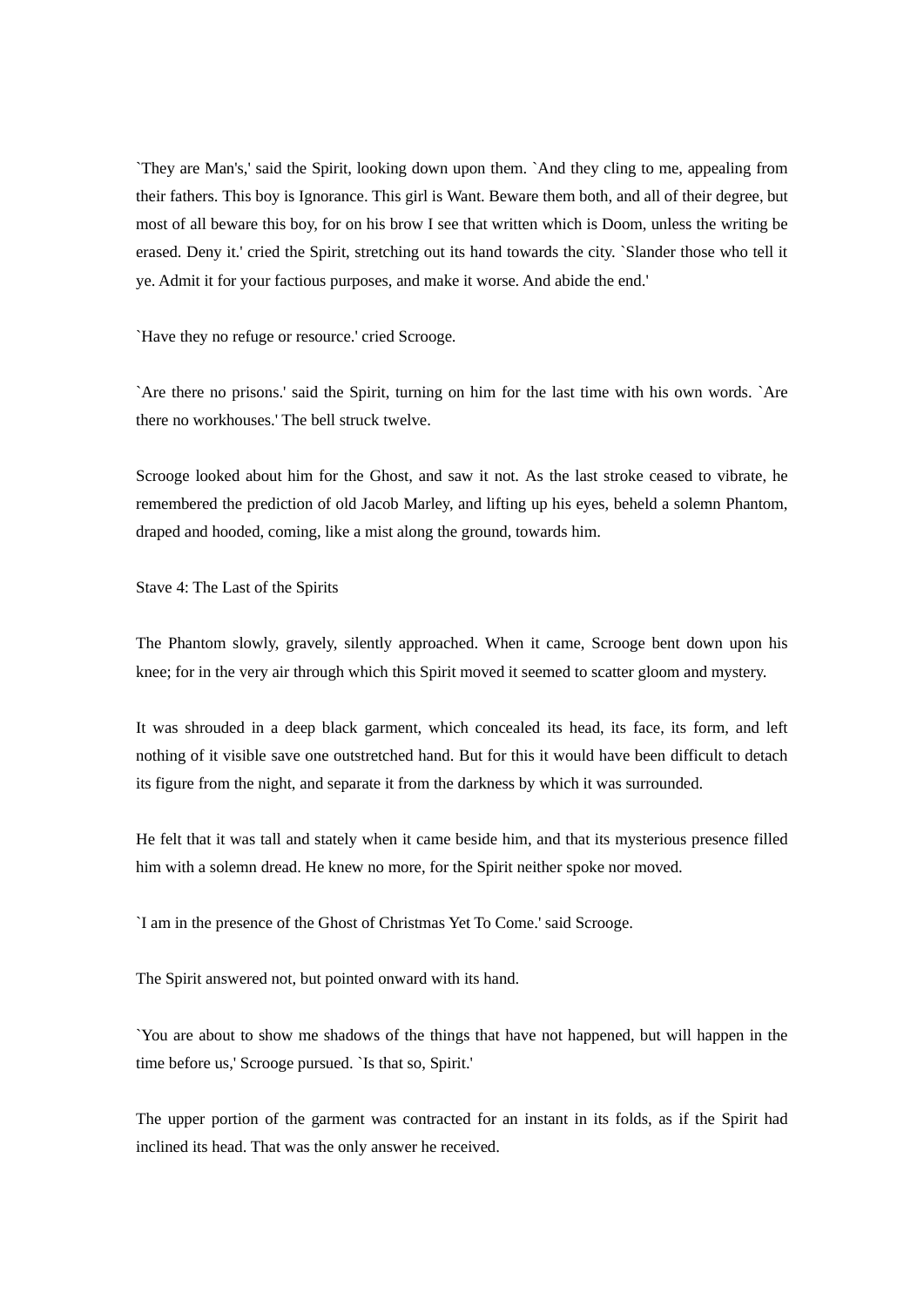`They are Man's,' said the Spirit, looking down upon them. `And they cling to me, appealing from their fathers. This boy is Ignorance. This girl is Want. Beware them both, and all of their degree, but most of all beware this boy, for on his brow I see that written which is Doom, unless the writing be erased. Deny it.' cried the Spirit, stretching out its hand towards the city. `Slander those who tell it ye. Admit it for your factious purposes, and make it worse. And abide the end.'

`Have they no refuge or resource.' cried Scrooge.

`Are there no prisons.' said the Spirit, turning on him for the last time with his own words. `Are there no workhouses.' The bell struck twelve.

Scrooge looked about him for the Ghost, and saw it not. As the last stroke ceased to vibrate, he remembered the prediction of old Jacob Marley, and lifting up his eyes, beheld a solemn Phantom, draped and hooded, coming, like a mist along the ground, towards him.

Stave 4: The Last of the Spirits

The Phantom slowly, gravely, silently approached. When it came, Scrooge bent down upon his knee; for in the very air through which this Spirit moved it seemed to scatter gloom and mystery.

It was shrouded in a deep black garment, which concealed its head, its face, its form, and left nothing of it visible save one outstretched hand. But for this it would have been difficult to detach its figure from the night, and separate it from the darkness by which it was surrounded.

He felt that it was tall and stately when it came beside him, and that its mysterious presence filled him with a solemn dread. He knew no more, for the Spirit neither spoke nor moved.

`I am in the presence of the Ghost of Christmas Yet To Come.' said Scrooge.

The Spirit answered not, but pointed onward with its hand.

`You are about to show me shadows of the things that have not happened, but will happen in the time before us,' Scrooge pursued. `Is that so, Spirit.'

The upper portion of the garment was contracted for an instant in its folds, as if the Spirit had inclined its head. That was the only answer he received.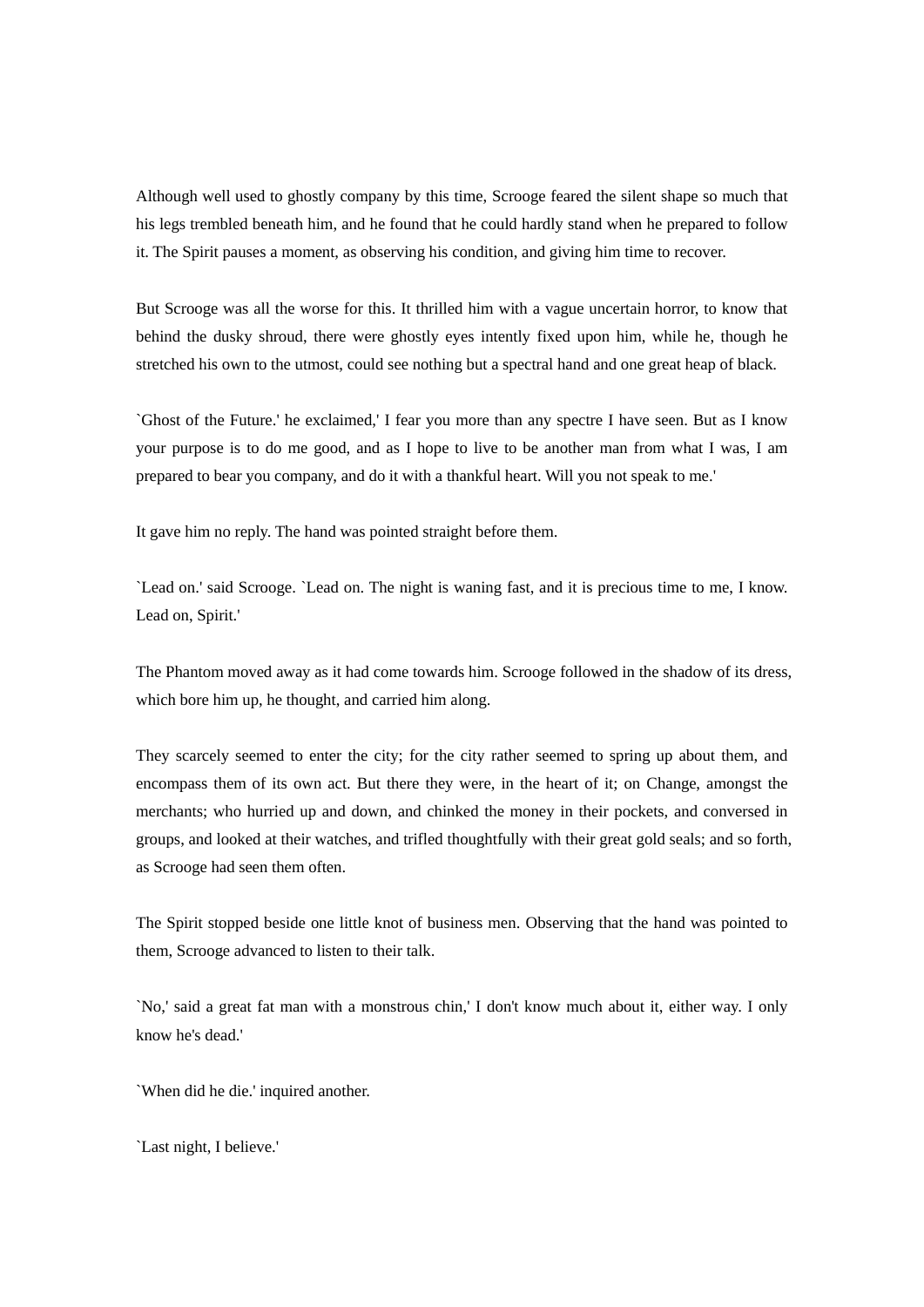Although well used to ghostly company by this time, Scrooge feared the silent shape so much that his legs trembled beneath him, and he found that he could hardly stand when he prepared to follow it. The Spirit pauses a moment, as observing his condition, and giving him time to recover.

But Scrooge was all the worse for this. It thrilled him with a vague uncertain horror, to know that behind the dusky shroud, there were ghostly eyes intently fixed upon him, while he, though he stretched his own to the utmost, could see nothing but a spectral hand and one great heap of black.

`Ghost of the Future.' he exclaimed,' I fear you more than any spectre I have seen. But as I know your purpose is to do me good, and as I hope to live to be another man from what I was, I am prepared to bear you company, and do it with a thankful heart. Will you not speak to me.'

It gave him no reply. The hand was pointed straight before them.

`Lead on.' said Scrooge. `Lead on. The night is waning fast, and it is precious time to me, I know. Lead on, Spirit.'

The Phantom moved away as it had come towards him. Scrooge followed in the shadow of its dress, which bore him up, he thought, and carried him along.

They scarcely seemed to enter the city; for the city rather seemed to spring up about them, and encompass them of its own act. But there they were, in the heart of it; on Change, amongst the merchants; who hurried up and down, and chinked the money in their pockets, and conversed in groups, and looked at their watches, and trifled thoughtfully with their great gold seals; and so forth, as Scrooge had seen them often.

The Spirit stopped beside one little knot of business men. Observing that the hand was pointed to them, Scrooge advanced to listen to their talk.

`No,' said a great fat man with a monstrous chin,' I don't know much about it, either way. I only know he's dead.'

`When did he die.' inquired another.

`Last night, I believe.'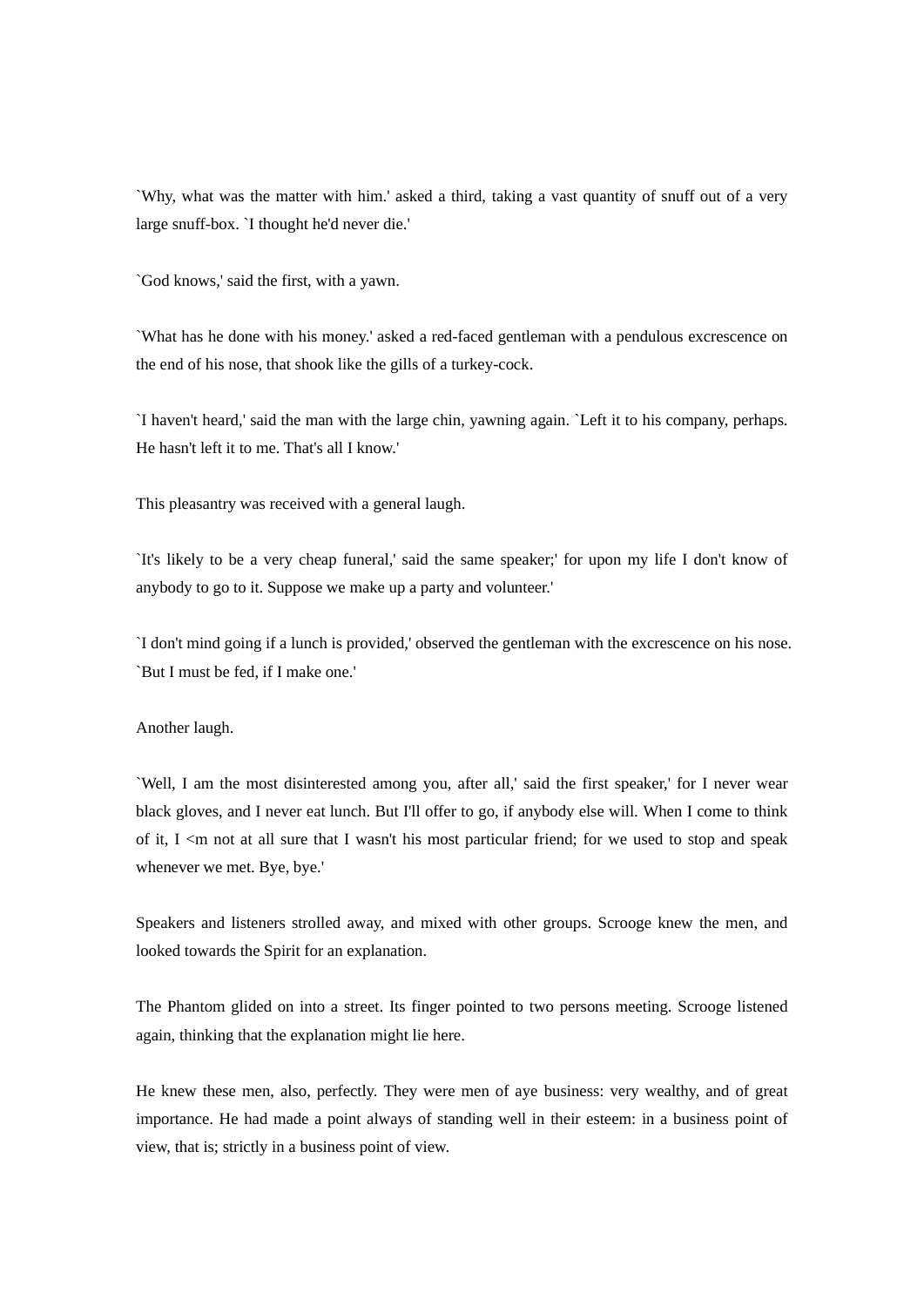`Why, what was the matter with him.' asked a third, taking a vast quantity of snuff out of a very large snuff-box. `I thought he'd never die.'

`God knows,' said the first, with a yawn.

`What has he done with his money.' asked a red-faced gentleman with a pendulous excrescence on the end of his nose, that shook like the gills of a turkey-cock.

`I haven't heard,' said the man with the large chin, yawning again. `Left it to his company, perhaps. He hasn't left it to me. That's all I know.'

This pleasantry was received with a general laugh.

`It's likely to be a very cheap funeral,' said the same speaker;' for upon my life I don't know of anybody to go to it. Suppose we make up a party and volunteer.'

`I don't mind going if a lunch is provided,' observed the gentleman with the excrescence on his nose. `But I must be fed, if I make one.'

Another laugh.

`Well, I am the most disinterested among you, after all,' said the first speaker,' for I never wear black gloves, and I never eat lunch. But I'll offer to go, if anybody else will. When I come to think of it,  $I \le m$  not at all sure that I wasn't his most particular friend; for we used to stop and speak whenever we met. Bye, bye.'

Speakers and listeners strolled away, and mixed with other groups. Scrooge knew the men, and looked towards the Spirit for an explanation.

The Phantom glided on into a street. Its finger pointed to two persons meeting. Scrooge listened again, thinking that the explanation might lie here.

He knew these men, also, perfectly. They were men of aye business: very wealthy, and of great importance. He had made a point always of standing well in their esteem: in a business point of view, that is; strictly in a business point of view.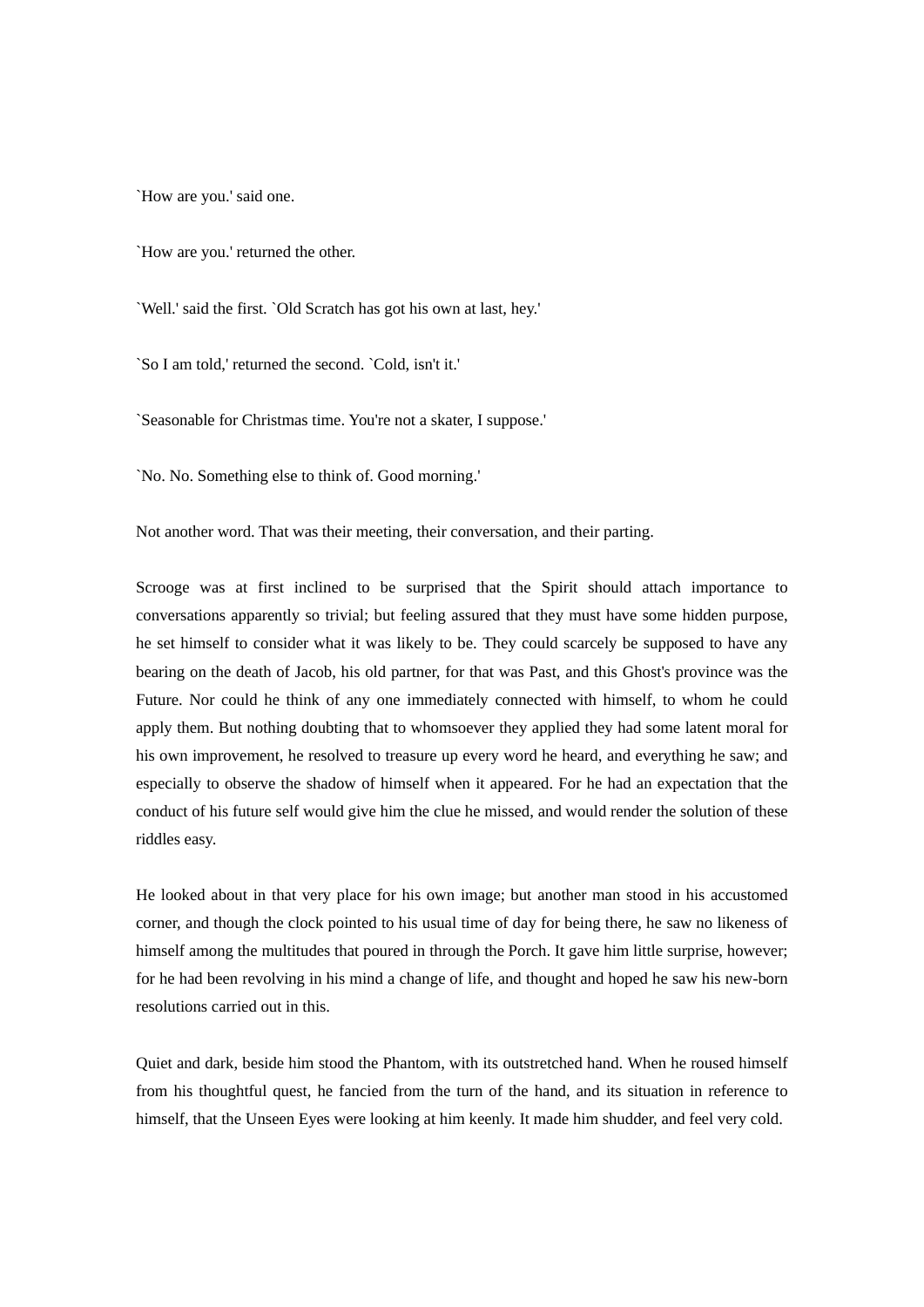`How are you.' said one.

`How are you.' returned the other.

`Well.' said the first. `Old Scratch has got his own at last, hey.'

`So I am told,' returned the second. `Cold, isn't it.'

`Seasonable for Christmas time. You're not a skater, I suppose.'

`No. No. Something else to think of. Good morning.'

Not another word. That was their meeting, their conversation, and their parting.

Scrooge was at first inclined to be surprised that the Spirit should attach importance to conversations apparently so trivial; but feeling assured that they must have some hidden purpose, he set himself to consider what it was likely to be. They could scarcely be supposed to have any bearing on the death of Jacob, his old partner, for that was Past, and this Ghost's province was the Future. Nor could he think of any one immediately connected with himself, to whom he could apply them. But nothing doubting that to whomsoever they applied they had some latent moral for his own improvement, he resolved to treasure up every word he heard, and everything he saw; and especially to observe the shadow of himself when it appeared. For he had an expectation that the conduct of his future self would give him the clue he missed, and would render the solution of these riddles easy.

He looked about in that very place for his own image; but another man stood in his accustomed corner, and though the clock pointed to his usual time of day for being there, he saw no likeness of himself among the multitudes that poured in through the Porch. It gave him little surprise, however; for he had been revolving in his mind a change of life, and thought and hoped he saw his new-born resolutions carried out in this.

Quiet and dark, beside him stood the Phantom, with its outstretched hand. When he roused himself from his thoughtful quest, he fancied from the turn of the hand, and its situation in reference to himself, that the Unseen Eyes were looking at him keenly. It made him shudder, and feel very cold.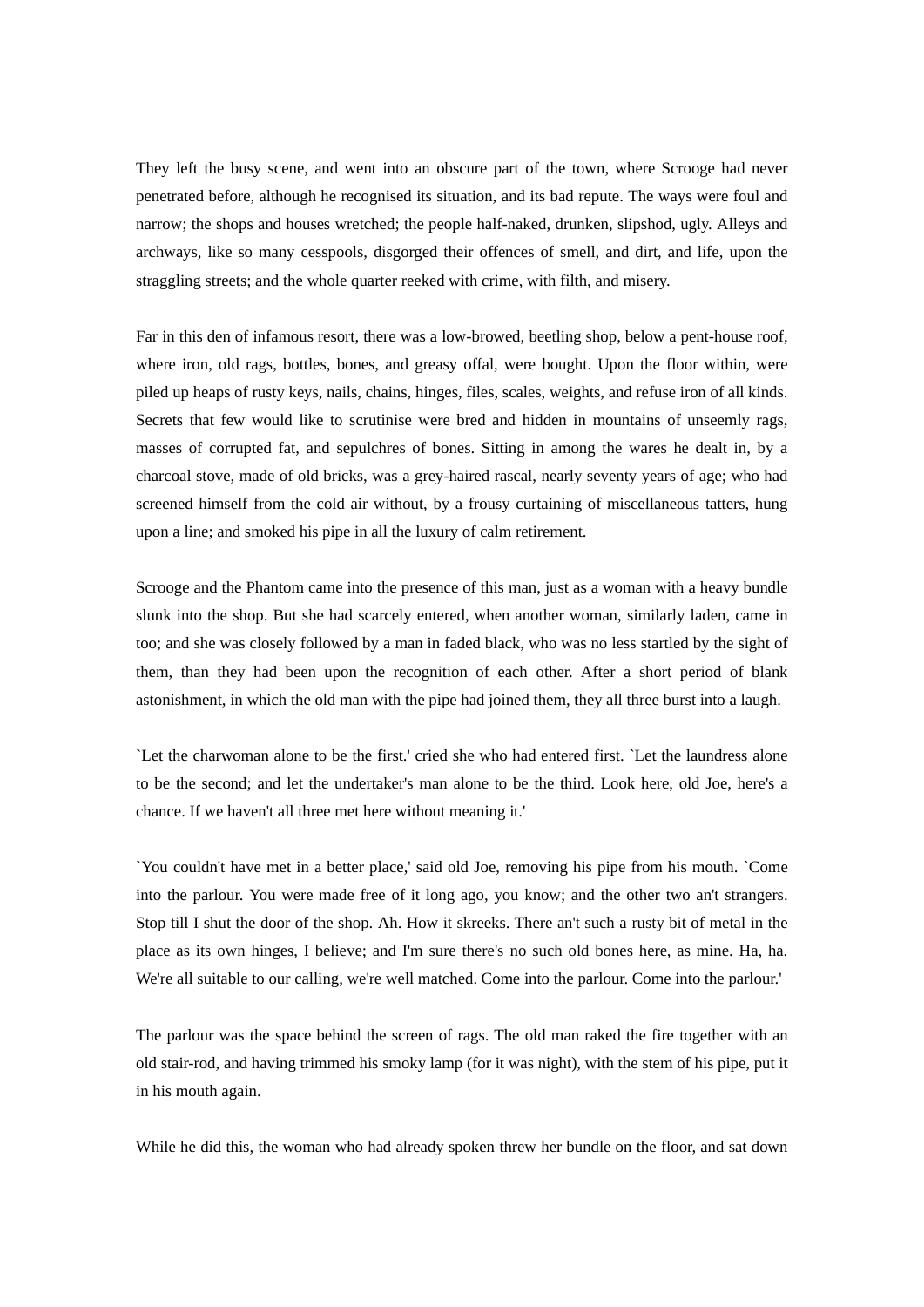They left the busy scene, and went into an obscure part of the town, where Scrooge had never penetrated before, although he recognised its situation, and its bad repute. The ways were foul and narrow; the shops and houses wretched; the people half-naked, drunken, slipshod, ugly. Alleys and archways, like so many cesspools, disgorged their offences of smell, and dirt, and life, upon the straggling streets; and the whole quarter reeked with crime, with filth, and misery.

Far in this den of infamous resort, there was a low-browed, beetling shop, below a pent-house roof, where iron, old rags, bottles, bones, and greasy offal, were bought. Upon the floor within, were piled up heaps of rusty keys, nails, chains, hinges, files, scales, weights, and refuse iron of all kinds. Secrets that few would like to scrutinise were bred and hidden in mountains of unseemly rags, masses of corrupted fat, and sepulchres of bones. Sitting in among the wares he dealt in, by a charcoal stove, made of old bricks, was a grey-haired rascal, nearly seventy years of age; who had screened himself from the cold air without, by a frousy curtaining of miscellaneous tatters, hung upon a line; and smoked his pipe in all the luxury of calm retirement.

Scrooge and the Phantom came into the presence of this man, just as a woman with a heavy bundle slunk into the shop. But she had scarcely entered, when another woman, similarly laden, came in too; and she was closely followed by a man in faded black, who was no less startled by the sight of them, than they had been upon the recognition of each other. After a short period of blank astonishment, in which the old man with the pipe had joined them, they all three burst into a laugh.

`Let the charwoman alone to be the first.' cried she who had entered first. `Let the laundress alone to be the second; and let the undertaker's man alone to be the third. Look here, old Joe, here's a chance. If we haven't all three met here without meaning it.'

`You couldn't have met in a better place,' said old Joe, removing his pipe from his mouth. `Come into the parlour. You were made free of it long ago, you know; and the other two an't strangers. Stop till I shut the door of the shop. Ah. How it skreeks. There an't such a rusty bit of metal in the place as its own hinges, I believe; and I'm sure there's no such old bones here, as mine. Ha, ha. We're all suitable to our calling, we're well matched. Come into the parlour. Come into the parlour.'

The parlour was the space behind the screen of rags. The old man raked the fire together with an old stair-rod, and having trimmed his smoky lamp (for it was night), with the stem of his pipe, put it in his mouth again.

While he did this, the woman who had already spoken threw her bundle on the floor, and sat down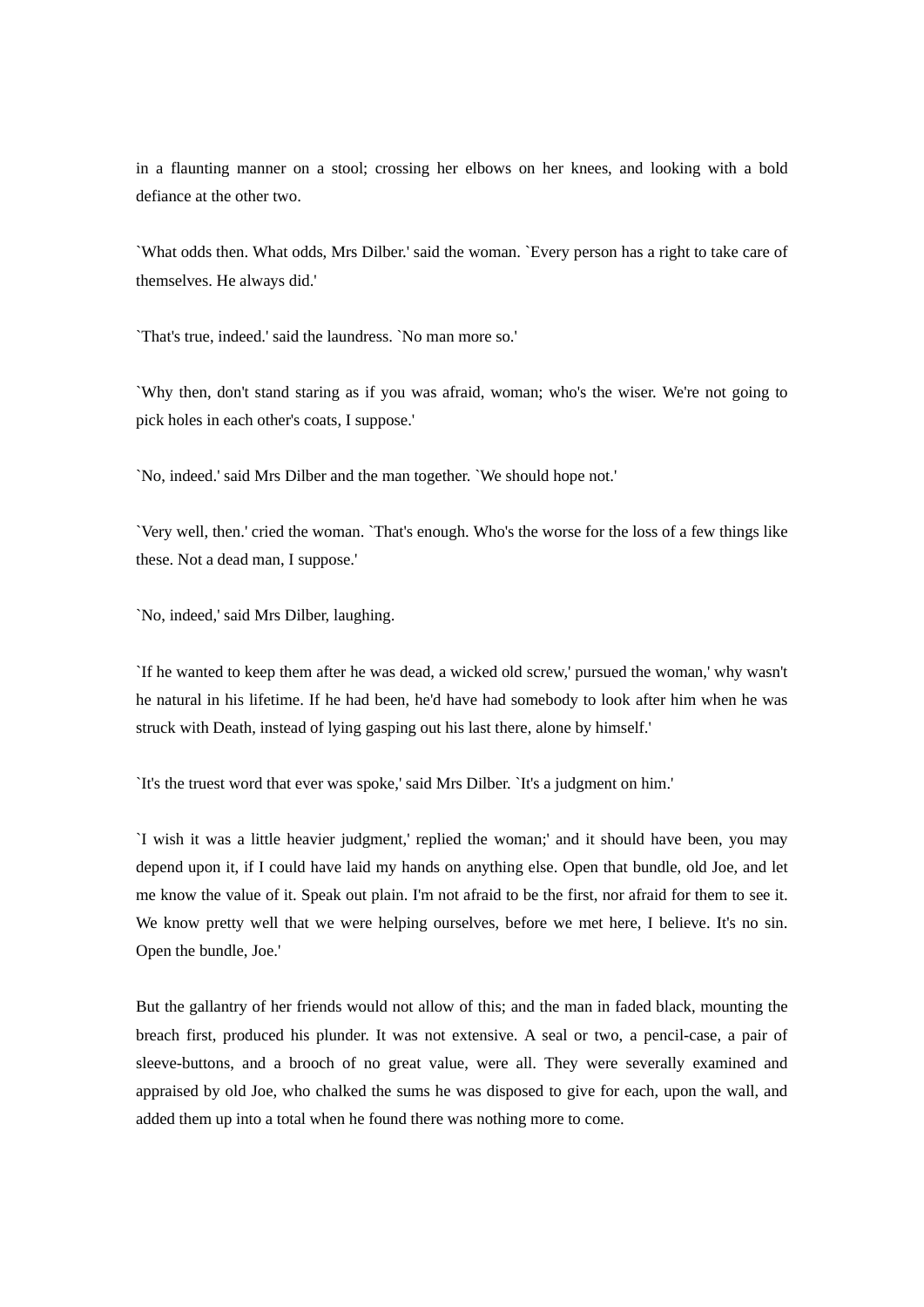in a flaunting manner on a stool; crossing her elbows on her knees, and looking with a bold defiance at the other two.

`What odds then. What odds, Mrs Dilber.' said the woman. `Every person has a right to take care of themselves. He always did.'

`That's true, indeed.' said the laundress. `No man more so.'

`Why then, don't stand staring as if you was afraid, woman; who's the wiser. We're not going to pick holes in each other's coats, I suppose.'

`No, indeed.' said Mrs Dilber and the man together. `We should hope not.'

`Very well, then.' cried the woman. `That's enough. Who's the worse for the loss of a few things like these. Not a dead man, I suppose.'

`No, indeed,' said Mrs Dilber, laughing.

`If he wanted to keep them after he was dead, a wicked old screw,' pursued the woman,' why wasn't he natural in his lifetime. If he had been, he'd have had somebody to look after him when he was struck with Death, instead of lying gasping out his last there, alone by himself.'

`It's the truest word that ever was spoke,' said Mrs Dilber. `It's a judgment on him.'

`I wish it was a little heavier judgment,' replied the woman;' and it should have been, you may depend upon it, if I could have laid my hands on anything else. Open that bundle, old Joe, and let me know the value of it. Speak out plain. I'm not afraid to be the first, nor afraid for them to see it. We know pretty well that we were helping ourselves, before we met here, I believe. It's no sin. Open the bundle, Joe.'

But the gallantry of her friends would not allow of this; and the man in faded black, mounting the breach first, produced his plunder. It was not extensive. A seal or two, a pencil-case, a pair of sleeve-buttons, and a brooch of no great value, were all. They were severally examined and appraised by old Joe, who chalked the sums he was disposed to give for each, upon the wall, and added them up into a total when he found there was nothing more to come.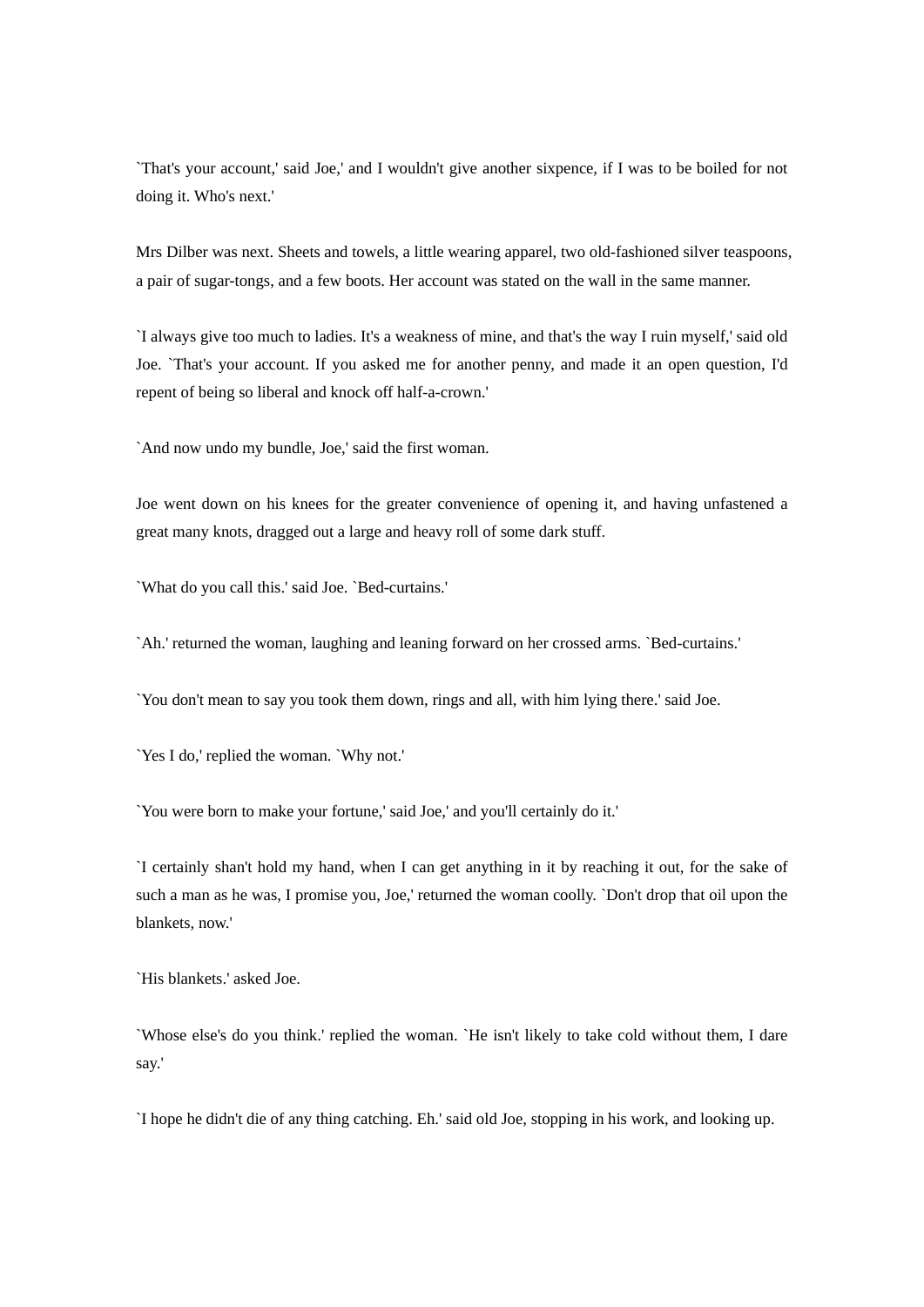`That's your account,' said Joe,' and I wouldn't give another sixpence, if I was to be boiled for not doing it. Who's next.'

Mrs Dilber was next. Sheets and towels, a little wearing apparel, two old-fashioned silver teaspoons, a pair of sugar-tongs, and a few boots. Her account was stated on the wall in the same manner.

`I always give too much to ladies. It's a weakness of mine, and that's the way I ruin myself,' said old Joe. `That's your account. If you asked me for another penny, and made it an open question, I'd repent of being so liberal and knock off half-a-crown.'

`And now undo my bundle, Joe,' said the first woman.

Joe went down on his knees for the greater convenience of opening it, and having unfastened a great many knots, dragged out a large and heavy roll of some dark stuff.

`What do you call this.' said Joe. `Bed-curtains.'

`Ah.' returned the woman, laughing and leaning forward on her crossed arms. `Bed-curtains.'

`You don't mean to say you took them down, rings and all, with him lying there.' said Joe.

`Yes I do,' replied the woman. `Why not.'

`You were born to make your fortune,' said Joe,' and you'll certainly do it.'

`I certainly shan't hold my hand, when I can get anything in it by reaching it out, for the sake of such a man as he was, I promise you, Joe,' returned the woman coolly. `Don't drop that oil upon the blankets, now.'

`His blankets.' asked Joe.

`Whose else's do you think.' replied the woman. `He isn't likely to take cold without them, I dare say.'

`I hope he didn't die of any thing catching. Eh.' said old Joe, stopping in his work, and looking up.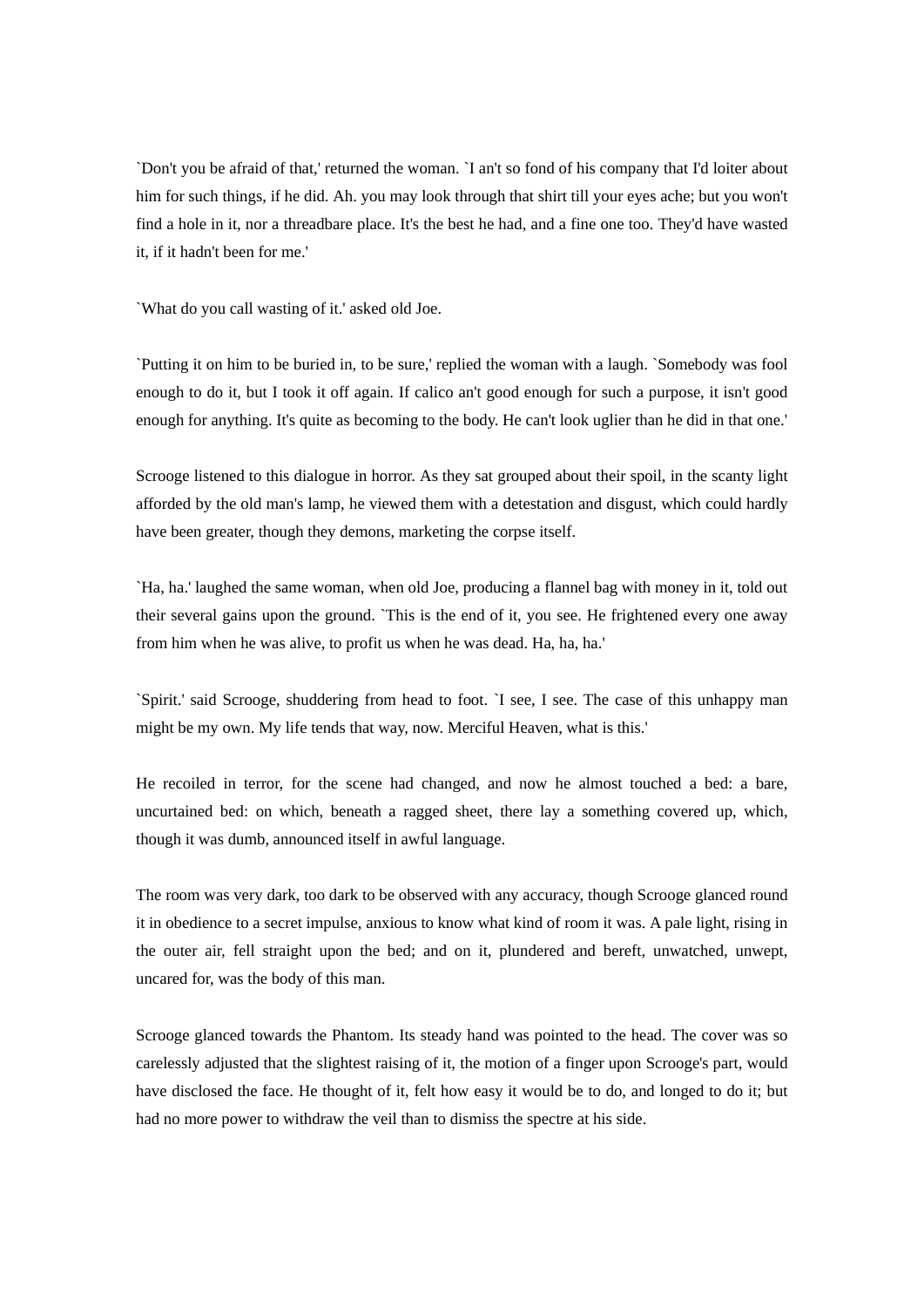`Don't you be afraid of that,' returned the woman. `I an't so fond of his company that I'd loiter about him for such things, if he did. Ah. you may look through that shirt till your eyes ache; but you won't find a hole in it, nor a threadbare place. It's the best he had, and a fine one too. They'd have wasted it, if it hadn't been for me.'

`What do you call wasting of it.' asked old Joe.

`Putting it on him to be buried in, to be sure,' replied the woman with a laugh. `Somebody was fool enough to do it, but I took it off again. If calico an't good enough for such a purpose, it isn't good enough for anything. It's quite as becoming to the body. He can't look uglier than he did in that one.'

Scrooge listened to this dialogue in horror. As they sat grouped about their spoil, in the scanty light afforded by the old man's lamp, he viewed them with a detestation and disgust, which could hardly have been greater, though they demons, marketing the corpse itself.

`Ha, ha.' laughed the same woman, when old Joe, producing a flannel bag with money in it, told out their several gains upon the ground. `This is the end of it, you see. He frightened every one away from him when he was alive, to profit us when he was dead. Ha, ha, ha.'

`Spirit.' said Scrooge, shuddering from head to foot. `I see, I see. The case of this unhappy man might be my own. My life tends that way, now. Merciful Heaven, what is this.'

He recoiled in terror, for the scene had changed, and now he almost touched a bed: a bare, uncurtained bed: on which, beneath a ragged sheet, there lay a something covered up, which, though it was dumb, announced itself in awful language.

The room was very dark, too dark to be observed with any accuracy, though Scrooge glanced round it in obedience to a secret impulse, anxious to know what kind of room it was. A pale light, rising in the outer air, fell straight upon the bed; and on it, plundered and bereft, unwatched, unwept, uncared for, was the body of this man.

Scrooge glanced towards the Phantom. Its steady hand was pointed to the head. The cover was so carelessly adjusted that the slightest raising of it, the motion of a finger upon Scrooge's part, would have disclosed the face. He thought of it, felt how easy it would be to do, and longed to do it; but had no more power to withdraw the veil than to dismiss the spectre at his side.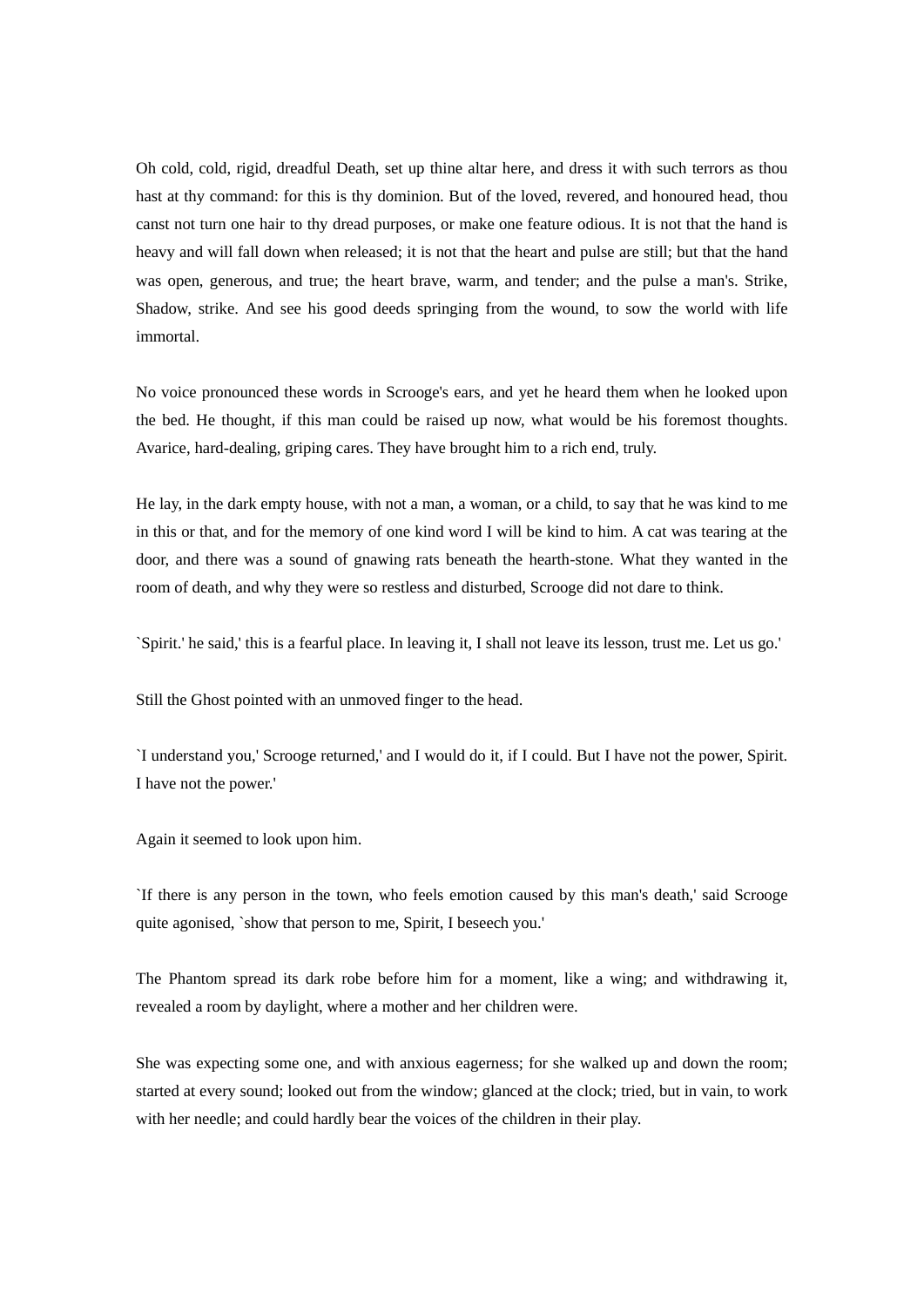Oh cold, cold, rigid, dreadful Death, set up thine altar here, and dress it with such terrors as thou hast at thy command: for this is thy dominion. But of the loved, revered, and honoured head, thou canst not turn one hair to thy dread purposes, or make one feature odious. It is not that the hand is heavy and will fall down when released; it is not that the heart and pulse are still; but that the hand was open, generous, and true; the heart brave, warm, and tender; and the pulse a man's. Strike, Shadow, strike. And see his good deeds springing from the wound, to sow the world with life immortal.

No voice pronounced these words in Scrooge's ears, and yet he heard them when he looked upon the bed. He thought, if this man could be raised up now, what would be his foremost thoughts. Avarice, hard-dealing, griping cares. They have brought him to a rich end, truly.

He lay, in the dark empty house, with not a man, a woman, or a child, to say that he was kind to me in this or that, and for the memory of one kind word I will be kind to him. A cat was tearing at the door, and there was a sound of gnawing rats beneath the hearth-stone. What they wanted in the room of death, and why they were so restless and disturbed, Scrooge did not dare to think.

`Spirit.' he said,' this is a fearful place. In leaving it, I shall not leave its lesson, trust me. Let us go.'

Still the Ghost pointed with an unmoved finger to the head.

`I understand you,' Scrooge returned,' and I would do it, if I could. But I have not the power, Spirit. I have not the power.'

Again it seemed to look upon him.

`If there is any person in the town, who feels emotion caused by this man's death,' said Scrooge quite agonised, `show that person to me, Spirit, I beseech you.'

The Phantom spread its dark robe before him for a moment, like a wing; and withdrawing it, revealed a room by daylight, where a mother and her children were.

She was expecting some one, and with anxious eagerness; for she walked up and down the room; started at every sound; looked out from the window; glanced at the clock; tried, but in vain, to work with her needle; and could hardly bear the voices of the children in their play.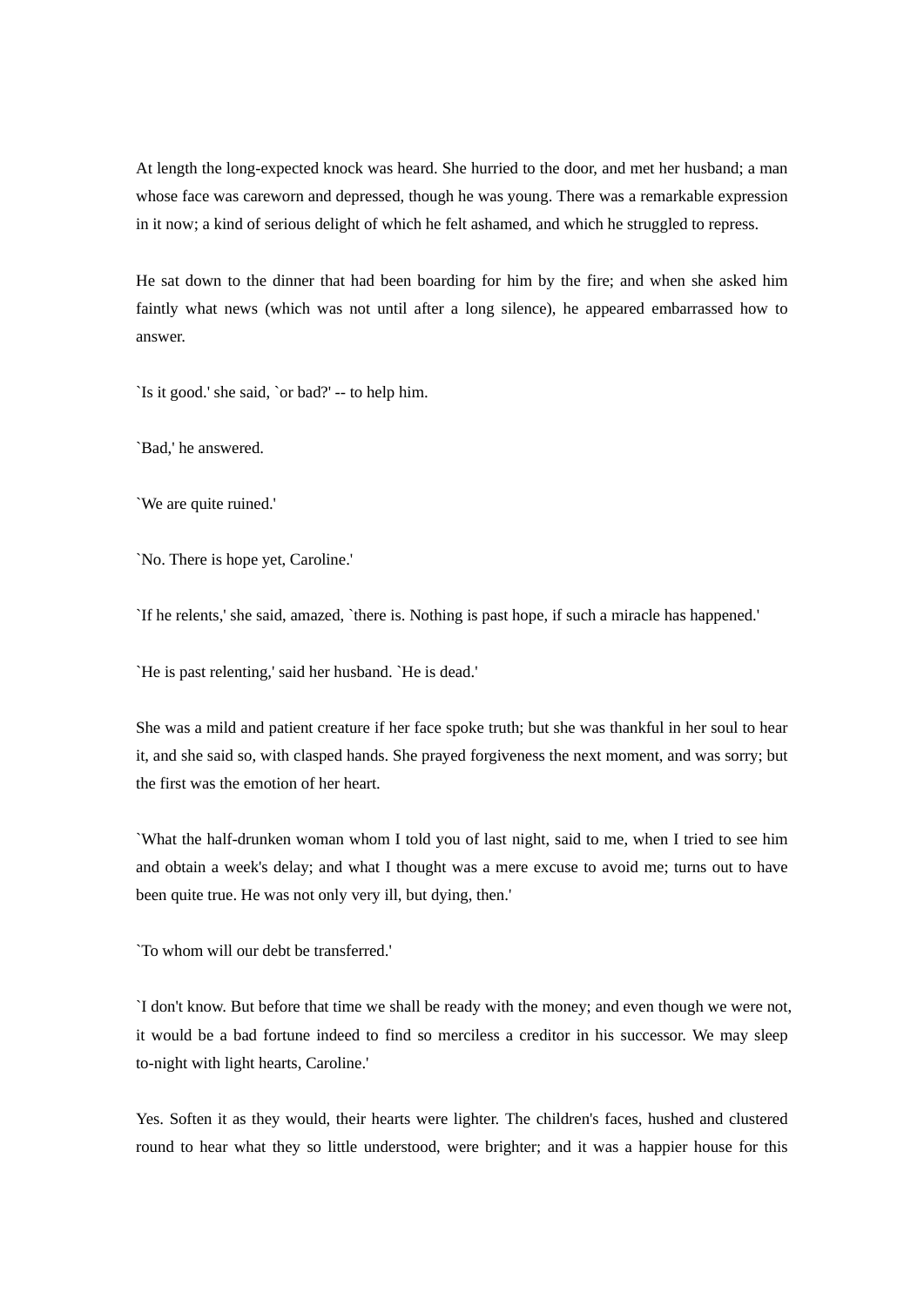At length the long-expected knock was heard. She hurried to the door, and met her husband; a man whose face was careworn and depressed, though he was young. There was a remarkable expression in it now; a kind of serious delight of which he felt ashamed, and which he struggled to repress.

He sat down to the dinner that had been boarding for him by the fire; and when she asked him faintly what news (which was not until after a long silence), he appeared embarrassed how to answer.

`Is it good.' she said, `or bad?' -- to help him.

`Bad,' he answered.

`We are quite ruined.'

`No. There is hope yet, Caroline.'

`If he relents,' she said, amazed, `there is. Nothing is past hope, if such a miracle has happened.'

`He is past relenting,' said her husband. `He is dead.'

She was a mild and patient creature if her face spoke truth; but she was thankful in her soul to hear it, and she said so, with clasped hands. She prayed forgiveness the next moment, and was sorry; but the first was the emotion of her heart.

`What the half-drunken woman whom I told you of last night, said to me, when I tried to see him and obtain a week's delay; and what I thought was a mere excuse to avoid me; turns out to have been quite true. He was not only very ill, but dying, then.'

`To whom will our debt be transferred.'

`I don't know. But before that time we shall be ready with the money; and even though we were not, it would be a bad fortune indeed to find so merciless a creditor in his successor. We may sleep to-night with light hearts, Caroline.'

Yes. Soften it as they would, their hearts were lighter. The children's faces, hushed and clustered round to hear what they so little understood, were brighter; and it was a happier house for this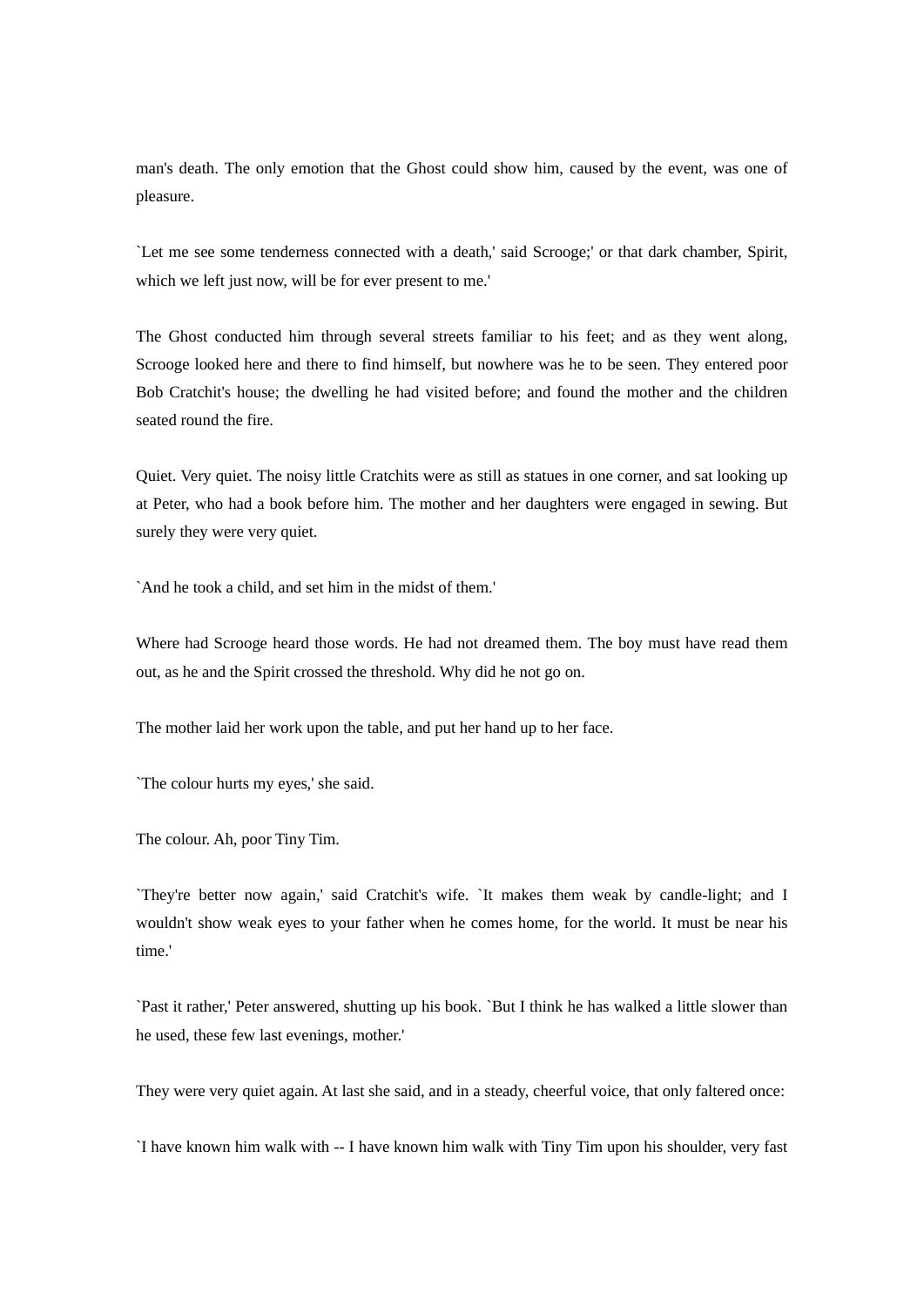man's death. The only emotion that the Ghost could show him, caused by the event, was one of pleasure.

`Let me see some tenderness connected with a death,' said Scrooge;' or that dark chamber, Spirit, which we left just now, will be for ever present to me.'

The Ghost conducted him through several streets familiar to his feet; and as they went along, Scrooge looked here and there to find himself, but nowhere was he to be seen. They entered poor Bob Cratchit's house; the dwelling he had visited before; and found the mother and the children seated round the fire.

Quiet. Very quiet. The noisy little Cratchits were as still as statues in one corner, and sat looking up at Peter, who had a book before him. The mother and her daughters were engaged in sewing. But surely they were very quiet.

`And he took a child, and set him in the midst of them.'

Where had Scrooge heard those words. He had not dreamed them. The boy must have read them out, as he and the Spirit crossed the threshold. Why did he not go on.

The mother laid her work upon the table, and put her hand up to her face.

`The colour hurts my eyes,' she said.

The colour. Ah, poor Tiny Tim.

`They're better now again,' said Cratchit's wife. `It makes them weak by candle-light; and I wouldn't show weak eyes to your father when he comes home, for the world. It must be near his time.'

`Past it rather,' Peter answered, shutting up his book. `But I think he has walked a little slower than he used, these few last evenings, mother.'

They were very quiet again. At last she said, and in a steady, cheerful voice, that only faltered once:

`I have known him walk with -- I have known him walk with Tiny Tim upon his shoulder, very fast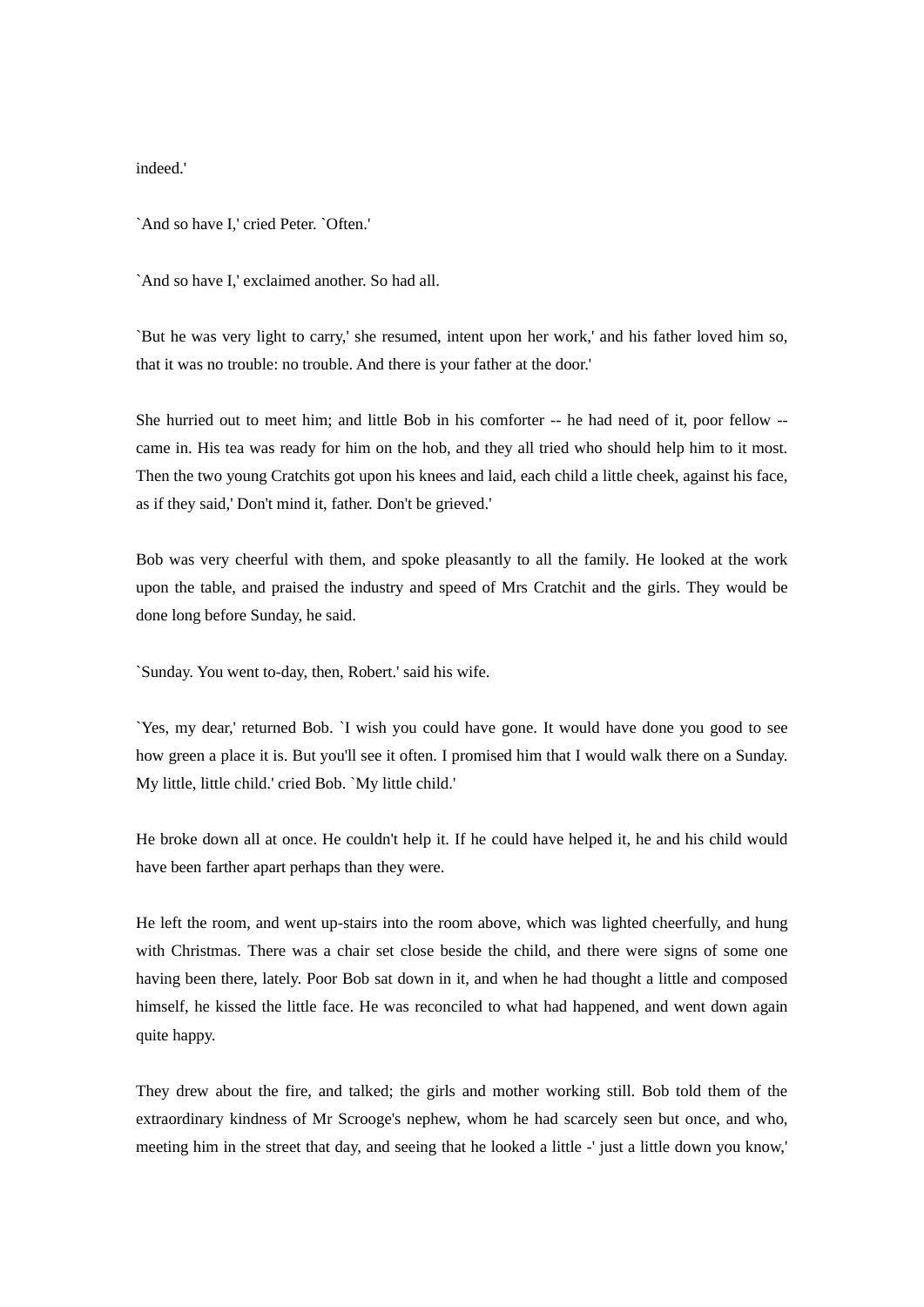indeed.'

`And so have I,' cried Peter. `Often.'

`And so have I,' exclaimed another. So had all.

`But he was very light to carry,' she resumed, intent upon her work,' and his father loved him so, that it was no trouble: no trouble. And there is your father at the door.'

She hurried out to meet him; and little Bob in his comforter -- he had need of it, poor fellow - came in. His tea was ready for him on the hob, and they all tried who should help him to it most. Then the two young Cratchits got upon his knees and laid, each child a little cheek, against his face, as if they said,' Don't mind it, father. Don't be grieved.'

Bob was very cheerful with them, and spoke pleasantly to all the family. He looked at the work upon the table, and praised the industry and speed of Mrs Cratchit and the girls. They would be done long before Sunday, he said.

`Sunday. You went to-day, then, Robert.' said his wife.

`Yes, my dear,' returned Bob. `I wish you could have gone. It would have done you good to see how green a place it is. But you'll see it often. I promised him that I would walk there on a Sunday. My little, little child.' cried Bob. `My little child.'

He broke down all at once. He couldn't help it. If he could have helped it, he and his child would have been farther apart perhaps than they were.

He left the room, and went up-stairs into the room above, which was lighted cheerfully, and hung with Christmas. There was a chair set close beside the child, and there were signs of some one having been there, lately. Poor Bob sat down in it, and when he had thought a little and composed himself, he kissed the little face. He was reconciled to what had happened, and went down again quite happy.

They drew about the fire, and talked; the girls and mother working still. Bob told them of the extraordinary kindness of Mr Scrooge's nephew, whom he had scarcely seen but once, and who, meeting him in the street that day, and seeing that he looked a little -' just a little down you know,'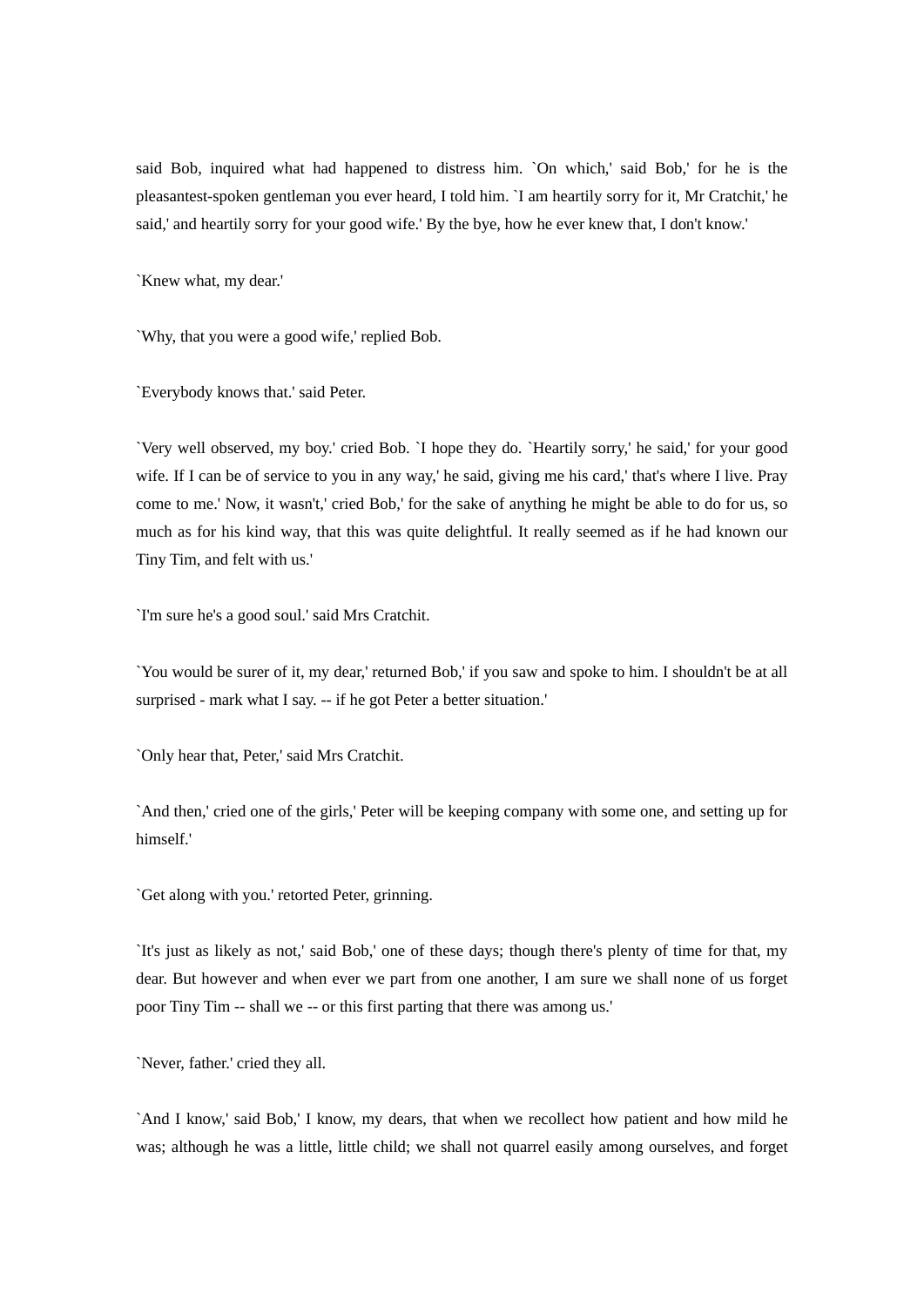said Bob, inquired what had happened to distress him. `On which,' said Bob,' for he is the pleasantest-spoken gentleman you ever heard, I told him. `I am heartily sorry for it, Mr Cratchit,' he said,' and heartily sorry for your good wife.' By the bye, how he ever knew that, I don't know.'

`Knew what, my dear.'

`Why, that you were a good wife,' replied Bob.

`Everybody knows that.' said Peter.

`Very well observed, my boy.' cried Bob. `I hope they do. `Heartily sorry,' he said,' for your good wife. If I can be of service to you in any way,' he said, giving me his card,' that's where I live. Pray come to me.' Now, it wasn't,' cried Bob,' for the sake of anything he might be able to do for us, so much as for his kind way, that this was quite delightful. It really seemed as if he had known our Tiny Tim, and felt with us.'

`I'm sure he's a good soul.' said Mrs Cratchit.

`You would be surer of it, my dear,' returned Bob,' if you saw and spoke to him. I shouldn't be at all surprised - mark what I say. -- if he got Peter a better situation.'

`Only hear that, Peter,' said Mrs Cratchit.

`And then,' cried one of the girls,' Peter will be keeping company with some one, and setting up for himself.'

`Get along with you.' retorted Peter, grinning.

`It's just as likely as not,' said Bob,' one of these days; though there's plenty of time for that, my dear. But however and when ever we part from one another, I am sure we shall none of us forget poor Tiny Tim -- shall we -- or this first parting that there was among us.'

`Never, father.' cried they all.

`And I know,' said Bob,' I know, my dears, that when we recollect how patient and how mild he was; although he was a little, little child; we shall not quarrel easily among ourselves, and forget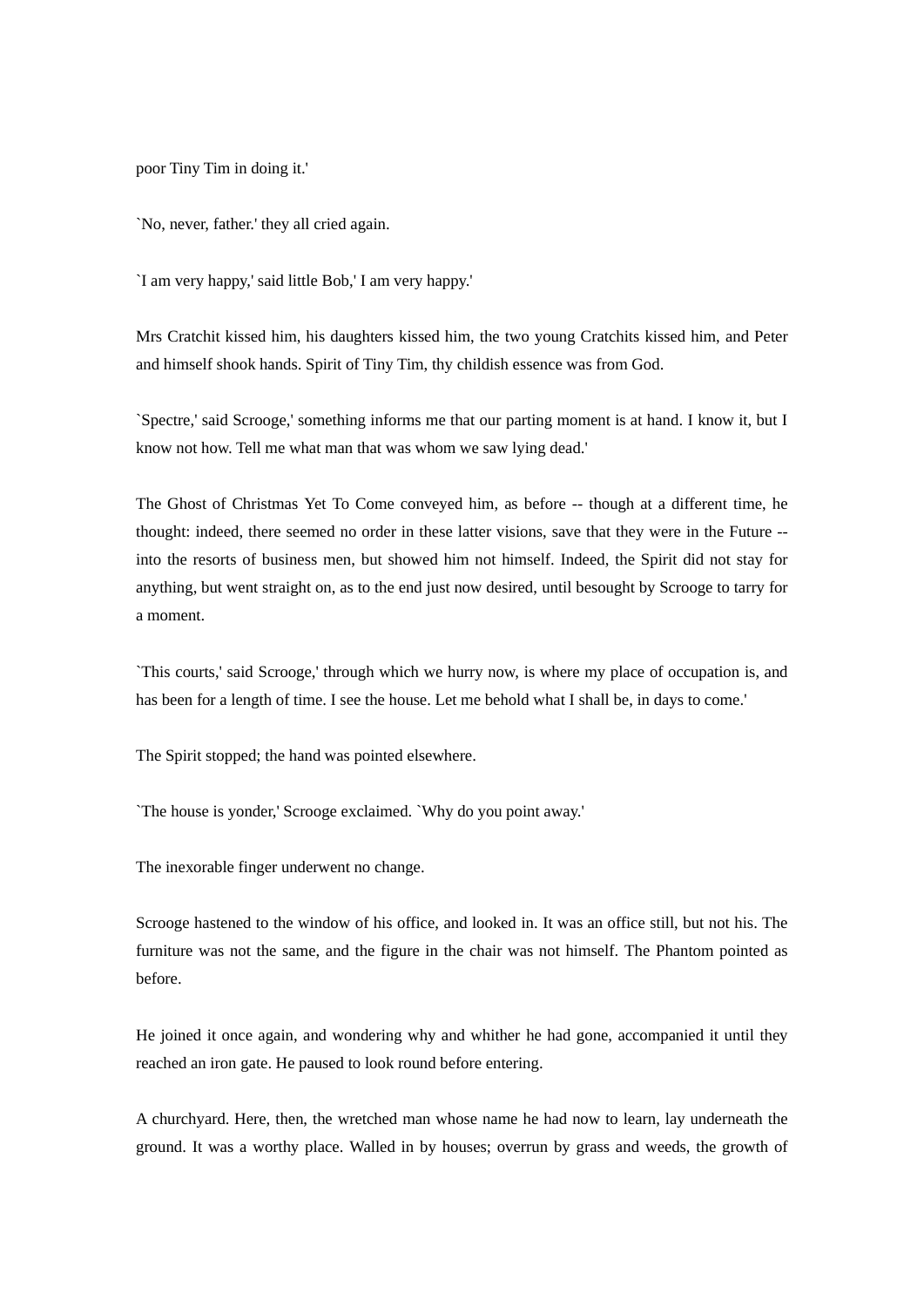poor Tiny Tim in doing it.'

`No, never, father.' they all cried again.

`I am very happy,' said little Bob,' I am very happy.'

Mrs Cratchit kissed him, his daughters kissed him, the two young Cratchits kissed him, and Peter and himself shook hands. Spirit of Tiny Tim, thy childish essence was from God.

`Spectre,' said Scrooge,' something informs me that our parting moment is at hand. I know it, but I know not how. Tell me what man that was whom we saw lying dead.'

The Ghost of Christmas Yet To Come conveyed him, as before -- though at a different time, he thought: indeed, there seemed no order in these latter visions, save that they were in the Future - into the resorts of business men, but showed him not himself. Indeed, the Spirit did not stay for anything, but went straight on, as to the end just now desired, until besought by Scrooge to tarry for a moment.

`This courts,' said Scrooge,' through which we hurry now, is where my place of occupation is, and has been for a length of time. I see the house. Let me behold what I shall be, in days to come.'

The Spirit stopped; the hand was pointed elsewhere.

`The house is yonder,' Scrooge exclaimed. `Why do you point away.'

The inexorable finger underwent no change.

Scrooge hastened to the window of his office, and looked in. It was an office still, but not his. The furniture was not the same, and the figure in the chair was not himself. The Phantom pointed as before.

He joined it once again, and wondering why and whither he had gone, accompanied it until they reached an iron gate. He paused to look round before entering.

A churchyard. Here, then, the wretched man whose name he had now to learn, lay underneath the ground. It was a worthy place. Walled in by houses; overrun by grass and weeds, the growth of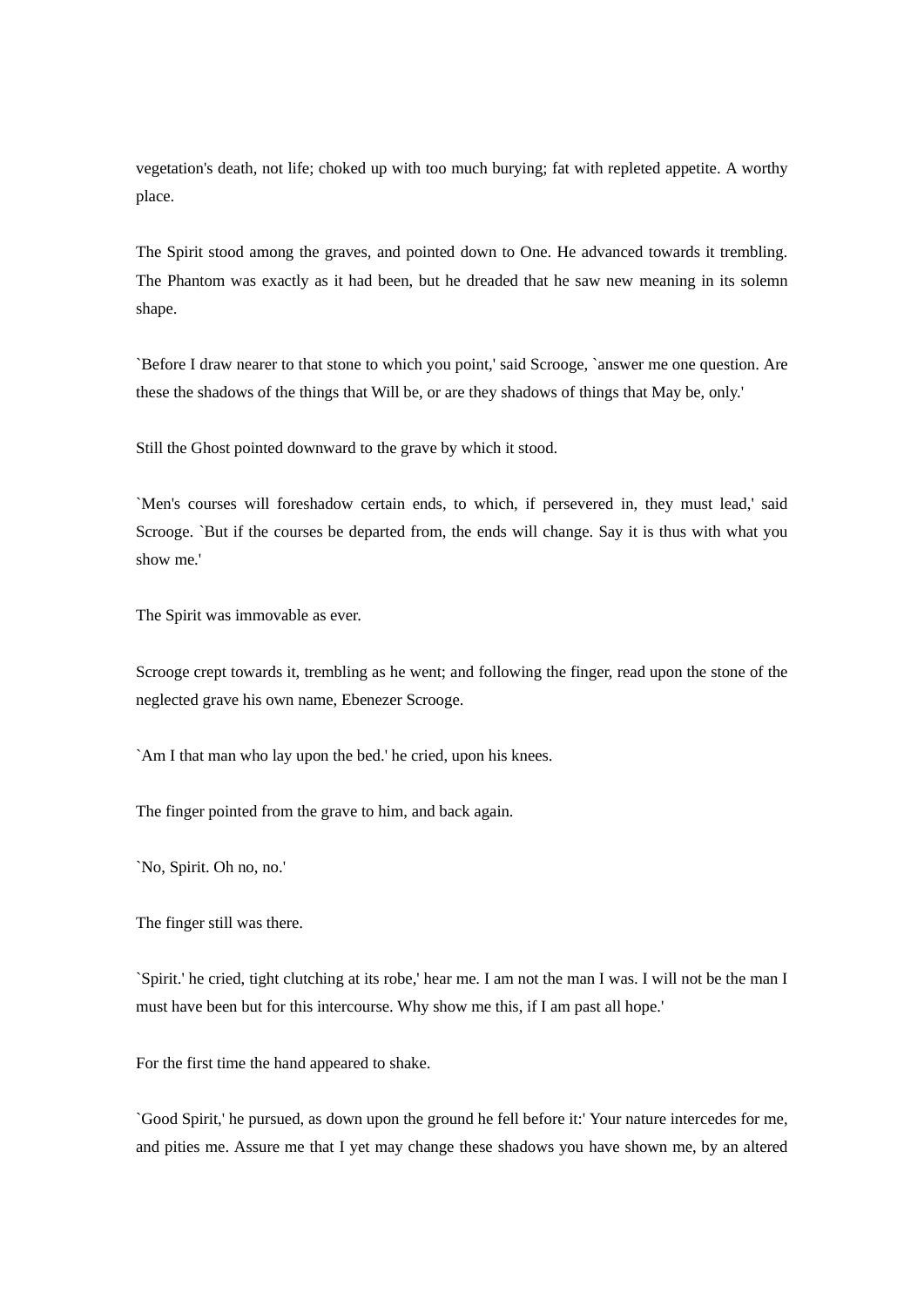vegetation's death, not life; choked up with too much burying; fat with repleted appetite. A worthy place.

The Spirit stood among the graves, and pointed down to One. He advanced towards it trembling. The Phantom was exactly as it had been, but he dreaded that he saw new meaning in its solemn shape.

`Before I draw nearer to that stone to which you point,' said Scrooge, `answer me one question. Are these the shadows of the things that Will be, or are they shadows of things that May be, only.'

Still the Ghost pointed downward to the grave by which it stood.

`Men's courses will foreshadow certain ends, to which, if persevered in, they must lead,' said Scrooge. `But if the courses be departed from, the ends will change. Say it is thus with what you show me.'

The Spirit was immovable as ever.

Scrooge crept towards it, trembling as he went; and following the finger, read upon the stone of the neglected grave his own name, Ebenezer Scrooge.

`Am I that man who lay upon the bed.' he cried, upon his knees.

The finger pointed from the grave to him, and back again.

`No, Spirit. Oh no, no.'

The finger still was there.

`Spirit.' he cried, tight clutching at its robe,' hear me. I am not the man I was. I will not be the man I must have been but for this intercourse. Why show me this, if I am past all hope.'

For the first time the hand appeared to shake.

`Good Spirit,' he pursued, as down upon the ground he fell before it:' Your nature intercedes for me, and pities me. Assure me that I yet may change these shadows you have shown me, by an altered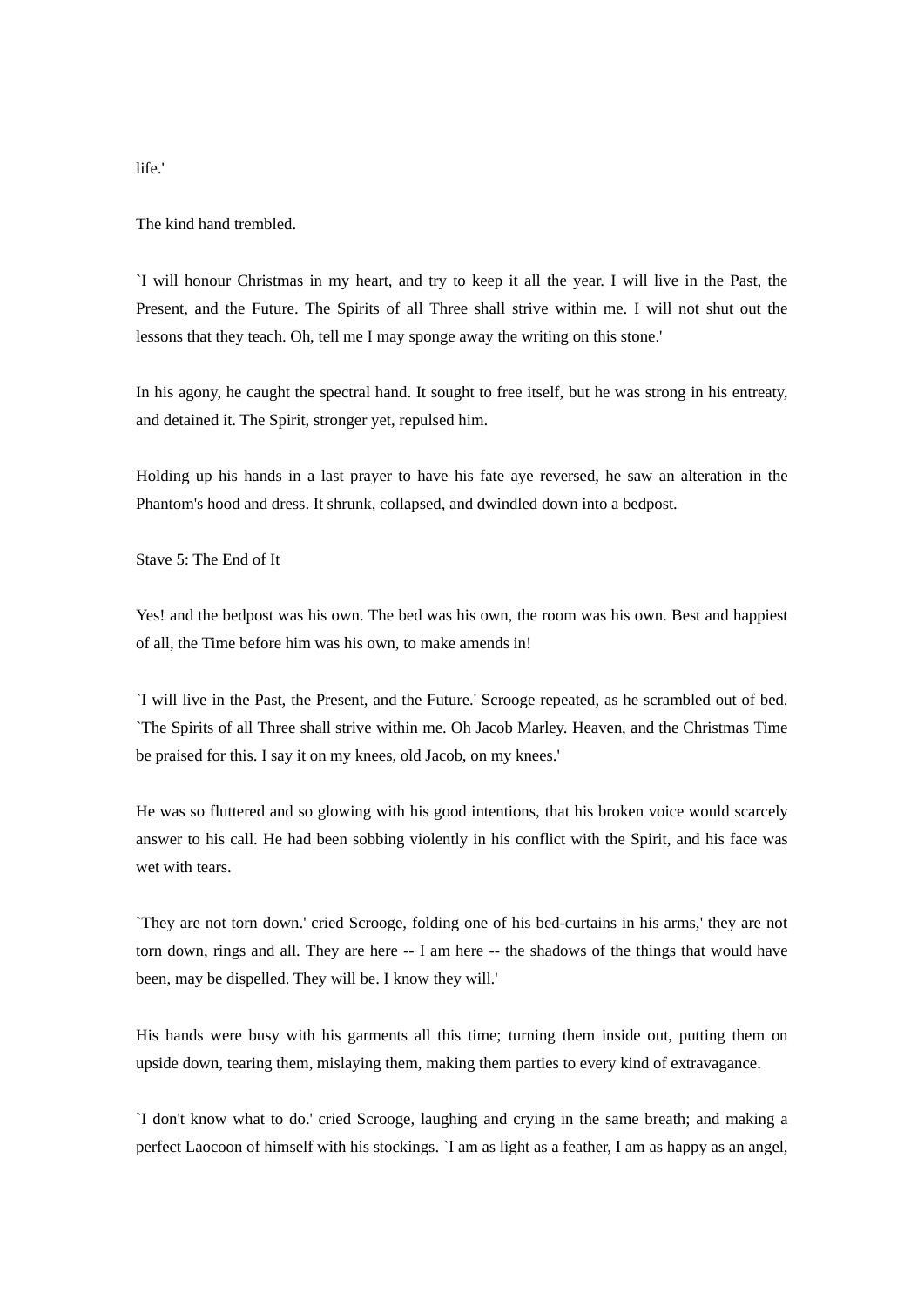The kind hand trembled.

`I will honour Christmas in my heart, and try to keep it all the year. I will live in the Past, the Present, and the Future. The Spirits of all Three shall strive within me. I will not shut out the lessons that they teach. Oh, tell me I may sponge away the writing on this stone.'

In his agony, he caught the spectral hand. It sought to free itself, but he was strong in his entreaty, and detained it. The Spirit, stronger yet, repulsed him.

Holding up his hands in a last prayer to have his fate aye reversed, he saw an alteration in the Phantom's hood and dress. It shrunk, collapsed, and dwindled down into a bedpost.

Stave 5: The End of It

Yes! and the bedpost was his own. The bed was his own, the room was his own. Best and happiest of all, the Time before him was his own, to make amends in!

`I will live in the Past, the Present, and the Future.' Scrooge repeated, as he scrambled out of bed. `The Spirits of all Three shall strive within me. Oh Jacob Marley. Heaven, and the Christmas Time be praised for this. I say it on my knees, old Jacob, on my knees.'

He was so fluttered and so glowing with his good intentions, that his broken voice would scarcely answer to his call. He had been sobbing violently in his conflict with the Spirit, and his face was wet with tears.

`They are not torn down.' cried Scrooge, folding one of his bed-curtains in his arms,' they are not torn down, rings and all. They are here -- I am here -- the shadows of the things that would have been, may be dispelled. They will be. I know they will.'

His hands were busy with his garments all this time; turning them inside out, putting them on upside down, tearing them, mislaying them, making them parties to every kind of extravagance.

`I don't know what to do.' cried Scrooge, laughing and crying in the same breath; and making a perfect Laocoon of himself with his stockings. `I am as light as a feather, I am as happy as an angel,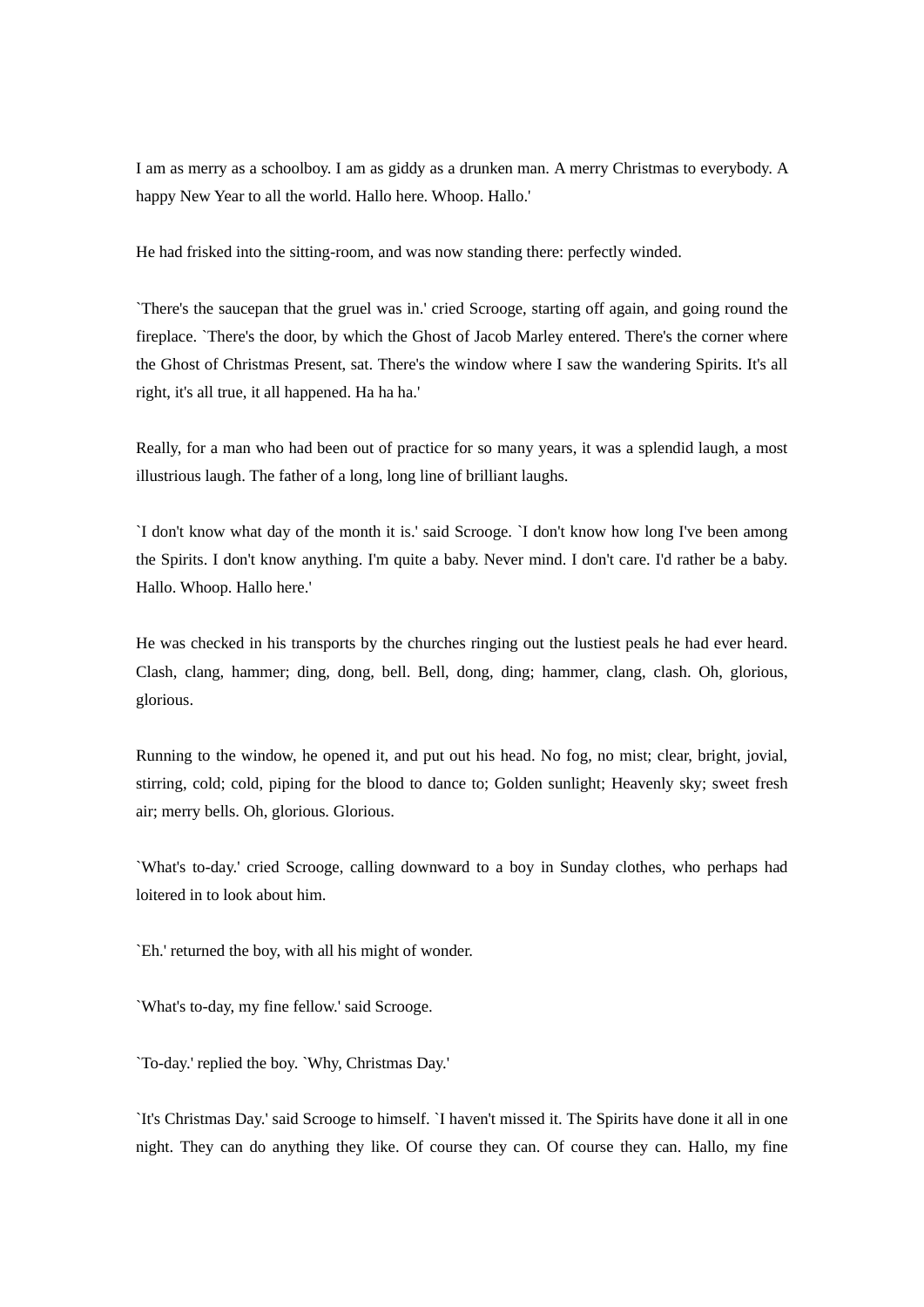I am as merry as a schoolboy. I am as giddy as a drunken man. A merry Christmas to everybody. A happy New Year to all the world. Hallo here. Whoop. Hallo.'

He had frisked into the sitting-room, and was now standing there: perfectly winded.

`There's the saucepan that the gruel was in.' cried Scrooge, starting off again, and going round the fireplace. `There's the door, by which the Ghost of Jacob Marley entered. There's the corner where the Ghost of Christmas Present, sat. There's the window where I saw the wandering Spirits. It's all right, it's all true, it all happened. Ha ha ha.'

Really, for a man who had been out of practice for so many years, it was a splendid laugh, a most illustrious laugh. The father of a long, long line of brilliant laughs.

`I don't know what day of the month it is.' said Scrooge. `I don't know how long I've been among the Spirits. I don't know anything. I'm quite a baby. Never mind. I don't care. I'd rather be a baby. Hallo. Whoop. Hallo here.'

He was checked in his transports by the churches ringing out the lustiest peals he had ever heard. Clash, clang, hammer; ding, dong, bell. Bell, dong, ding; hammer, clang, clash. Oh, glorious, glorious.

Running to the window, he opened it, and put out his head. No fog, no mist; clear, bright, jovial, stirring, cold; cold, piping for the blood to dance to; Golden sunlight; Heavenly sky; sweet fresh air; merry bells. Oh, glorious. Glorious.

`What's to-day.' cried Scrooge, calling downward to a boy in Sunday clothes, who perhaps had loitered in to look about him.

`Eh.' returned the boy, with all his might of wonder.

`What's to-day, my fine fellow.' said Scrooge.

`To-day.' replied the boy. `Why, Christmas Day.'

`It's Christmas Day.' said Scrooge to himself. `I haven't missed it. The Spirits have done it all in one night. They can do anything they like. Of course they can. Of course they can. Hallo, my fine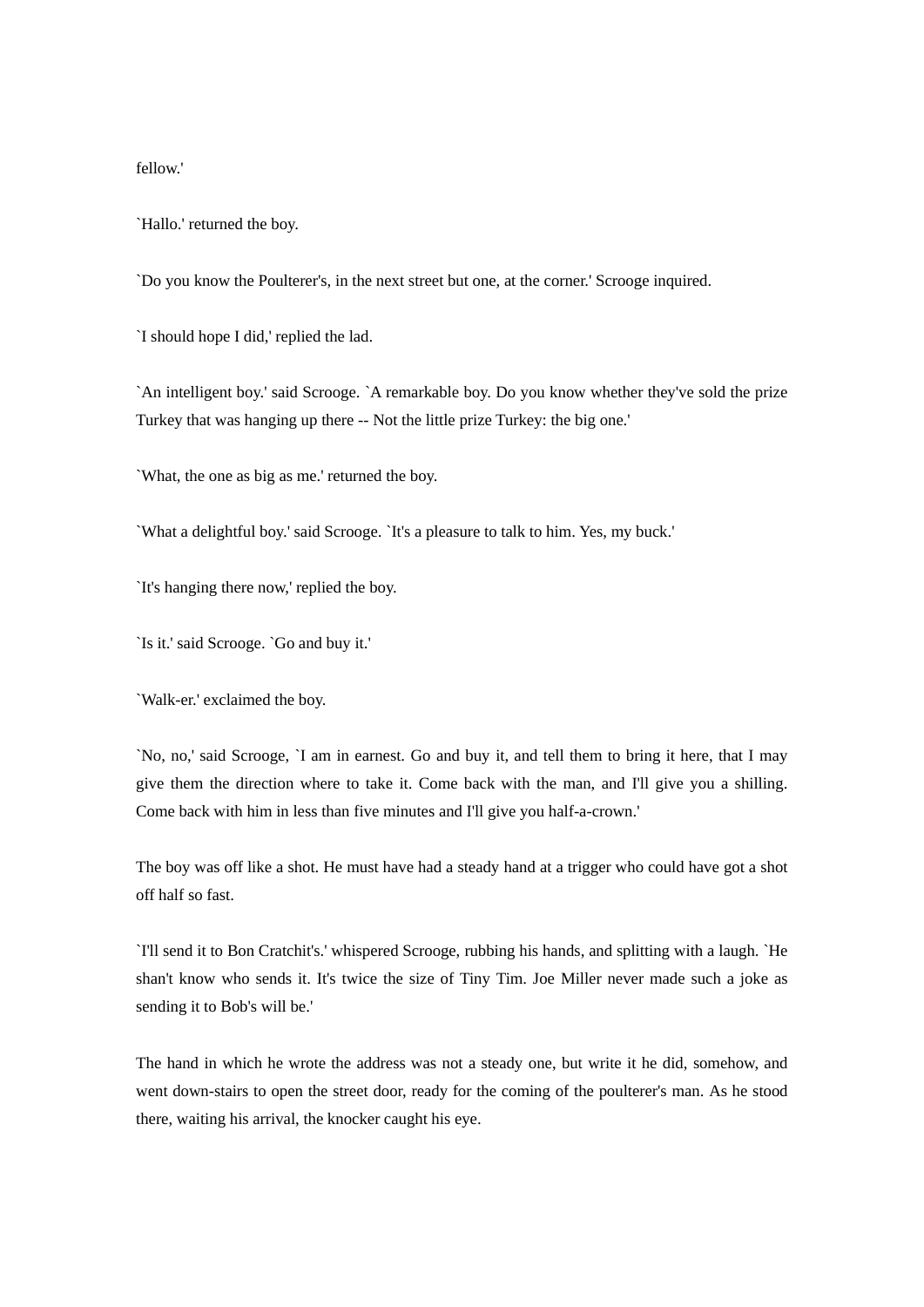fellow.'

`Hallo.' returned the boy.

`Do you know the Poulterer's, in the next street but one, at the corner.' Scrooge inquired.

`I should hope I did,' replied the lad.

`An intelligent boy.' said Scrooge. `A remarkable boy. Do you know whether they've sold the prize Turkey that was hanging up there -- Not the little prize Turkey: the big one.'

`What, the one as big as me.' returned the boy.

`What a delightful boy.' said Scrooge. `It's a pleasure to talk to him. Yes, my buck.'

`It's hanging there now,' replied the boy.

`Is it.' said Scrooge. `Go and buy it.'

`Walk-er.' exclaimed the boy.

`No, no,' said Scrooge, `I am in earnest. Go and buy it, and tell them to bring it here, that I may give them the direction where to take it. Come back with the man, and I'll give you a shilling. Come back with him in less than five minutes and I'll give you half-a-crown.'

The boy was off like a shot. He must have had a steady hand at a trigger who could have got a shot off half so fast.

`I'll send it to Bon Cratchit's.' whispered Scrooge, rubbing his hands, and splitting with a laugh. `He shan't know who sends it. It's twice the size of Tiny Tim. Joe Miller never made such a joke as sending it to Bob's will be.'

The hand in which he wrote the address was not a steady one, but write it he did, somehow, and went down-stairs to open the street door, ready for the coming of the poulterer's man. As he stood there, waiting his arrival, the knocker caught his eye.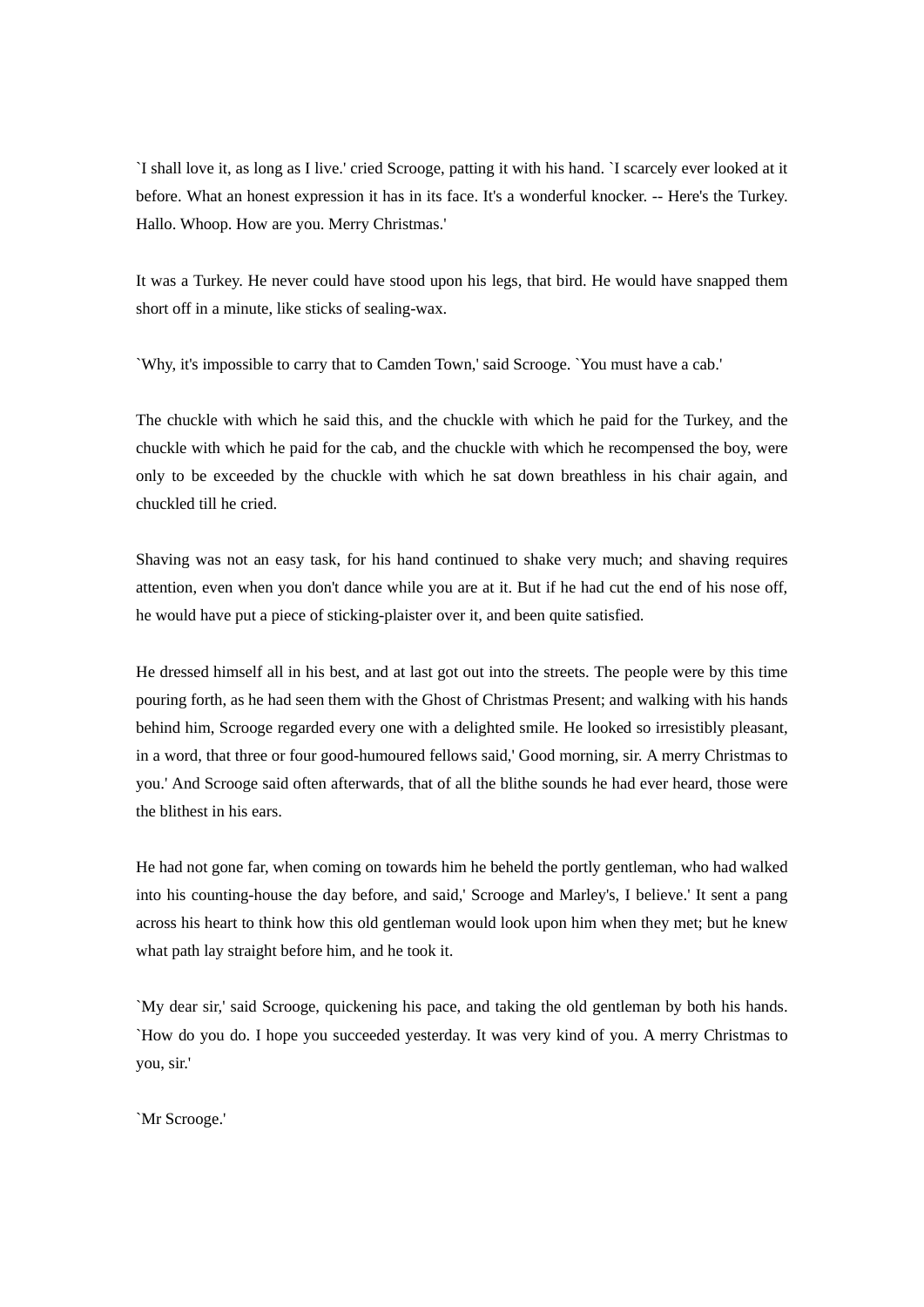`I shall love it, as long as I live.' cried Scrooge, patting it with his hand. `I scarcely ever looked at it before. What an honest expression it has in its face. It's a wonderful knocker. -- Here's the Turkey. Hallo. Whoop. How are you. Merry Christmas.'

It was a Turkey. He never could have stood upon his legs, that bird. He would have snapped them short off in a minute, like sticks of sealing-wax.

`Why, it's impossible to carry that to Camden Town,' said Scrooge. `You must have a cab.'

The chuckle with which he said this, and the chuckle with which he paid for the Turkey, and the chuckle with which he paid for the cab, and the chuckle with which he recompensed the boy, were only to be exceeded by the chuckle with which he sat down breathless in his chair again, and chuckled till he cried.

Shaving was not an easy task, for his hand continued to shake very much; and shaving requires attention, even when you don't dance while you are at it. But if he had cut the end of his nose off, he would have put a piece of sticking-plaister over it, and been quite satisfied.

He dressed himself all in his best, and at last got out into the streets. The people were by this time pouring forth, as he had seen them with the Ghost of Christmas Present; and walking with his hands behind him, Scrooge regarded every one with a delighted smile. He looked so irresistibly pleasant, in a word, that three or four good-humoured fellows said,' Good morning, sir. A merry Christmas to you.' And Scrooge said often afterwards, that of all the blithe sounds he had ever heard, those were the blithest in his ears.

He had not gone far, when coming on towards him he beheld the portly gentleman, who had walked into his counting-house the day before, and said,' Scrooge and Marley's, I believe.' It sent a pang across his heart to think how this old gentleman would look upon him when they met; but he knew what path lay straight before him, and he took it.

`My dear sir,' said Scrooge, quickening his pace, and taking the old gentleman by both his hands. `How do you do. I hope you succeeded yesterday. It was very kind of you. A merry Christmas to you, sir.'

`Mr Scrooge.'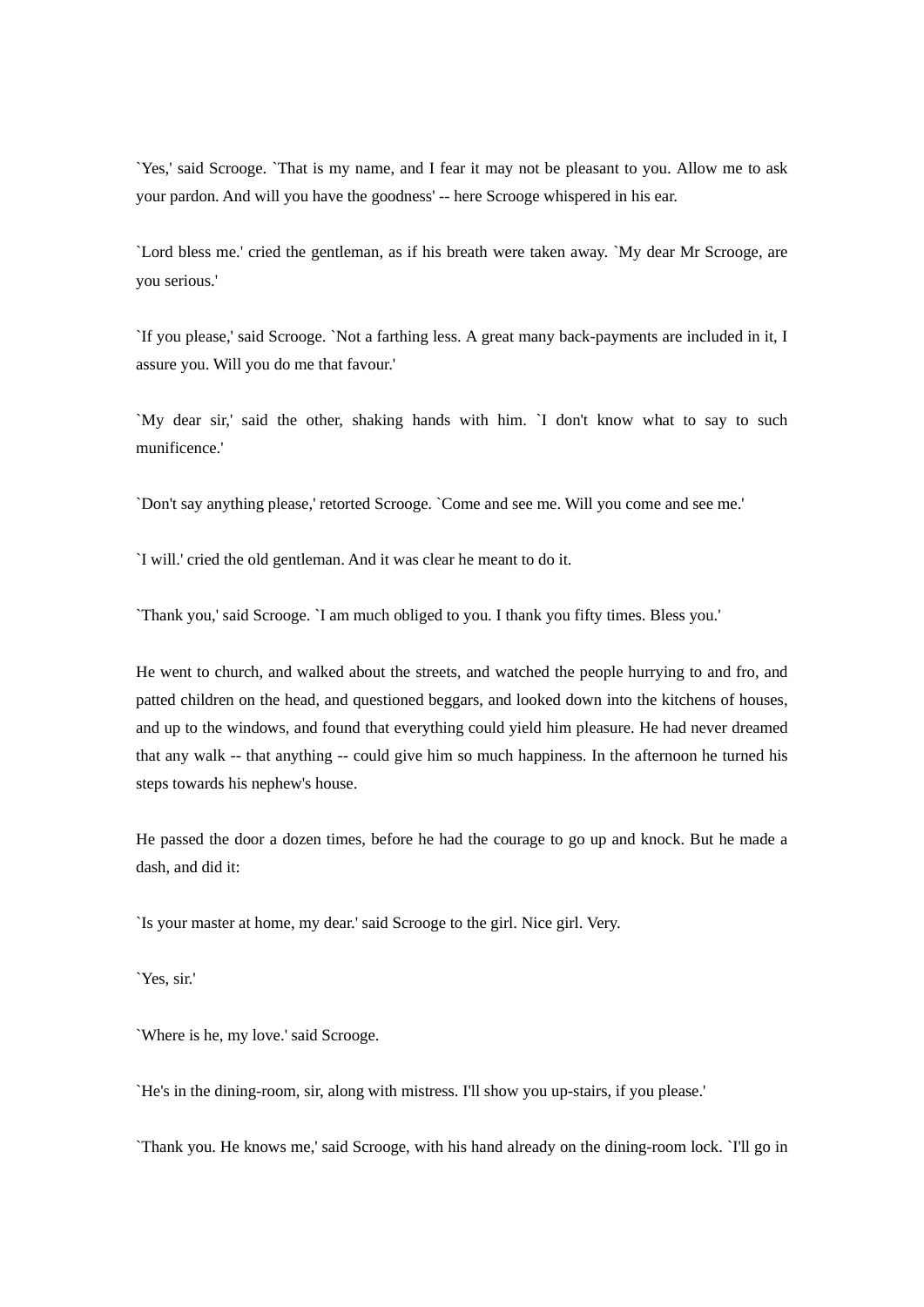`Yes,' said Scrooge. `That is my name, and I fear it may not be pleasant to you. Allow me to ask your pardon. And will you have the goodness' -- here Scrooge whispered in his ear.

`Lord bless me.' cried the gentleman, as if his breath were taken away. `My dear Mr Scrooge, are you serious.'

`If you please,' said Scrooge. `Not a farthing less. A great many back-payments are included in it, I assure you. Will you do me that favour.'

`My dear sir,' said the other, shaking hands with him. `I don't know what to say to such munificence.'

`Don't say anything please,' retorted Scrooge. `Come and see me. Will you come and see me.'

`I will.' cried the old gentleman. And it was clear he meant to do it.

`Thank you,' said Scrooge. `I am much obliged to you. I thank you fifty times. Bless you.'

He went to church, and walked about the streets, and watched the people hurrying to and fro, and patted children on the head, and questioned beggars, and looked down into the kitchens of houses, and up to the windows, and found that everything could yield him pleasure. He had never dreamed that any walk -- that anything -- could give him so much happiness. In the afternoon he turned his steps towards his nephew's house.

He passed the door a dozen times, before he had the courage to go up and knock. But he made a dash, and did it:

`Is your master at home, my dear.' said Scrooge to the girl. Nice girl. Very.

`Yes, sir.'

`Where is he, my love.' said Scrooge.

`He's in the dining-room, sir, along with mistress. I'll show you up-stairs, if you please.'

`Thank you. He knows me,' said Scrooge, with his hand already on the dining-room lock. `I'll go in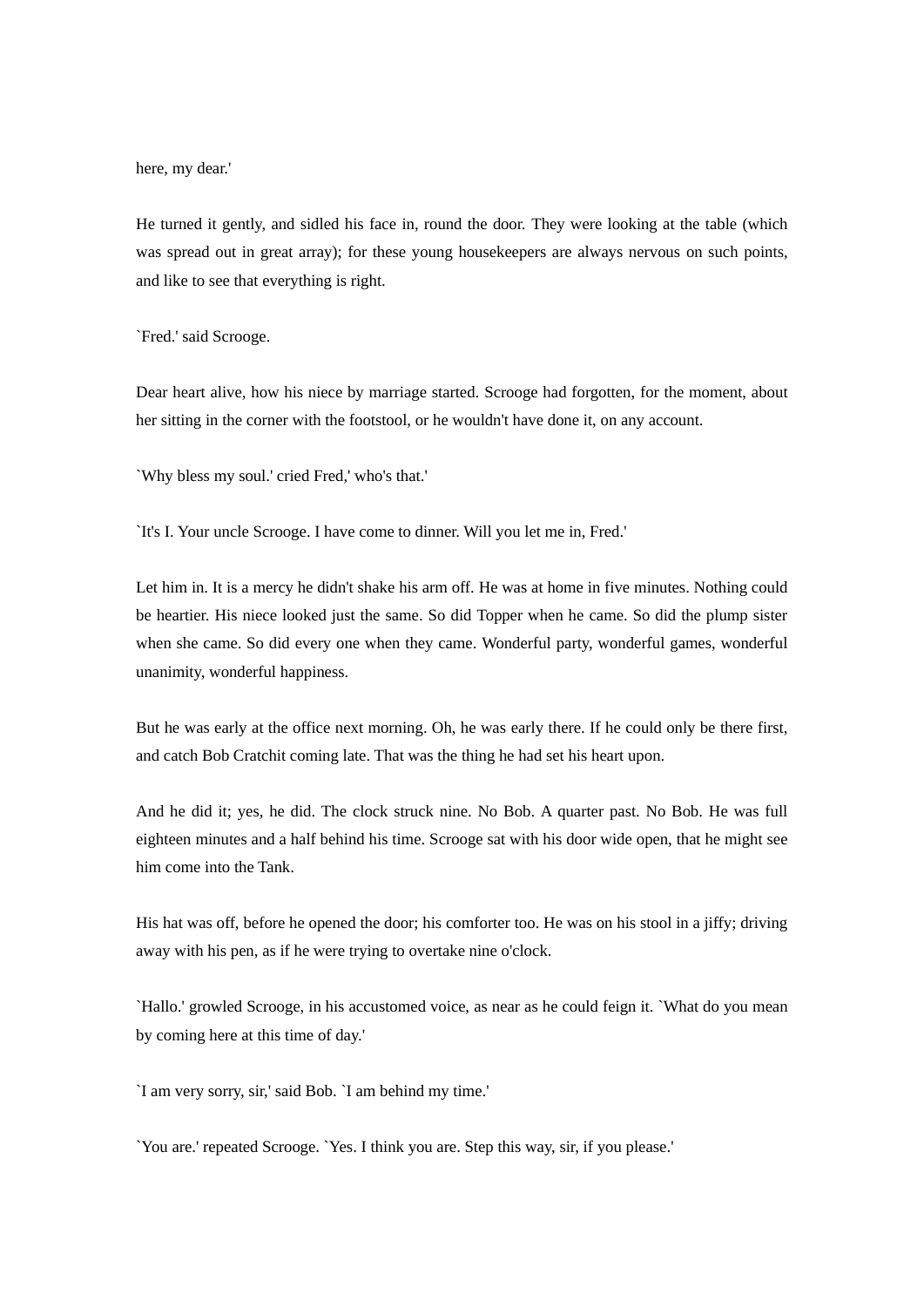here, my dear.'

He turned it gently, and sidled his face in, round the door. They were looking at the table (which was spread out in great array); for these young housekeepers are always nervous on such points, and like to see that everything is right.

`Fred.' said Scrooge.

Dear heart alive, how his niece by marriage started. Scrooge had forgotten, for the moment, about her sitting in the corner with the footstool, or he wouldn't have done it, on any account.

`Why bless my soul.' cried Fred,' who's that.'

`It's I. Your uncle Scrooge. I have come to dinner. Will you let me in, Fred.'

Let him in. It is a mercy he didn't shake his arm off. He was at home in five minutes. Nothing could be heartier. His niece looked just the same. So did Topper when he came. So did the plump sister when she came. So did every one when they came. Wonderful party, wonderful games, wonderful unanimity, wonderful happiness.

But he was early at the office next morning. Oh, he was early there. If he could only be there first, and catch Bob Cratchit coming late. That was the thing he had set his heart upon.

And he did it; yes, he did. The clock struck nine. No Bob. A quarter past. No Bob. He was full eighteen minutes and a half behind his time. Scrooge sat with his door wide open, that he might see him come into the Tank.

His hat was off, before he opened the door; his comforter too. He was on his stool in a jiffy; driving away with his pen, as if he were trying to overtake nine o'clock.

`Hallo.' growled Scrooge, in his accustomed voice, as near as he could feign it. `What do you mean by coming here at this time of day.'

`I am very sorry, sir,' said Bob. `I am behind my time.'

`You are.' repeated Scrooge. `Yes. I think you are. Step this way, sir, if you please.'